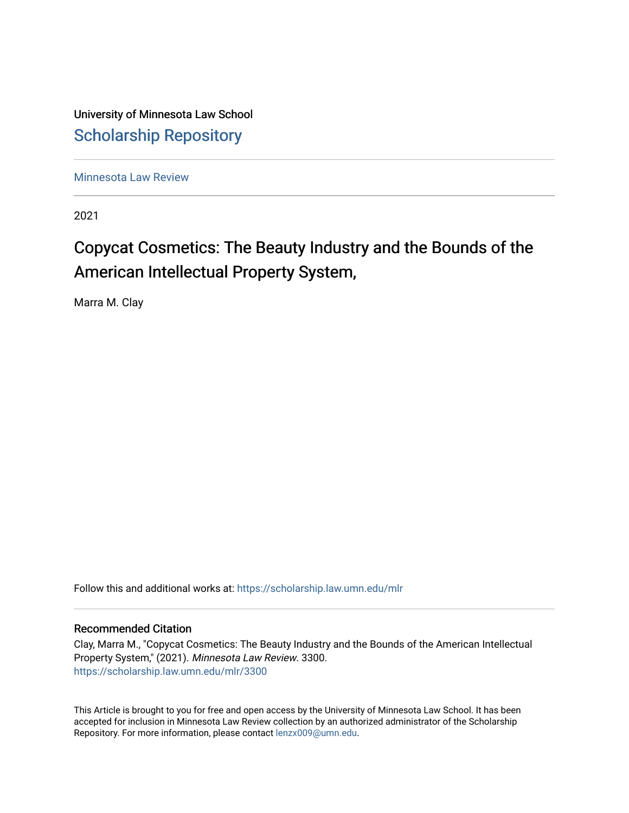University of Minnesota Law School [Scholarship Repository](https://scholarship.law.umn.edu/) 

[Minnesota Law Review](https://scholarship.law.umn.edu/mlr) 

2021

# Copycat Cosmetics: The Beauty Industry and the Bounds of the American Intellectual Property System,

Marra M. Clay

Follow this and additional works at: [https://scholarship.law.umn.edu/mlr](https://scholarship.law.umn.edu/mlr?utm_source=scholarship.law.umn.edu%2Fmlr%2F3300&utm_medium=PDF&utm_campaign=PDFCoverPages)

## Recommended Citation

Clay, Marra M., "Copycat Cosmetics: The Beauty Industry and the Bounds of the American Intellectual Property System," (2021). Minnesota Law Review. 3300. [https://scholarship.law.umn.edu/mlr/3300](https://scholarship.law.umn.edu/mlr/3300?utm_source=scholarship.law.umn.edu%2Fmlr%2F3300&utm_medium=PDF&utm_campaign=PDFCoverPages)

This Article is brought to you for free and open access by the University of Minnesota Law School. It has been accepted for inclusion in Minnesota Law Review collection by an authorized administrator of the Scholarship Repository. For more information, please contact [lenzx009@umn.edu.](mailto:lenzx009@umn.edu)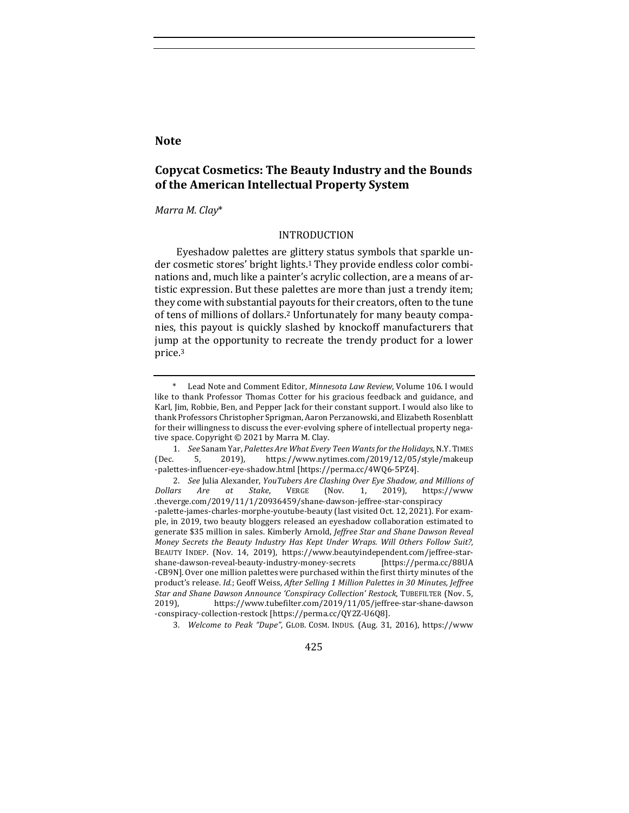## **Note**

## **Copycat Cosmetics: The Beauty Industry and the Bounds** of the American Intellectual Property System

## *Marra M. Clay*\*

## INTRODUCTION

Eyeshadow palettes are glittery status symbols that sparkle under cosmetic stores' bright lights.<sup>1</sup> They provide endless color combinations and, much like a painter's acrylic collection, are a means of artistic expression. But these palettes are more than just a trendy item: they come with substantial payouts for their creators, often to the tune of tens of millions of dollars.<sup>2</sup> Unfortunately for many beauty companies, this payout is quickly slashed by knockoff manufacturers that jump at the opportunity to recreate the trendy product for a lower price.3

3. *Welcome to Peak "Dupe"*, GLOB. COSM. INDUS. (Aug. 31, 2016), https://www

425

Lead Note and Comment Editor, *Minnesota Law Review*, Volume 106. I would like to thank Professor Thomas Cotter for his gracious feedback and guidance, and Karl, Jim, Robbie, Ben, and Pepper Jack for their constant support. I would also like to thank Professors Christopher Sprigman, Aaron Perzanowski, and Elizabeth Rosenblatt for their willingness to discuss the ever-evolving sphere of intellectual property negative space. Copyright  $\odot$  2021 by Marra M. Clay.

<sup>1.</sup> *See* Sanam Yar, *Palettes Are What Every Teen Wants for the Holidays*, N.Y. TIMES (Dec. 5, 2019), https://www.nytimes.com/2019/12/05/style/makeup -palettes-influencer-eye-shadow.html [https://perma.cc/4WQ6-5PZ4].

<sup>2.</sup> *See* Julia Alexander, *YouTubers Are Clashing Over Eye Shadow, and Millions of Dollars Are at Stake*, VERGE (Nov. 1, 2019), https://www .theverge.com/2019/11/1/20936459/shane-dawson-jeffree-star-conspiracy -palette-james-charles-morphe-youtube-beauty (last visited Oct. 12, 2021). For example, in 2019, two beauty bloggers released an eyeshadow collaboration estimated to generate \$35 million in sales. Kimberly Arnold, *Jeffree Star and Shane Dawson Reveal Money Secrets the Beauty Industry Has Kept Under Wraps. Will Others Follow Suit?*, BEAUTY INDEP. (Nov. 14, 2019), https://www.beautyindependent.com/jeffree-starshane-dawson-reveal-beauty-industry-money-secrets [https://perma.cc/88UA -CB9N]. Over one million palettes were purchased within the first thirty minutes of the product's release. *Id.*; Geoff Weiss, *After Selling 1 Million Palettes in 30 Minutes, Jeffree* Star and Shane Dawson Announce 'Conspiracy Collection' Restock, TUBEFILTER (Nov. 5, 2019), https://www.tubefilter.com/2019/11/05/jeffree-star-shane-dawson -conspiracy-collection-restock [https://perma.cc/QY2Z-U6Q8].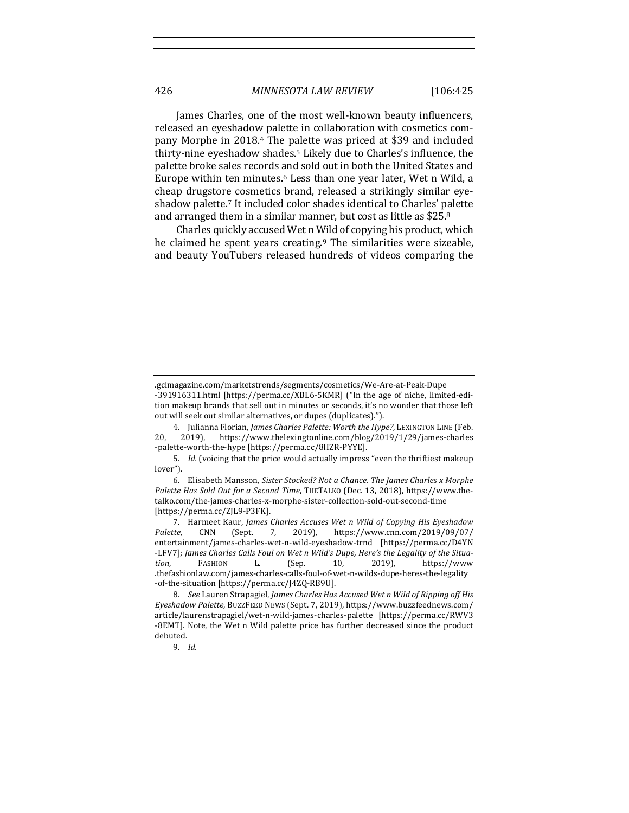James Charles, one of the most well-known beauty influencers, released an eyeshadow palette in collaboration with cosmetics company Morphe in 2018.<sup>4</sup> The palette was priced at \$39 and included thirty-nine eyeshadow shades.<sup>5</sup> Likely due to Charles's influence, the palette broke sales records and sold out in both the United States and Europe within ten minutes.<sup>6</sup> Less than one year later, Wet n Wild, a cheap drugstore cosmetics brand, released a strikingly similar eyeshadow palette.<sup>7</sup> It included color shades identical to Charles' palette and arranged them in a similar manner, but cost as little as  $$25.8$ 

Charles quickly accused Wet n Wild of copying his product, which he claimed he spent years creating.<sup>9</sup> The similarities were sizeable, and beauty YouTubers released hundreds of videos comparing the

<sup>.</sup>gcimagazine.com/marketstrends/segments/cosmetics/We-Are-at-Peak-Dupe

<sup>-391916311.</sup>html [https://perma.cc/XBL6-5KMR] ("In the age of niche, limited-edition makeup brands that sell out in minutes or seconds, it's no wonder that those left out will seek out similar alternatives, or dupes (duplicates).").

<sup>4.</sup> Julianna Florian, *James Charles Palette: Worth the Hype?*, LEXINGTON LINE (Feb. 20, 2019), https://www.thelexingtonline.com/blog/2019/1/29/james-charles -palette-worth-the-hype [https://perma.cc/8HZR-PYYE].

<sup>5.</sup> *Id.* (voicing that the price would actually impress "even the thriftiest makeup lover"). 

<sup>6.</sup> Elisabeth Mansson, Sister Stocked? Not a Chance. The James Charles x Morphe Palette Has Sold Out for a Second Time, THETALKO (Dec. 13, 2018), https://www.thetalko.com/the-james-charles-x-morphe-sister-collection-sold-out-second-time [https://perma.cc/ZJL9-P3FK]. 

<sup>7.</sup> Harmeet Kaur, *James Charles Accuses Wet n Wild of Copying His Eyeshadow*<br>tte. CNN (Sept. 7, 2019), https://www.cnn.com/2019/09/07/ *Palette*, CNN (Sept. 7, 2019), https://www.cnn.com/2019/09/07/ entertainment/james-charles-wet-n-wild-eyeshadow-trnd [https://perma.cc/D4YN -LFV7]; James Charles Calls Foul on Wet n Wild's Dupe, Here's the Legality of the Situa*tion*, FASHION L. (Sep. 10, 2019), https://www .thefashionlaw.com/james-charles-calls-foul-of-wet-n-wilds-dupe-heres-the-legality -of-the-situation [https://perma.cc/J4ZQ-RB9U]. 

<sup>8.</sup> *See* Lauren Strapagiel, *James Charles Has Accused Wet n Wild of Ripping off His Eyeshadow Palette*, BUZZFEED NEWS (Sept. 7, 2019), https://www.buzzfeednews.com/ article/laurenstrapagiel/wet-n-wild-james-charles-palette [https://perma.cc/RWV3 -8EMT]. Note, the Wet n Wild palette price has further decreased since the product debuted.

<sup>9.</sup> *Id.*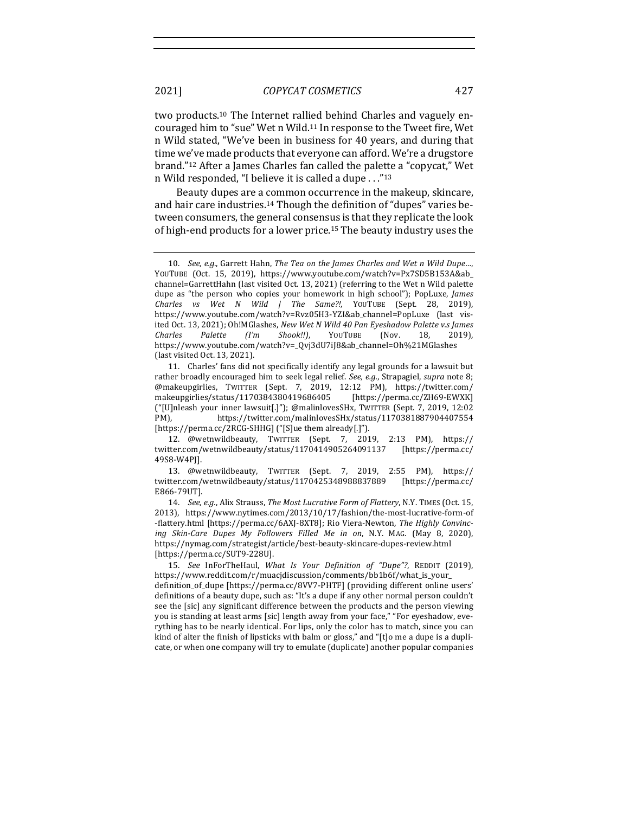two products.<sup>10</sup> The Internet rallied behind Charles and vaguely encouraged him to "sue" Wet n Wild.<sup>11</sup> In response to the Tweet fire, Wet n Wild stated, "We've been in business for 40 years, and during that time we've made products that everyone can afford. We're a drugstore brand."<sup>12</sup> After a James Charles fan called the palette a "copycat," Wet n Wild responded, "I believe it is called a dupe  $\ldots$ "<sup>13</sup>

Beauty dupes are a common occurrence in the makeup, skincare, and hair care industries.<sup>14</sup> Though the definition of "dupes" varies between consumers, the general consensus is that they replicate the look of high-end products for a lower price.<sup>15</sup> The beauty industry uses the

11. Charles' fans did not specifically identify any legal grounds for a lawsuit but rather broadly encouraged him to seek legal relief. See, e.g., Strapagiel, supra note 8; @makeupgirlies, TWITTER (Sept. 7, 2019, 12:12 PM), https://twitter.com/ makeupgirlies/status/1170384380419686405 [https://perma.cc/ZH69-EWXK] ("[U]nleash your inner lawsuit[.]"); @malinlovesSHx, TWITTER (Sept. 7, 2019, 12:02 PM), https://twitter.com/malinlovesSHx/status/1170381887904407554 [https://perma.cc/2RCG-SHHG] ("[S]ue them already[.]").

13. @wetnwildbeauty, TWITTER (Sept. 7, 2019, 2:55 PM), https:// twitter.com/wetnwildbeauty/status/1170425348988837889 [https://perma.cc/ E866-79UT]. 

14. *See, e.g.*, Alix Strauss, The Most Lucrative Form of Flattery, N.Y. TIMES (Oct. 15, 2013), https://www.nytimes.com/2013/10/17/fashion/the-most-lucrative-form-of -flattery.html [https://perma.cc/6AXJ-8XT8]; Rio Viera-Newton, The Highly Convincing Skin-Care Dupes My Followers Filled Me in on, N.Y. MAG. (May 8, 2020), https://nymag.com/strategist/article/best-beauty-skincare-dupes-review.html [https://perma.cc/SUT9-228U].

definitions of a beauty dupe, such as: "It's a dupe if any other normal person couldn't see the [sic] any significant difference between the products and the person viewing you is standing at least arms [sic] length away from your face," "For eyeshadow, everything has to be nearly identical. For lips, only the color has to match, since you can kind of alter the finish of lipsticks with balm or gloss," and "[t]o me a dupe is a duplicate, or when one company will try to emulate (duplicate) another popular companies

<sup>10.</sup> *See, e.g.*, Garrett Hahn, The Tea on the James Charles and Wet n Wild Dupe..., YOUTUBE (Oct. 15, 2019), https://www.youtube.com/watch?v=Px7SD5B153A&ab\_ channel=GarrettHahn (last visited Oct. 13, 2021) (referring to the Wet n Wild palette dupe as "the person who copies your homework in high school"); PopLuxe, James *Charles vs Wet N Wild | The Same?!*, YOUTUBE (Sept. 28, 2019), https://www.youtube.com/watch?v=Rvz05H3-YZI&ab\_channel=PopLuxe (last visited Oct. 13, 2021); Oh!MGlashes, *New Wet N Wild 40 Pan Eyeshadow Palette v.s James Charles Palette (I'm Shook!!)*, YOUTUBE (Nov. 18, 2019), https://www.youtube.com/watch?v=\_Qvj3dU7iJ8&ab\_channel=Oh%21MGlashes (last visited Oct. 13, 2021).

<sup>12. @</sup>wetnwildbeauty, TWITTER (Sept. 7, 2019, 2:13 PM), https:// twitter.com/wetnwildbeauty/status/1170414905264091137 [https://perma.cc/ 49S8-W4PJ]. 

<sup>15.</sup> *See* InForTheHaul, *What Is Your Definition of "Dupe"?*, REDDIT (2019), https://www.reddit.com/r/muacjdiscussion/comments/bb1b6f/what\_is\_your\_ definition\_of\_dupe [https://perma.cc/8VV7-PHTF] (providing different online users'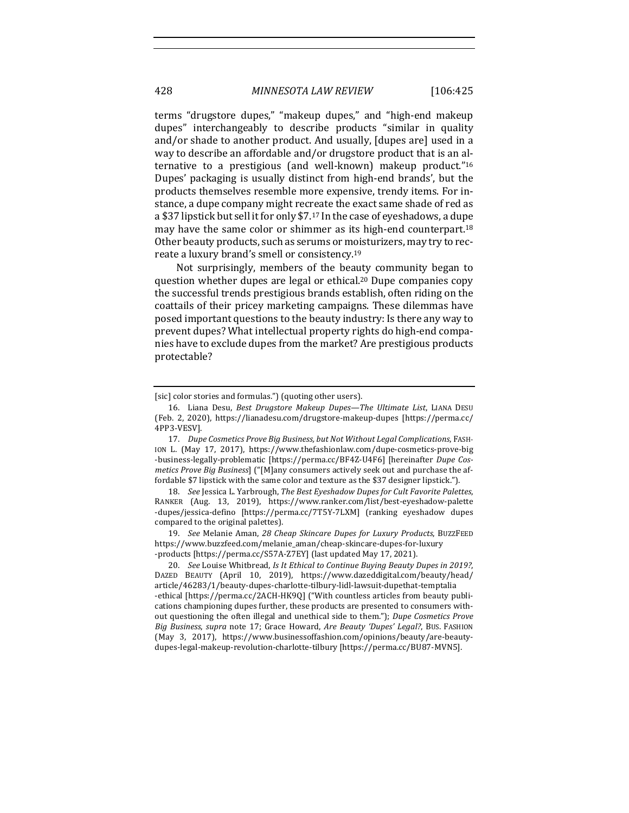terms "drugstore dupes," "makeup dupes," and "high-end makeup dupes" interchangeably to describe products "similar in quality and/or shade to another product. And usually, [dupes are] used in a way to describe an affordable and/or drugstore product that is an alternative to a prestigious (and well-known) makeup product." $16$ Dupes' packaging is usually distinct from high-end brands', but the products themselves resemble more expensive, trendy items. For instance, a dupe company might recreate the exact same shade of red as a \$37 lipstick but sell it for only \$7.<sup>17</sup> In the case of eveshadows, a dupe may have the same color or shimmer as its high-end counterpart.<sup>18</sup> Other beauty products, such as serums or moisturizers, may try to recreate a luxury brand's smell or consistency.<sup>19</sup>

Not surprisingly, members of the beauty community began to question whether dupes are legal or ethical.<sup>20</sup> Dupe companies copy the successful trends prestigious brands establish, often riding on the coattails of their pricey marketing campaigns. These dilemmas have posed important questions to the beauty industry: Is there any way to prevent dupes? What intellectual property rights do high-end companies have to exclude dupes from the market? Are prestigious products protectable?

19. *See* Melanie Aman, 28 Cheap Skincare Dupes for Luxury Products, BUZZFEED https://www.buzzfeed.com/melanie\_aman/cheap-skincare-dupes-for-luxury -products [https://perma.cc/S57A-Z7EY] (last updated May 17, 2021).

<sup>[</sup>sic] color stories and formulas.") (quoting other users).

<sup>16.</sup> Liana Desu, *Best Drugstore Makeup Dupes—The Ultimate List*, LIANA DESU (Feb. 2, 2020), https://lianadesu.com/drugstore-makeup-dupes [https://perma.cc/ 4PP3-VESV]. 

<sup>17.</sup> *Dupe Cosmetics Prove Big Business, but Not Without Legal Complications*, FASH-ION L. (May 17, 2017), https://www.thefashionlaw.com/dupe-cosmetics-prove-big -business-legally-problematic [https://perma.cc/BF4Z-U4F6] [hereinafter *Dupe Cosmetics Prove Big Business*] ("[M]any consumers actively seek out and purchase the affordable \$7 lipstick with the same color and texture as the \$37 designer lipstick.").

<sup>18.</sup> *See* Jessica L. Yarbrough, *The Best Eyeshadow Dupes for Cult Favorite Palettes*, RANKER (Aug. 13, 2019), https://www.ranker.com/list/best-eyeshadow-palette -dupes/jessica-defino [https://perma.cc/7T5Y-7LXM] (ranking eyeshadow dupes compared to the original palettes).

<sup>20.</sup> *See* Louise Whitbread, *Is It Ethical to Continue Buying Beauty Dupes in 2019?*, DAZED BEAUTY (April 10, 2019), https://www.dazeddigital.com/beauty/head/ article/46283/1/beauty-dupes-charlotte-tilbury-lidl-lawsuit-dupethat-temptalia -ethical [https://perma.cc/2ACH-HK9Q] ("With countless articles from beauty publications championing dupes further, these products are presented to consumers without questioning the often illegal and unethical side to them."); *Dupe Cosmetics Prove Big Business*, *supra* note 17; Grace Howard, *Are Beauty 'Dupes' Legal?*, BUS. FASHION (May 3, 2017), https://www.businessoffashion.com/opinions/beauty/are-beautydupes-legal-makeup-revolution-charlotte-tilbury [https://perma.cc/BU87-MVN5].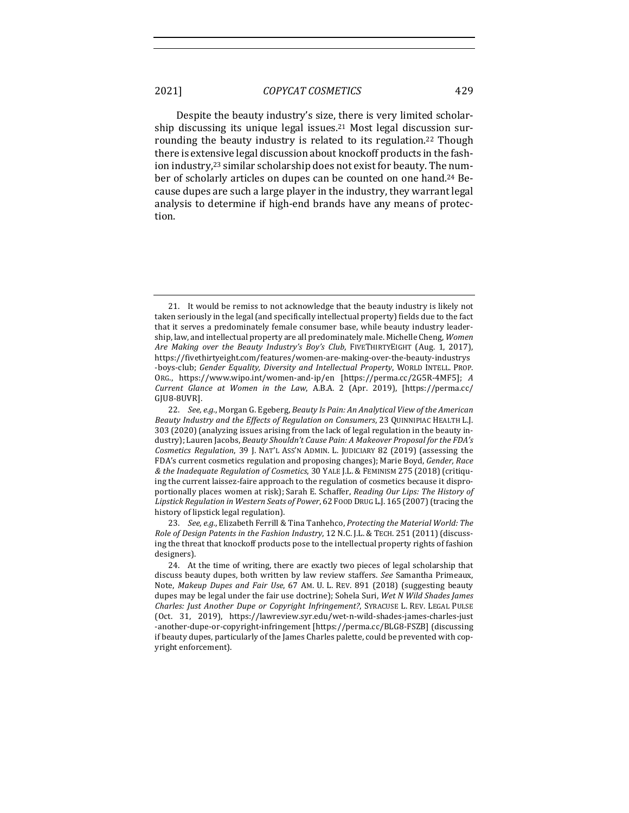Despite the beauty industry's size, there is very limited scholarship discussing its unique legal issues.<sup>21</sup> Most legal discussion surrounding the beauty industry is related to its regulation.<sup>22</sup> Though there is extensive legal discussion about knockoff products in the fashion industry,<sup>23</sup> similar scholarship does not exist for beauty. The number of scholarly articles on dupes can be counted on one hand.<sup>24</sup> Because dupes are such a large player in the industry, they warrant legal analysis to determine if high-end brands have any means of protection. 

23. *See, e.g.*, Elizabeth Ferrill & Tina Tanhehco, *Protecting the Material World: The Role of Design Patents in the Fashion Industry,* 12 N.C. J.L. & TECH. 251 (2011) (discussing the threat that knockoff products pose to the intellectual property rights of fashion designers).

<sup>21.</sup> It would be remiss to not acknowledge that the beauty industry is likely not taken seriously in the legal (and specifically intellectual property) fields due to the fact that it serves a predominately female consumer base, while beauty industry leadership, law, and intellectual property are all predominately male. Michelle Cheng, Women Are Making over the Beauty Industry's Boy's Club, FIVETHIRTYEIGHT (Aug. 1, 2017), https://fivethirtyeight.com/features/women-are-making-over-the-beauty-industrys -boys-club; Gender Equality, Diversity and Intellectual Property, WORLD INTELL. PROP. ORG., https://www.wipo.int/women-and-ip/en [https://perma.cc/2G5R-4MF5]; *A Current Glance at Women in the Law*, A.B.A. 2 (Apr. 2019), [https://perma.cc/ GJU8-8UVR].

<sup>22.</sup> *See, e.g.*, Morgan G. Egeberg, *Beauty Is Pain: An Analytical View of the American Beauty Industry and the Effects of Regulation on Consumers*, 23 QUINNIPIAC HEALTH L.J. 303 (2020) (analyzing issues arising from the lack of legal regulation in the beauty industry); Lauren Jacobs, *Beauty Shouldn't Cause Pain: A Makeover Proposal for the FDA's Cosmetics Regulation*, 39 J. NAT'L ASS'N ADMIN. L. JUDICIARY 82 (2019) (assessing the FDA's current cosmetics regulation and proposing changes); Marie Boyd, *Gender, Race & the Inadequate Regulation of Cosmetics*, 30 YALE J.L. & FEMINISM 275 (2018) (critiquing the current laissez-faire approach to the regulation of cosmetics because it disproportionally places women at risk); Sarah E. Schaffer, *Reading Our Lips: The History of* Lipstick Regulation in Western Seats of Power, 62 FOOD DRUG L.J. 165 (2007) (tracing the history of lipstick legal regulation).

<sup>24.</sup> At the time of writing, there are exactly two pieces of legal scholarship that discuss beauty dupes, both written by law review staffers. See Samantha Primeaux, Note, *Makeup Dupes and Fair Use*, 67 AM. U. L. REV. 891 (2018) (suggesting beauty dupes may be legal under the fair use doctrine); Sohela Suri, *Wet N Wild Shades James Charles: Just Another Dupe or Copyright Infringement?*, SYRACUSE L. REV. LEGAL PULSE (Oct. 31, 2019), https://lawreview.syr.edu/wet-n-wild-shades-james-charles-just -another-dupe-or-copyright-infringement [https://perma.cc/BLG8-FSZB] (discussing if beauty dupes, particularly of the James Charles palette, could be prevented with copyright enforcement).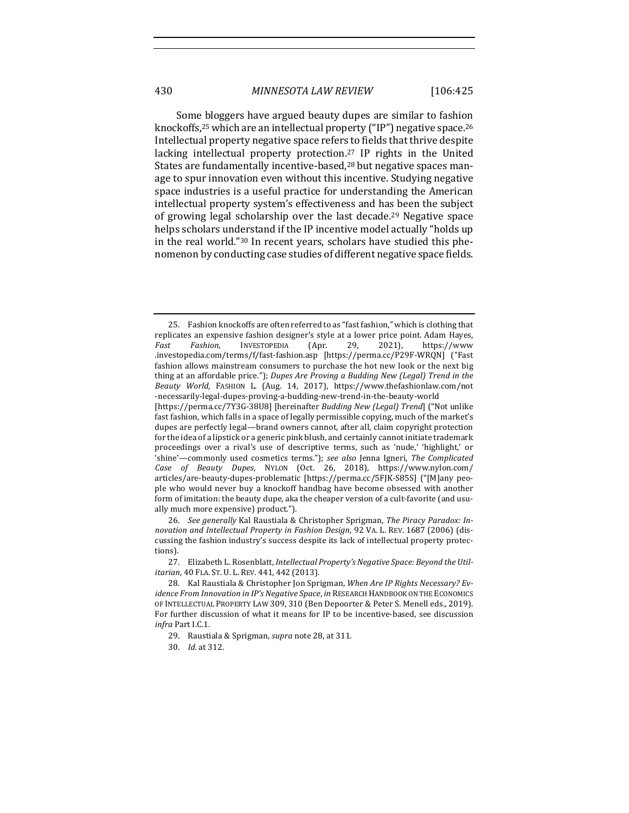Some bloggers have argued beauty dupes are similar to fashion knockoffs,<sup>25</sup> which are an intellectual property ("IP") negative space.<sup>26</sup> Intellectual property negative space refers to fields that thrive despite lacking intellectual property protection.<sup>27</sup> IP rights in the United States are fundamentally incentive-based,<sup>28</sup> but negative spaces manage to spur innovation even without this incentive. Studying negative space industries is a useful practice for understanding the American intellectual property system's effectiveness and has been the subject of growing legal scholarship over the last decade.<sup>29</sup> Negative space helps scholars understand if the IP incentive model actually "holds up in the real world."<sup>30</sup> In recent years, scholars have studied this phenomenon by conducting case studies of different negative space fields.

articles/are-beauty-dupes-problematic [https://perma.cc/5FJK-S85S] ("[M]any people who would never buy a knockoff handbag have become obsessed with another form of imitation: the beauty dupe, aka the cheaper version of a cult-favorite (and usually much more expensive) product.").

26. See generally Kal Raustiala & Christopher Sprigman, The Piracy Paradox: In*novation and Intellectual Property in Fashion Design,* 92 VA. L. REV. 1687 (2006) (discussing the fashion industry's success despite its lack of intellectual property protections).

27. Elizabeth L. Rosenblatt, *Intellectual Property's Negative Space: Beyond the Utilitarian*, 40 FLA. ST. U. L. REV. 441, 442 (2013).

29. Raustiala & Sprigman, *supra* note 28, at 311.

30. *Id.* at 312.

<sup>25.</sup> Fashion knockoffs are often referred to as "fast fashion," which is clothing that replicates an expensive fashion designer's style at a lower price point. Adam Hayes, Fast Fashion, INVESTOPEDIA (Apr. 29, 2021), https://www .investopedia.com/terms/f/fast-fashion.asp [https://perma.cc/P29F-WRQN] ("Fast fashion allows mainstream consumers to purchase the hot new look or the next big thing at an affordable price."); *Dupes Are Proving a Budding New (Legal)* Trend in the *Beauty World*, FASHION L. (Aug. 14, 2017), https://www.thefashionlaw.com/not -necessarily-legal-dupes-proving-a-budding-new-trend-in-the-beauty-world [https://perma.cc/7Y3G-38U8] [hereinafter *Budding New (Legal) Trend*] ("Not unlike fast fashion, which falls in a space of legally permissible copying, much of the market's dupes are perfectly legal—brand owners cannot, after all, claim copyright protection for the idea of a lipstick or a generic pink blush, and certainly cannot initiate trademark proceedings over a rival's use of descriptive terms, such as 'nude,' 'highlight,' or 'shine'—commonly used cosmetics terms."); see also Jenna Igneri, The Complicated *Case of Beauty Dupes*, NYLON (Oct. 26, 2018), https://www.nylon.com/

<sup>28.</sup> Kal Raustiala & Christopher Jon Sprigman, When Are IP Rights Necessary? Ev*idence From Innovation in IP's Negative Space, in* RESEARCH HANDBOOK ON THE ECONOMICS OF INTELLECTUAL PROPERTY LAW 309, 310 (Ben Depoorter & Peter S. Menell eds., 2019). For further discussion of what it means for IP to be incentive-based, see discussion *infra* Part I.C.1.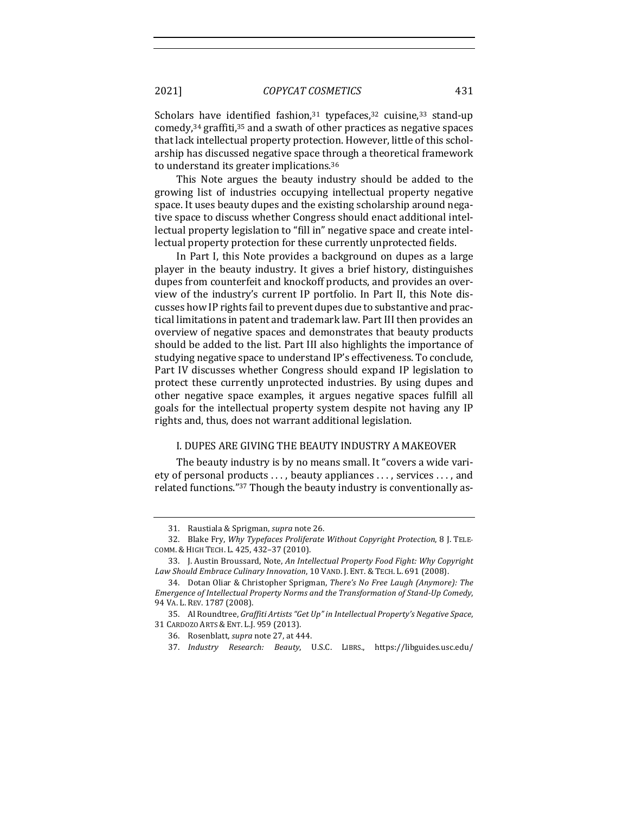Scholars have identified fashion, $31$  typefaces, $32$  cuisine, $33$  stand-up comedy, $34$  graffiti, $35$  and a swath of other practices as negative spaces that lack intellectual property protection. However, little of this scholarship has discussed negative space through a theoretical framework to understand its greater implications.<sup>36</sup>

This Note argues the beauty industry should be added to the growing list of industries occupying intellectual property negative space. It uses beauty dupes and the existing scholarship around negative space to discuss whether Congress should enact additional intellectual property legislation to "fill in" negative space and create intellectual property protection for these currently unprotected fields.

In Part I, this Note provides a background on dupes as a large player in the beauty industry. It gives a brief history, distinguishes dupes from counterfeit and knockoff products, and provides an overview of the industry's current IP portfolio. In Part II, this Note discusses how IP rights fail to prevent dupes due to substantive and practical limitations in patent and trademark law. Part III then provides an overview of negative spaces and demonstrates that beauty products should be added to the list. Part III also highlights the importance of studying negative space to understand IP's effectiveness. To conclude, Part IV discusses whether Congress should expand IP legislation to protect these currently unprotected industries. By using dupes and other negative space examples, it argues negative spaces fulfill all goals for the intellectual property system despite not having any IP rights and, thus, does not warrant additional legislation.

## I. DUPES ARE GIVING THE BEAUTY INDUSTRY A MAKEOVER

The beauty industry is by no means small. It "covers a wide variety of personal products ..., beauty appliances ..., services ..., and related functions."<sup>37</sup> Though the beauty industry is conventionally as-

<sup>31.</sup> Raustiala & Sprigman, *supra* note 26.

<sup>32.</sup> Blake Fry, *Why Typefaces Proliferate Without Copyright Protection*, 8 J. TELE-COMM. & HIGH TECH. L. 425, 432–37 (2010).

<sup>33.</sup> J. Austin Broussard, Note, An Intellectual Property Food Fight: Why Copyright Law Should Embrace Culinary Innovation, 10 VAND. J. ENT. & TECH. L. 691 (2008).

<sup>34.</sup> Dotan Oliar & Christopher Sprigman, *There's No Free Laugh (Anymore): The* Emergence of Intellectual Property Norms and the Transformation of Stand-Up Comedy, 94 VA. L. REV. 1787 (2008).

<sup>35.</sup> Al Roundtree, Graffiti Artists "Get Up" in Intellectual Property's Negative Space, 31 CARDOZO ARTS & ENT. L.J. 959 (2013). 

<sup>36.</sup> Rosenblatt, *supra* note 27, at 444.

<sup>37.</sup> *Industry Research: Beauty*, U.S.C. LIBRS., https://libguides.usc.edu/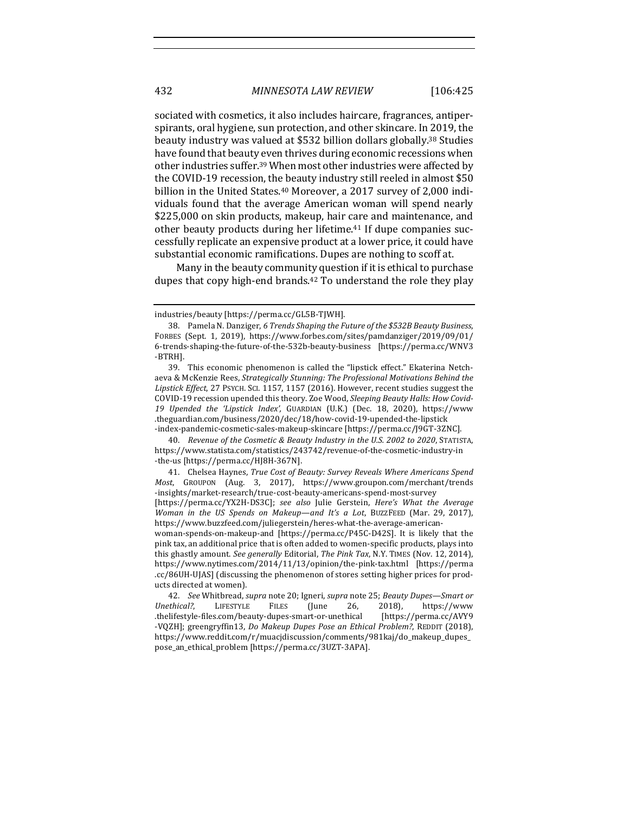sociated with cosmetics, it also includes haircare, fragrances, antiperspirants, oral hygiene, sun protection, and other skincare. In 2019, the beauty industry was valued at \$532 billion dollars globally.<sup>38</sup> Studies have found that beauty even thrives during economic recessions when other industries suffer.<sup>39</sup> When most other industries were affected by the COVID-19 recession, the beauty industry still reeled in almost \$50 billion in the United States.<sup>40</sup> Moreover, a 2017 survey of 2,000 individuals found that the average American woman will spend nearly \$225,000 on skin products, makeup, hair care and maintenance, and other beauty products during her lifetime.<sup>41</sup> If dupe companies successfully replicate an expensive product at a lower price, it could have substantial economic ramifications. Dupes are nothing to scoff at.

Many in the beauty community question if it is ethical to purchase dupes that copy high-end brands. $42$  To understand the role they play

industries/beauty [https://perma.cc/GL5B-TJWH].

<sup>38.</sup> Pamela N. Danziger, 6 Trends Shaping the Future of the \$532B Beauty Business, FORBES (Sept. 1, 2019), https://www.forbes.com/sites/pamdanziger/2019/09/01/ 6-trends-shaping-the-future-of-the-532b-beauty-business [https://perma.cc/WNV3 -BTRH]. 

<sup>39.</sup> This economic phenomenon is called the "lipstick effect." Ekaterina Netchaeva & McKenzie Rees, *Strategically Stunning: The Professional Motivations Behind the* Lipstick Effect, 27 PSYCH. SCI. 1157, 1157 (2016). However, recent studies suggest the COVID-19 recession upended this theory. Zoe Wood, *Sleeping Beauty Halls: How Covid-19 Upended the 'Lipstick Index',* GUARDIAN (U.K.) (Dec. 18, 2020), https://www .theguardian.com/business/2020/dec/18/how-covid-19-upended-the-lipstick -index-pandemic-cosmetic-sales-makeup-skincare [https://perma.cc/J9GT-3ZNC].

<sup>40.</sup> Revenue of the Cosmetic & Beauty Industry in the U.S. 2002 to 2020, STATISTA, https://www.statista.com/statistics/243742/revenue-of-the-cosmetic-industry-in -the-us [https://perma.cc/HJ8H-367N]. 

<sup>41.</sup> Chelsea Haynes, *True Cost of Beauty: Survey Reveals Where Americans Spend Most*, GROUPON (Aug. 3, 2017), https://www.groupon.com/merchant/trends -insights/market-research/true-cost-beauty-americans-spend-most-survey [https://perma.cc/YX2H-DS3C]; see also Julie Gerstein, *Here's* What the Average *Woman in the US Spends on Makeup—and It's a Lot*, BUZZFEED (Mar. 29, 2017),

https://www.buzzfeed.com/juliegerstein/heres-what-the-average-americanwoman-spends-on-makeup-and [https://perma.cc/P45C-D42S]. It is likely that the

pink tax, an additional price that is often added to women-specific products, plays into this ghastly amount. See generally Editorial, The Pink Tax, N.Y. TIMES (Nov. 12, 2014), https://www.nytimes.com/2014/11/13/opinion/the-pink-tax.html [https://perma .cc/86UH-UJAS] (discussing the phenomenon of stores setting higher prices for products directed at women).

<sup>42.</sup> *See* Whitbread, *supra* note 20; Igneri, *supra* note 25; *Beauty Dupes—Smart or* Unethical?, LIFESTYLE FILES (June 26, 2018), https://www .thelifestyle-files.com/beauty-dupes-smart-or-unethical [https://perma.cc/AVY9 -VQZH]; greengryffin13, *Do Makeup Dupes Pose an Ethical Problem?*, REDDIT (2018), https://www.reddit.com/r/muacjdiscussion/comments/981kaj/do\_makeup\_dupes\_ pose\_an\_ethical\_problem [https://perma.cc/3UZT-3APA].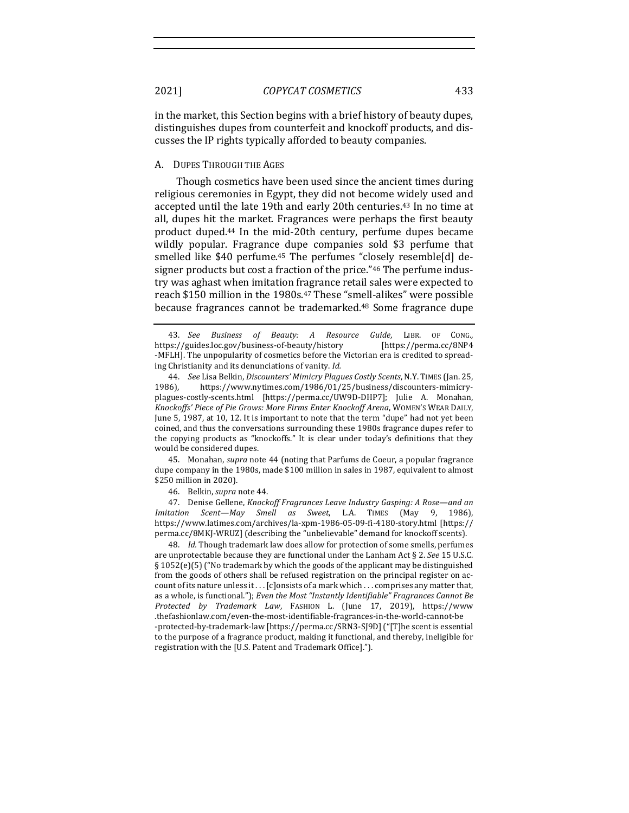in the market, this Section begins with a brief history of beauty dupes, distinguishes dupes from counterfeit and knockoff products, and discusses the IP rights typically afforded to beauty companies.

#### A. DUPES THROUGH THE AGES

Though cosmetics have been used since the ancient times during religious ceremonies in Egypt, they did not become widely used and accepted until the late 19th and early 20th centuries.<sup>43</sup> In no time at all, dupes hit the market. Fragrances were perhaps the first beauty product duped.<sup>44</sup> In the mid-20th century, perfume dupes became wildly popular. Fragrance dupe companies sold \$3 perfume that smelled like \$40 perfume.<sup>45</sup> The perfumes "closely resemble[d] designer products but cost a fraction of the price."<sup>46</sup> The perfume industry was aghast when imitation fragrance retail sales were expected to reach \$150 million in the 1980s.<sup>47</sup> These "smell-alikes" were possible because fragrances cannot be trademarked.<sup>48</sup> Some fragrance dupe

45. Monahan, *supra* note 44 (noting that Parfums de Coeur, a popular fragrance dupe company in the 1980s, made \$100 million in sales in 1987, equivalent to almost \$250 million in 2020).

46. Belkin, *supra* note 44.

47. Denise Gellene, *Knockoff Fragrances Leave Industry Gasping: A Rose—and an Imitation Scent—May Smell as Sweet*, L.A. TIMES (May 9, 1986), https://www.latimes.com/archives/la-xpm-1986-05-09-fi-4180-story.html [https:// perma.cc/8MKJ-WRUZ] (describing the "unbelievable" demand for knockoff scents).

48. *Id.* Though trademark law does allow for protection of some smells, perfumes are unprotectable because they are functional under the Lanham Act  $\S$  2. *See* 15 U.S.C. § 1052(e)(5) ("No trademark by which the goods of the applicant may be distinguished from the goods of others shall be refused registration on the principal register on account of its nature unless it... [c]onsists of a mark which ... comprises any matter that, as a whole, is functional."); *Even the Most "Instantly Identifiable" Fragrances Cannot Be Protected by Trademark Law*, FASHION L. (June 17, 2019), https://www .thefashionlaw.com/even-the-most-identifiable-fragrances-in-the-world-cannot-be -protected-by-trademark-law [https://perma.cc/SRN3-SJ9D] ("[T]he scent is essential to the purpose of a fragrance product, making it functional, and thereby, ineligible for registration with the [U.S. Patent and Trademark Office].").

<sup>43.</sup> *See Business of Beauty: A Resource Guide*, LIBR. OF CONG., https://guides.loc.gov/business-of-beauty/history [https://perma.cc/8NP4 -MFLH]. The unpopularity of cosmetics before the Victorian era is credited to spreading Christianity and its denunciations of vanity. *Id.* 

<sup>44.</sup> *See* Lisa Belkin, *Discounters' Mimicry Plagues Costly Scents*, N.Y. TIMES (Jan. 25, 1986), https://www.nytimes.com/1986/01/25/business/discounters-mimicryplagues-costly-scents.html [https://perma.cc/UW9D-DHP7]; Julie A. Monahan, Knockoffs' Piece of Pie Grows: More Firms Enter Knockoff Arena, WOMEN'S WEAR DAILY, June 5, 1987, at 10, 12. It is important to note that the term "dupe" had not yet been coined, and thus the conversations surrounding these 1980s fragrance dupes refer to the copying products as "knockoffs." It is clear under today's definitions that they would be considered dupes.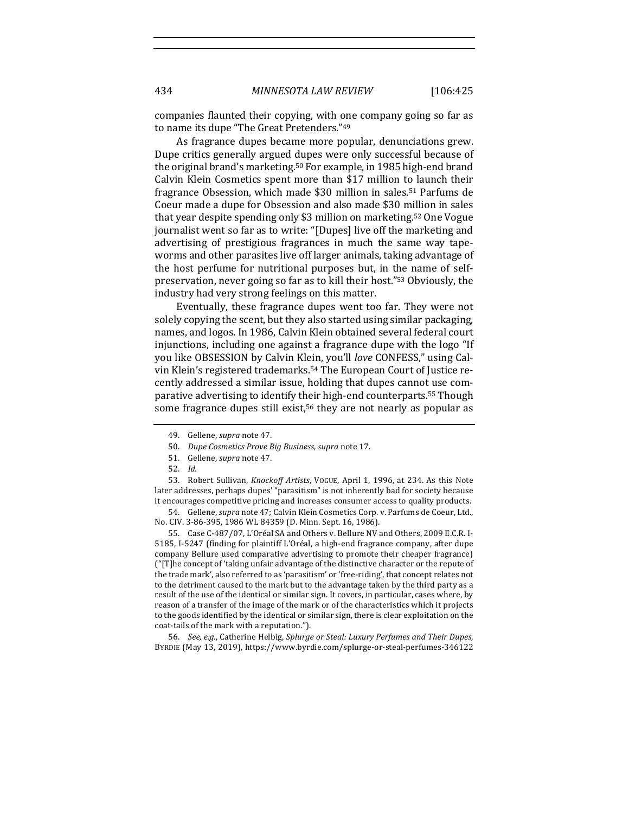companies flaunted their copying, with one company going so far as to name its dupe "The Great Pretenders."49

As fragrance dupes became more popular, denunciations grew. Dupe critics generally argued dupes were only successful because of the original brand's marketing.<sup>50</sup> For example, in 1985 high-end brand Calvin Klein Cosmetics spent more than \$17 million to launch their fragrance Obsession, which made \$30 million in sales.<sup>51</sup> Parfums de Coeur made a dupe for Obsession and also made \$30 million in sales that year despite spending only \$3 million on marketing.<sup>52</sup> One Vogue journalist went so far as to write: "[Dupes] live off the marketing and advertising of prestigious fragrances in much the same way tapeworms and other parasites live off larger animals, taking advantage of the host perfume for nutritional purposes but, in the name of selfpreservation, never going so far as to kill their host."<sup>53</sup> Obviously, the industry had very strong feelings on this matter.

Eventually, these fragrance dupes went too far. They were not solely copying the scent, but they also started using similar packaging. names, and logos. In 1986, Calvin Klein obtained several federal court injunctions, including one against a fragrance dupe with the logo "If you like OBSESSION by Calvin Klein, you'll *love* CONFESS," using Calvin Klein's registered trademarks.<sup>54</sup> The European Court of Justice recently addressed a similar issue, holding that dupes cannot use comparative advertising to identify their high-end counterparts.<sup>55</sup> Though some fragrance dupes still exist,<sup>56</sup> they are not nearly as popular as

53. Robert Sullivan, *Knockoff Artists*, VOGUE, April 1, 1996, at 234. As this Note later addresses, perhaps dupes' "parasitism" is not inherently bad for society because it encourages competitive pricing and increases consumer access to quality products.

54. Gellene, *supra* note 47; Calvin Klein Cosmetics Corp. v. Parfums de Coeur, Ltd., No. CIV. 3-86-395, 1986 WL 84359 (D. Minn. Sept. 16, 1986).

55. Case C-487/07, L'Oréal SA and Others v. Bellure NV and Others, 2009 E.C.R. I-5185, I-5247 (finding for plaintiff L'Oréal, a high-end fragrance company, after dupe company Bellure used comparative advertising to promote their cheaper fragrance) ("[T]he concept of 'taking unfair advantage of the distinctive character or the repute of the trade mark', also referred to as 'parasitism' or 'free-riding', that concept relates not to the detriment caused to the mark but to the advantage taken by the third party as a result of the use of the identical or similar sign. It covers, in particular, cases where, by reason of a transfer of the image of the mark or of the characteristics which it projects to the goods identified by the identical or similar sign, there is clear exploitation on the coat-tails of the mark with a reputation.").

56. *See, e.g.*, Catherine Helbig, Splurge or Steal: Luxury Perfumes and Their Dupes, BYRDIE (May 13, 2019), https://www.byrdie.com/splurge-or-steal-perfumes-346122

<sup>49.</sup> Gellene, *supra* note 47.

<sup>50.</sup> *Dupe Cosmetics Prove Big Business, supra* note 17.

<sup>51.</sup> Gellene, *supra* note 47.

<sup>52.</sup> *Id.*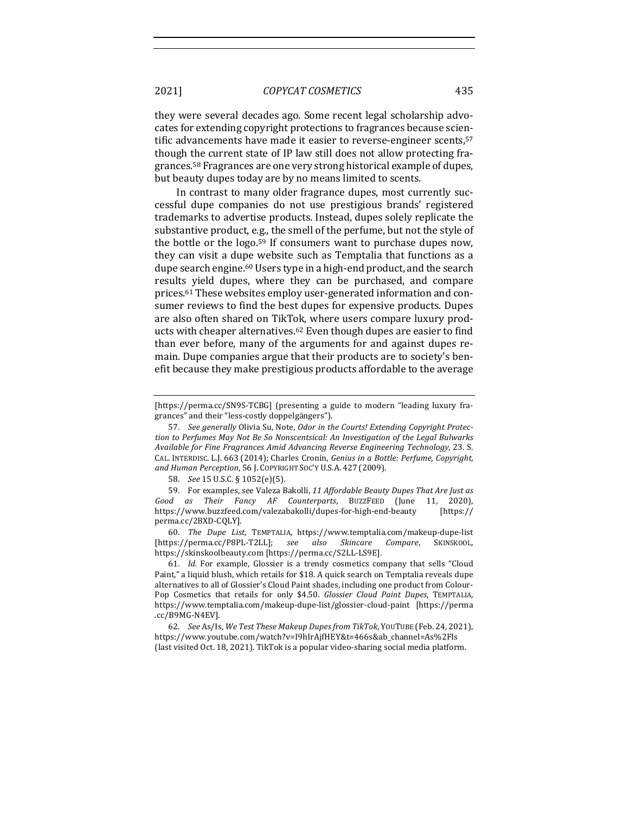they were several decades ago. Some recent legal scholarship advocates for extending copyright protections to fragrances because scientific advancements have made it easier to reverse-engineer scents,<sup>57</sup> though the current state of IP law still does not allow protecting fragrances.<sup>58</sup> Fragrances are one very strong historical example of dupes, but beauty dupes today are by no means limited to scents.

In contrast to many older fragrance dupes, most currently successful dupe companies do not use prestigious brands' registered trademarks to advertise products. Instead, dupes solely replicate the substantive product, e.g., the smell of the perfume, but not the style of the bottle or the logo.<sup>59</sup> If consumers want to purchase dupes now, they can visit a dupe website such as Temptalia that functions as a dupe search engine.<sup>60</sup> Users type in a high-end product, and the search results yield dupes, where they can be purchased, and compare prices.<sup>61</sup> These websites employ user-generated information and consumer reviews to find the best dupes for expensive products. Dupes are also often shared on TikTok, where users compare luxury products with cheaper alternatives.<sup>62</sup> Even though dupes are easier to find than ever before, many of the arguments for and against dupes remain. Dupe companies argue that their products are to society's benefit because they make prestigious products affordable to the average

60. *The Dupe List*, TEMPTALIA, https://www.temptalia.com/makeup-dupe-list [https://perma.cc/P8PL-T2LL]; *see also Skincare Compare*, SKINSKOOL, https://skinskoolbeauty.com [https://perma.cc/S2LL-LS9E]. 

61. *Id.* For example, Glossier is a trendy cosmetics company that sells "Cloud Paint," a liquid blush, which retails for \$18. A quick search on Temptalia reveals dupe alternatives to all of Glossier's Cloud Paint shades, including one product from Colour-Pop Cosmetics that retails for only \$4.50. *Glossier Cloud Paint Dupes*, TEMPTALIA, https://www.temptalia.com/makeup-dupe-list/glossier-cloud-paint [https://perma .cc/B9MG-N4EV]. 

62. *See* As/Is, *We Test These Makeup Dupes from TikTok*, YOUTUBE (Feb. 24, 2021), https://www.youtube.com/watch?v=I9hIrAjfHEY&t=466s&ab\_channel=As%2FIs (last visited Oct. 18, 2021). TikTok is a popular video-sharing social media platform.

<sup>[</sup>https://perma.cc/SN9S-TCBG] (presenting a guide to modern "leading luxury fragrances" and their "less-costly doppelgängers").

<sup>57.</sup> See generally Olivia Su, Note, Odor in the Courts! Extending Copyright Protection to Perfumes May Not Be So Nonscentsical: An Investigation of the Legal Bulwarks Available for Fine Fragrances Amid Advancing Reverse Engineering Technology, 23. S. CAL. INTERDISC. L.J. 663 (2014); Charles Cronin, *Genius in a Bottle: Perfume, Copyright,* and Human Perception, 56 J. COPYRIGHT SOC'Y U.S.A. 427 (2009).

<sup>58.</sup> *See* 15 U.S.C. § 1052(e)(5).

<sup>59.</sup> For examples, see Valeza Bakolli, 11 Affordable Beauty Dupes That Are Just as *Good as Their Fancy AF Counterparts*, BUZZFEED (June 11, 2020), https://www.buzzfeed.com/valezabakolli/dupes-for-high-end-beauty [https:// perma.cc/2BXD-CQLY].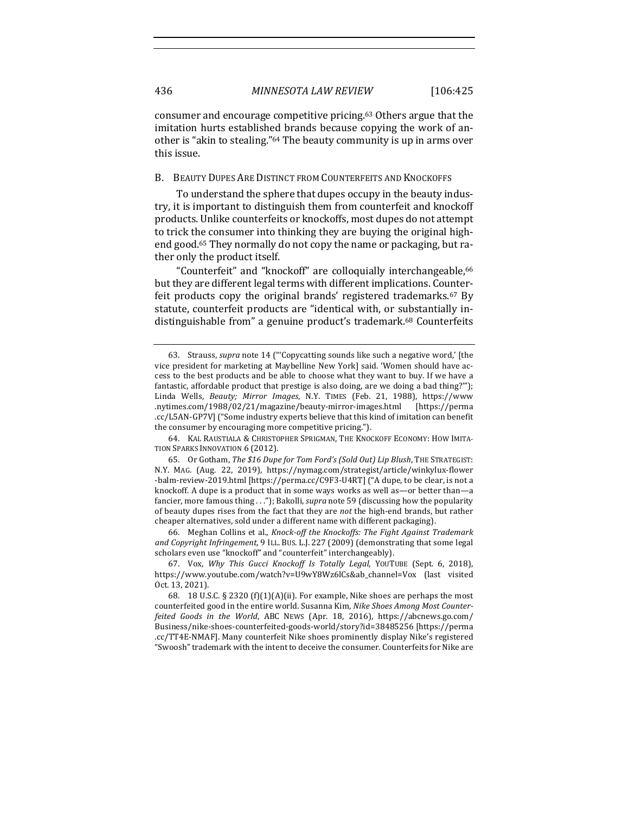consumer and encourage competitive pricing.<sup>63</sup> Others argue that the imitation hurts established brands because copying the work of another is "akin to stealing."<sup>64</sup> The beauty community is up in arms over this issue.

## B. BEAUTY DUPES ARE DISTINCT FROM COUNTERFEITS AND KNOCKOFFS

To understand the sphere that dupes occupy in the beauty industry, it is important to distinguish them from counterfeit and knockoff products. Unlike counterfeits or knockoffs, most dupes do not attempt to trick the consumer into thinking they are buying the original highend good.<sup>65</sup> They normally do not copy the name or packaging, but rather only the product itself.

"Counterfeit" and "knockoff" are colloquially interchangeable,<sup>66</sup> but they are different legal terms with different implications. Counterfeit products copy the original brands' registered trademarks.<sup>67</sup> By statute, counterfeit products are "identical with, or substantially indistinguishable from" a genuine product's trademark.<sup>68</sup> Counterfeits

66. Meghan Collins et al., *Knock-off the Knockoffs: The Fight Against Trademark* and Copyright Infringement, 9 ILL. BUS. L.J. 227 (2009) (demonstrating that some legal scholars even use "knockoff" and "counterfeit" interchangeably).

<sup>63.</sup> Strauss, *supra* note 14 ("Copycatting sounds like such a negative word,' [the vice president for marketing at Maybelline New York] said. 'Women should have access to the best products and be able to choose what they want to buy. If we have a fantastic, affordable product that prestige is also doing, are we doing a bad thing?""); Linda Wells, *Beauty; Mirror Images*, N.Y. TIMES (Feb. 21, 1988), https://www .nytimes.com/1988/02/21/magazine/beauty-mirror-images.html [https://perma .cc/L5AN-GP7V] ("Some industry experts believe that this kind of imitation can benefit the consumer by encouraging more competitive pricing.").

<sup>64.</sup> KAL RAUSTIALA & CHRISTOPHER SPRIGMAN, THE KNOCKOFF ECONOMY: HOW IMITA-TION SPARKS INNOVATION 6 (2012).

<sup>65.</sup> Or Gotham, The \$16 Dupe for Tom Ford's (Sold Out) Lip Blush, THE STRATEGIST: N.Y. MAG. (Aug. 22, 2019), https://nymag.com/strategist/article/winkylux-flower -balm-review-2019.html [https://perma.cc/C9F3-U4RT] ("A dupe, to be clear, is not a knockoff. A dupe is a product that in some ways works as well as—or better than—a fancier, more famous thing . . ."); Bakolli, *supra* note 59 (discussing how the popularity of beauty dupes rises from the fact that they are *not* the high-end brands, but rather cheaper alternatives, sold under a different name with different packaging).

<sup>67.</sup> Vox, *Why This Gucci Knockoff Is Totally Legal*, YOUTUBE (Sept. 6, 2018), https://www.youtube.com/watch?v=U9wY8Wz6lCs&ab\_channel=Vox (last visited Oct. 13, 2021). 

<sup>68. 18</sup> U.S.C.  $\S$  2320 (f)(1)(A)(ii). For example, Nike shoes are perhaps the most counterfeited good in the entire world. Susanna Kim, Nike Shoes Among Most Counter*feited Goods in the World*, ABC NEWS (Apr. 18, 2016), https://abcnews.go.com/ Business/nike-shoes-counterfeited-goods-world/story?id=38485256 [https://perma .cc/TT4E-NMAF]. Many counterfeit Nike shoes prominently display Nike's registered "Swoosh" trademark with the intent to deceive the consumer. Counterfeits for Nike are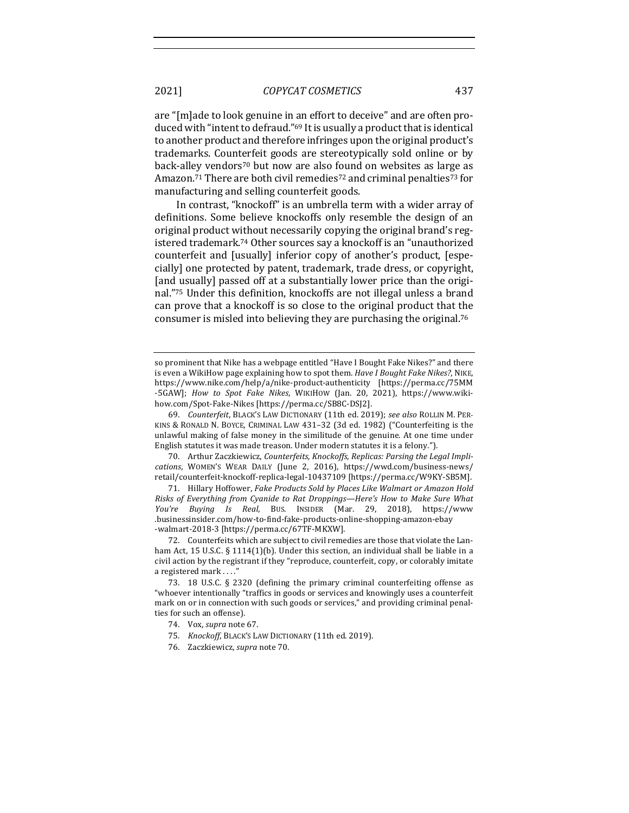are "[m]ade to look genuine in an effort to deceive" and are often produced with "intent to defraud."<sup>69</sup> It is usually a product that is identical to another product and therefore infringes upon the original product's trademarks. Counterfeit goods are stereotypically sold online or by back-alley vendors<sup>70</sup> but now are also found on websites as large as Amazon.<sup>71</sup> There are both civil remedies<sup>72</sup> and criminal penalties<sup>73</sup> for manufacturing and selling counterfeit goods.

In contrast, "knockoff" is an umbrella term with a wider array of definitions. Some believe knockoffs only resemble the design of an original product without necessarily copying the original brand's registered trademark.<sup>74</sup> Other sources say a knockoff is an "unauthorized counterfeit and [usually] inferior copy of another's product, [especially] one protected by patent, trademark, trade dress, or copyright, [and usually] passed off at a substantially lower price than the original."75 Under this definition, knockoffs are not illegal unless a brand can prove that a knockoff is so close to the original product that the consumer is misled into believing they are purchasing the original.<sup>76</sup>

69. *Counterfeit*, BLACK'S LAW DICTIONARY (11th ed. 2019); see also ROLLIN M. PER-KINS & RONALD N. BOYCE, CRIMINAL LAW  $431-32$  (3d ed. 1982) ("Counterfeiting is the unlawful making of false money in the similitude of the genuine. At one time under English statutes it was made treason. Under modern statutes it is a felony.").

70. Arthur Zaczkiewicz, *Counterfeits, Knockoffs, Replicas: Parsing the Legal Impli*cations, WOMEN'S WEAR DAILY (June 2, 2016), https://wwd.com/business-news/ retail/counterfeit-knockoff-replica-legal-10437109 [https://perma.cc/W9KY-SB5M]. 

71. Hillary Hoffower, *Fake Products Sold by Places Like Walmart or Amazon Hold Risks of Everything from Cyanide to Rat Droppings—Here's How to Make Sure What You're Buying Is Real*, BUS. INSIDER (Mar. 29, 2018), https://www .businessinsider.com/how-to-find-fake-products-online-shopping-amazon-ebay -walmart-2018-3 [https://perma.cc/67TF-MKXW]. 

so prominent that Nike has a webpage entitled "Have I Bought Fake Nikes?" and there is even a WikiHow page explaining how to spot them. *Have I Bought Fake Nikes?*, NIKE, https://www.nike.com/help/a/nike-product-authenticity [https://perma.cc/75MM -5GAW]; *How to Spot Fake Nikes*, WIKIHOW (Jan. 20, 2021), https://www.wikihow.com/Spot-Fake-Nikes [https://perma.cc/SB8C-DSJ2].

<sup>72.</sup> Counterfeits which are subject to civil remedies are those that violate the Lanham Act, 15 U.S.C. § 1114(1)(b). Under this section, an individual shall be liable in a civil action by the registrant if they "reproduce, counterfeit, copy, or colorably imitate a registered mark . . . ."

<sup>73. 18</sup> U.S.C.  $\S$  2320 (defining the primary criminal counterfeiting offense as "whoever intentionally "traffics in goods or services and knowingly uses a counterfeit mark on or in connection with such goods or services," and providing criminal penalties for such an offense).

<sup>74.</sup> Vox, *supra* note 67.

<sup>75.</sup> *Knockoff, BLACK'S LAW DICTIONARY (11th ed. 2019).* 

<sup>76.</sup> Zaczkiewicz, *supra* note 70.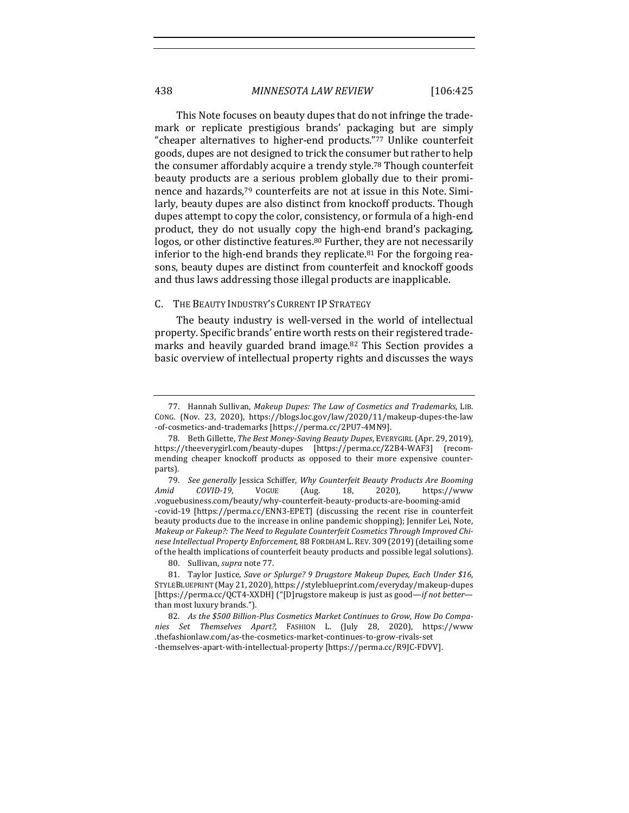This Note focuses on beauty dupes that do not infringe the trademark or replicate prestigious brands' packaging but are simply "cheaper alternatives to higher-end products."77 Unlike counterfeit goods, dupes are not designed to trick the consumer but rather to help the consumer affordably acquire a trendy style.<sup>78</sup> Though counterfeit beauty products are a serious problem globally due to their prominence and hazards,<sup>79</sup> counterfeits are not at issue in this Note. Similarly, beauty dupes are also distinct from knockoff products. Though dupes attempt to copy the color, consistency, or formula of a high-end product, they do not usually copy the high-end brand's packaging, logos, or other distinctive features.<sup>80</sup> Further, they are not necessarily inferior to the high-end brands they replicate.<sup>81</sup> For the forgoing reasons, beauty dupes are distinct from counterfeit and knockoff goods and thus laws addressing those illegal products are inapplicable.

#### C. THE BEAUTY INDUSTRY'S CURRENT IP STRATEGY

The beauty industry is well-versed in the world of intellectual property. Specific brands' entire worth rests on their registered trademarks and heavily guarded brand image.<sup>82</sup> This Section provides a basic overview of intellectual property rights and discusses the ways

80. Sullivan, *supra* note 77.

<sup>77.</sup> Hannah Sullivan, *Makeup Dupes: The Law of Cosmetics and Trademarks*, LIB. CONG. (Nov. 23, 2020), https://blogs.loc.gov/law/2020/11/makeup-dupes-the-law -of-cosmetics-and-trademarks [https://perma.cc/2PU7-4MN9]. 

<sup>78.</sup> Beth Gillette, The Best Money-Saving Beauty Dupes, EVERYGIRL (Apr. 29, 2019), https://theeverygirl.com/beauty-dupes [https://perma.cc/Z2B4-WAF3] (recommending cheaper knockoff products as opposed to their more expensive counterparts).

<sup>79.</sup> See generally Jessica Schiffer, Why Counterfeit Beauty Products Are Booming *Amid COVID-19*, VOGUE (Aug. 18, 2020), https://www .voguebusiness.com/beauty/why-counterfeit-beauty-products-are-booming-amid -covid-19 [https://perma.cc/ENN3-EPET] (discussing the recent rise in counterfeit beauty products due to the increase in online pandemic shopping); Jennifer Lei, Note, Makeup or Fakeup?: The Need to Regulate Counterfeit Cosmetics Through Improved Chinese Intellectual Property Enforcement, 88 FORDHAM L. REV. 309 (2019) (detailing some of the health implications of counterfeit beauty products and possible legal solutions).

<sup>81.</sup> Taylor Justice, *Save or Splurge?* 9 Drugstore Makeup Dupes, Each Under \$16, STYLEBLUEPRINT (May 21, 2020), https://styleblueprint.com/everyday/makeup-dupes [https://perma.cc/QCT4-XXDH] ("[D]rugstore makeup is just as good—*if not better* than most luxury brands.").

<sup>82.</sup> As the \$500 Billion-Plus Cosmetics Market Continues to Grow, How Do Compa*nies Set Themselves Apart?*, FASHION L. (July 28, 2020), https://www .thefashionlaw.com/as-the-cosmetics-market-continues-to-grow-rivals-set -themselves-apart-with-intellectual-property [https://perma.cc/R9JC-FDVV].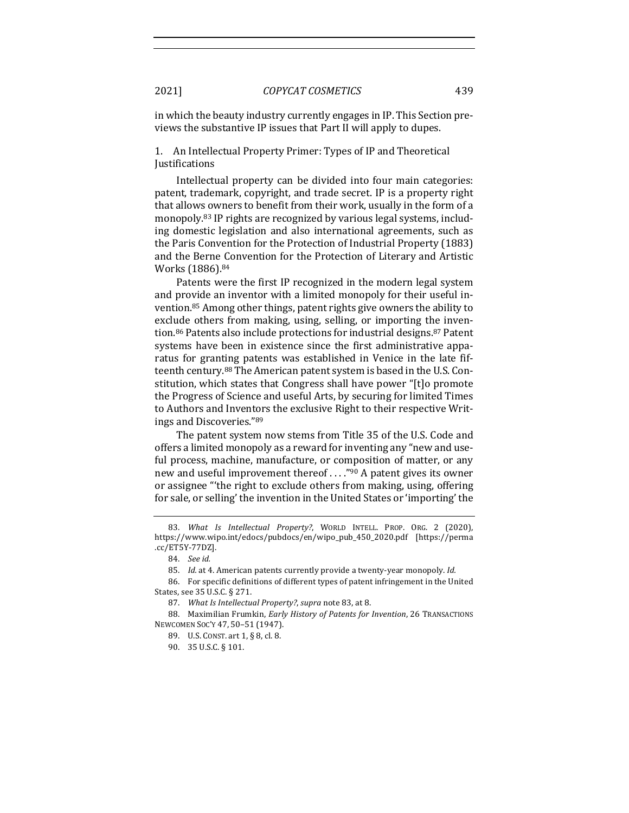in which the beauty industry currently engages in IP. This Section previews the substantive IP issues that Part II will apply to dupes.

1. An Intellectual Property Primer: Types of IP and Theoretical Justifications

Intellectual property can be divided into four main categories: patent, trademark, copyright, and trade secret. IP is a property right that allows owners to benefit from their work, usually in the form of a monopoly.<sup>83</sup> IP rights are recognized by various legal systems, including domestic legislation and also international agreements, such as the Paris Convention for the Protection of Industrial Property (1883) and the Berne Convention for the Protection of Literary and Artistic Works (1886).<sup>84</sup>

Patents were the first IP recognized in the modern legal system and provide an inventor with a limited monopoly for their useful invention.<sup>85</sup> Among other things, patent rights give owners the ability to exclude others from making, using, selling, or importing the invention.<sup>86</sup> Patents also include protections for industrial designs.<sup>87</sup> Patent systems have been in existence since the first administrative apparatus for granting patents was established in Venice in the late fifteenth century.<sup>88</sup> The American patent system is based in the U.S. Constitution, which states that Congress shall have power "[t]o promote the Progress of Science and useful Arts, by securing for limited Times to Authors and Inventors the exclusive Right to their respective Writings and Discoveries."89

The patent system now stems from Title 35 of the U.S. Code and offers a limited monopoly as a reward for inventing any "new and useful process, machine, manufacture, or composition of matter, or any new and useful improvement thereof ...."<sup>90</sup> A patent gives its owner or assignee "'the right to exclude others from making, using, offering for sale, or selling' the invention in the United States or 'importing' the

<sup>83.</sup> What Is Intellectual Property?, WORLD INTELL. PROP. ORG. 2 (2020), https://www.wipo.int/edocs/pubdocs/en/wipo\_pub\_450\_2020.pdf [https://perma .cc/ET5Y-77DZ]. 

<sup>84.</sup> *See id.* 

<sup>85.</sup> *Id.* at 4. American patents currently provide a twenty-year monopoly. *Id.* 

<sup>86.</sup> For specific definitions of different types of patent infringement in the United States, see 35 U.S.C. § 271.

<sup>87.</sup> *What Is Intellectual Property?, supra note* 83, at 8.

<sup>88.</sup> Maximilian Frumkin, *Early History of Patents for Invention*, 26 TRANSACTIONS NEWCOMEN SOC'Y 47, 50–51 (1947). 

<sup>89.</sup> U.S. CONST. art 1, § 8, cl. 8.

<sup>90. 35</sup> U.S.C. § 101.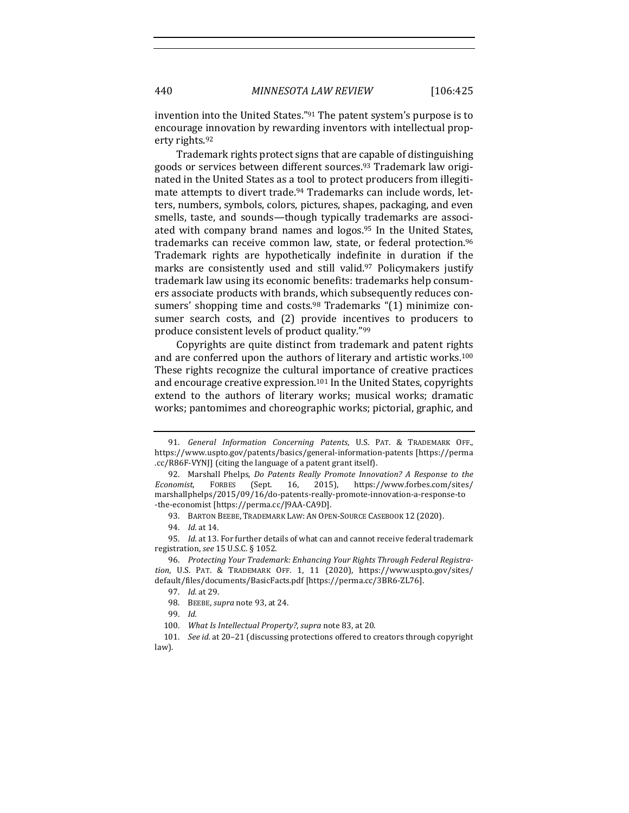invention into the United States." $91$  The patent system's purpose is to encourage innovation by rewarding inventors with intellectual property rights.<sup>92</sup>

Trademark rights protect signs that are capable of distinguishing goods or services between different sources.<sup>93</sup> Trademark law originated in the United States as a tool to protect producers from illegitimate attempts to divert trade.<sup>94</sup> Trademarks can include words, letters, numbers, symbols, colors, pictures, shapes, packaging, and even smells, taste, and sounds—though typically trademarks are associated with company brand names and  $logos.95$  In the United States, trademarks can receive common law, state, or federal protection.<sup>96</sup> Trademark rights are hypothetically indefinite in duration if the marks are consistently used and still valid.<sup>97</sup> Policymakers justify trademark law using its economic benefits: trademarks help consumers associate products with brands, which subsequently reduces consumers' shopping time and costs.<sup>98</sup> Trademarks  $(1)$  minimize consumer search costs, and (2) provide incentives to producers to produce consistent levels of product quality."99

Copyrights are quite distinct from trademark and patent rights and are conferred upon the authors of literary and artistic works.<sup>100</sup> These rights recognize the cultural importance of creative practices and encourage creative expression.<sup>101</sup> In the United States, copyrights extend to the authors of literary works; musical works; dramatic works; pantomimes and choreographic works; pictorial, graphic, and

<sup>91.</sup> *General Information Concerning Patents*, U.S. PAT. & TRADEMARK OFF., https://www.uspto.gov/patents/basics/general-information-patents [https://perma .cc/R86F-VYNJ] (citing the language of a patent grant itself).

<sup>92.</sup> Marshall Phelps, *Do Patents Really Promote Innovation?* A Response to the Economist, FORBES (Sept. 16, 2015), https://www.forbes.com/sites/ marshallphelps/2015/09/16/do-patents-really-promote-innovation-a-response-to -the-economist [https://perma.cc/J9AA-CA9D].

<sup>93.</sup> BARTON BEEBE, TRADEMARK LAW: AN OPEN-SOURCE CASEBOOK 12 (2020).

<sup>94.</sup> *Id.* at 14.

<sup>95.</sup> Id. at 13. For further details of what can and cannot receive federal trademark registration, *see* 15 U.S.C. § 1052. 

<sup>96.</sup> Protecting Your Trademark: Enhancing Your Rights Through Federal Registration, U.S. PAT. & TRADEMARK OFF. 1, 11 (2020), https://www.uspto.gov/sites/ default/files/documents/BasicFacts.pdf [https://perma.cc/3BR6-ZL76].

<sup>97.</sup> *Id.* at 29.

<sup>98.</sup> BEEBE, *supra* note 93, at 24.

<sup>99.</sup> *Id.* 

<sup>100.</sup> *What Is Intellectual Property?, supra* note 83, at 20.

<sup>101.</sup> *See id.* at 20-21 (discussing protections offered to creators through copyright law).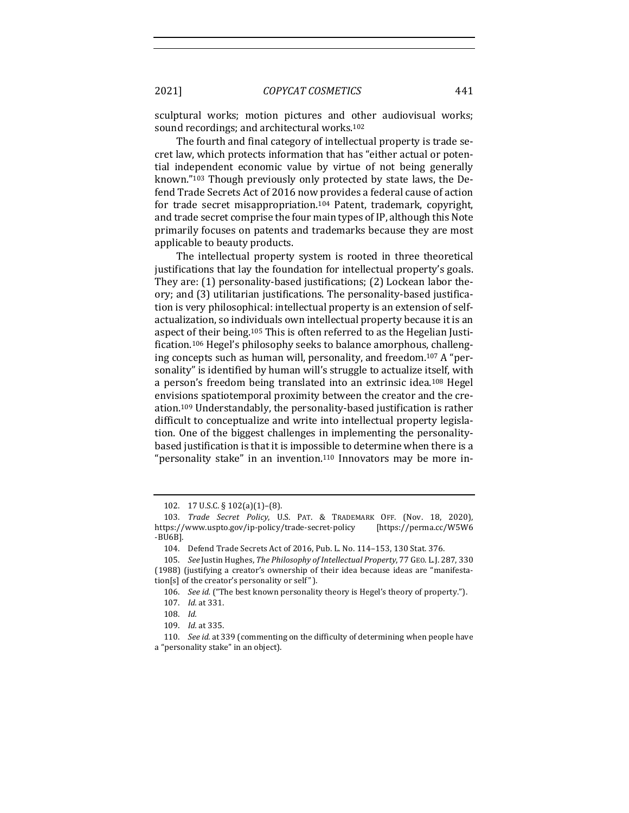sculptural works; motion pictures and other audiovisual works; sound recordings; and architectural works.<sup>102</sup>

The fourth and final category of intellectual property is trade secret law, which protects information that has "either actual or potential independent economic value by virtue of not being generally known." $103$  Though previously only protected by state laws, the Defend Trade Secrets Act of 2016 now provides a federal cause of action for trade secret misappropriation.<sup>104</sup> Patent, trademark, copyright, and trade secret comprise the four main types of IP, although this Note primarily focuses on patents and trademarks because they are most applicable to beauty products.

The intellectual property system is rooted in three theoretical justifications that lay the foundation for intellectual property's goals. They are:  $(1)$  personality-based justifications;  $(2)$  Lockean labor theory; and (3) utilitarian justifications. The personality-based justification is very philosophical: intellectual property is an extension of selfactualization, so individuals own intellectual property because it is an aspect of their being.<sup>105</sup> This is often referred to as the Hegelian Justification.<sup>106</sup> Hegel's philosophy seeks to balance amorphous, challenging concepts such as human will, personality, and freedom.<sup>107</sup> A "personality" is identified by human will's struggle to actualize itself, with a person's freedom being translated into an extrinsic idea.<sup>108</sup> Hegel envisions spatiotemporal proximity between the creator and the creation.<sup>109</sup> Understandably, the personality-based justification is rather difficult to conceptualize and write into intellectual property legislation. One of the biggest challenges in implementing the personalitybased justification is that it is impossible to determine when there is a "personality stake" in an invention.<sup>110</sup> Innovators may be more in-

110. *See id.* at 339 (commenting on the difficulty of determining when people have a "personality stake" in an object).

<sup>102. 17</sup> U.S.C. § 102(a)(1)-(8).

<sup>103.</sup> *Trade Secret Policy*, U.S. PAT. & TRADEMARK OFF. (Nov. 18, 2020), https://www.uspto.gov/ip-policy/trade-secret-policy [https://perma.cc/W5W6 -BU6B]. 

<sup>104.</sup> Defend Trade Secrets Act of 2016, Pub. L. No. 114-153, 130 Stat. 376.

<sup>105.</sup> *See Justin Hughes, The Philosophy of Intellectual Property, 77 GEO. L.J. 287, 330* (1988) (justifying a creator's ownership of their idea because ideas are "manifesta- $\text{tion}[s]$  of the creator's personality or self").

<sup>106.</sup> *See id.* ("The best known personality theory is Hegel's theory of property.").

<sup>107.</sup> *Id.* at 331.

<sup>108.</sup> *Id.* 

<sup>109.</sup> *Id.* at 335.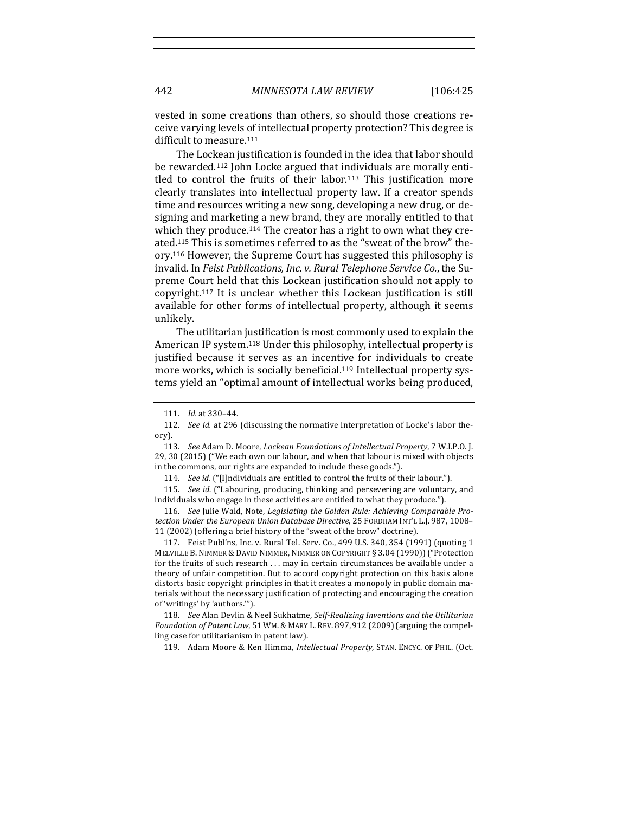vested in some creations than others, so should those creations receive varying levels of intellectual property protection? This degree is difficult to measure.<sup>111</sup>

The Lockean justification is founded in the idea that labor should be rewarded.<sup>112</sup> John Locke argued that individuals are morally entitled to control the fruits of their labor.<sup>113</sup> This justification more clearly translates into intellectual property law. If a creator spends time and resources writing a new song, developing a new drug, or designing and marketing a new brand, they are morally entitled to that which they produce.<sup>114</sup> The creator has a right to own what they created.<sup>115</sup> This is sometimes referred to as the "sweat of the brow" theory.<sup>116</sup> However, the Supreme Court has suggested this philosophy is invalid. In *Feist Publications, Inc. v. Rural Telephone Service Co.*, the Supreme Court held that this Lockean justification should not apply to copyright.<sup>117</sup> It is unclear whether this Lockean justification is still available for other forms of intellectual property, although it seems unlikely.

The utilitarian justification is most commonly used to explain the American IP system.<sup>118</sup> Under this philosophy, intellectual property is justified because it serves as an incentive for individuals to create more works, which is socially beneficial.<sup>119</sup> Intellectual property systems yield an "optimal amount of intellectual works being produced,

114. *See id.* ("[I]ndividuals are entitled to control the fruits of their labour.").

115. *See id.* ("Labouring, producing, thinking and persevering are voluntary, and individuals who engage in these activities are entitled to what they produce.").

116. See Julie Wald, Note, Legislating the Golden Rule: Achieving Comparable Pro*tection Under the European Union Database Directive*, 25 FORDHAM INT'L L.J. 987, 1008– 11 (2002) (offering a brief history of the "sweat of the brow" doctrine).

117. Feist Publ'ns, Inc. v. Rural Tel. Serv. Co., 499 U.S. 340, 354 (1991) (quoting 1 MELVILLE B. NIMMER & DAVID NIMMER, NIMMER ON COPYRIGHT § 3.04 (1990)) ("Protection for the fruits of such research ... may in certain circumstances be available under a theory of unfair competition. But to accord copyright protection on this basis alone distorts basic copyright principles in that it creates a monopoly in public domain materials without the necessary justification of protecting and encouraging the creation of 'writings' by 'authors."").

118. *See* Alan Devlin & Neel Sukhatme, *Self-Realizing Inventions and the Utilitarian Foundation of Patent Law*, 51 WM. & MARY L. REV. 897, 912 (2009) (arguing the compelling case for utilitarianism in patent law).

119. Adam Moore & Ken Himma, *Intellectual Property*, STAN. ENCYC. OF PHIL. (Oct.

<sup>111.</sup> *Id.* at 330-44.

<sup>112.</sup> *See id.* at 296 (discussing the normative interpretation of Locke's labor theory). 

<sup>113.</sup> *See Adam D. Moore, Lockean Foundations of Intellectual Property, 7 W.I.P.O.J.* 29, 30 (2015) ("We each own our labour, and when that labour is mixed with objects in the commons, our rights are expanded to include these goods.").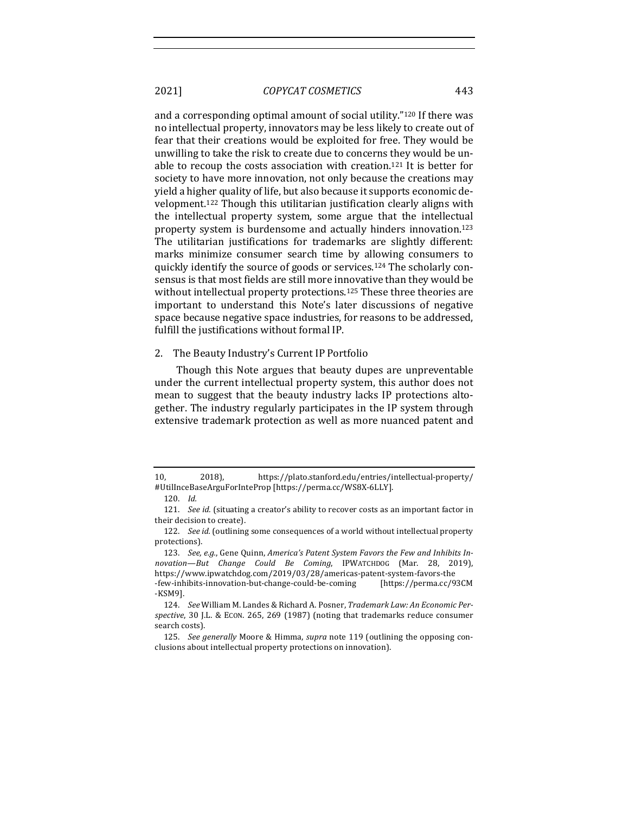and a corresponding optimal amount of social utility."<sup>120</sup> If there was no intellectual property, innovators may be less likely to create out of fear that their creations would be exploited for free. They would be unwilling to take the risk to create due to concerns they would be unable to recoup the costs association with creation.<sup>121</sup> It is better for society to have more innovation, not only because the creations may yield a higher quality of life, but also because it supports economic development.<sup>122</sup> Though this utilitarian justification clearly aligns with the intellectual property system, some argue that the intellectual property system is burdensome and actually hinders innovation.<sup>123</sup> The utilitarian justifications for trademarks are slightly different: marks minimize consumer search time by allowing consumers to quickly identify the source of goods or services.<sup>124</sup> The scholarly consensus is that most fields are still more innovative than they would be without intellectual property protections.<sup>125</sup> These three theories are important to understand this Note's later discussions of negative space because negative space industries, for reasons to be addressed, fulfill the justifications without formal IP.

#### 2. The Beauty Industry's Current IP Portfolio

Though this Note argues that beauty dupes are unpreventable under the current intellectual property system, this author does not mean to suggest that the beauty industry lacks IP protections altogether. The industry regularly participates in the IP system through extensive trademark protection as well as more nuanced patent and

-KSM9]. 

<sup>10, 2018),</sup>  https://plato.stanford.edu/entries/intellectual-property/ #UtilInceBaseArguForInteProp [https://perma.cc/WS8X-6LLY]. 

<sup>120.</sup> *Id.* 

<sup>121.</sup> *See id.* (situating a creator's ability to recover costs as an important factor in their decision to create).

<sup>122.</sup> *See id.* (outlining some consequences of a world without intellectual property protections).

<sup>123.</sup> See, e.g., Gene Quinn, America's Patent System Favors the Few and Inhibits In*novation—But Change Could Be Coming*, IPWATCHDOG (Mar. 28, 2019), https://www.ipwatchdog.com/2019/03/28/americas-patent-system-favors-the -few-inhibits-innovation-but-change-could-be-coming [https://perma.cc/93CM

<sup>124.</sup> See William M. Landes & Richard A. Posner, Trademark Law: An Economic Perspective, 30 J.L. & ECON. 265, 269 (1987) (noting that trademarks reduce consumer search costs).

<sup>125.</sup> *See generally* Moore & Himma, *supra* note 119 (outlining the opposing conclusions about intellectual property protections on innovation).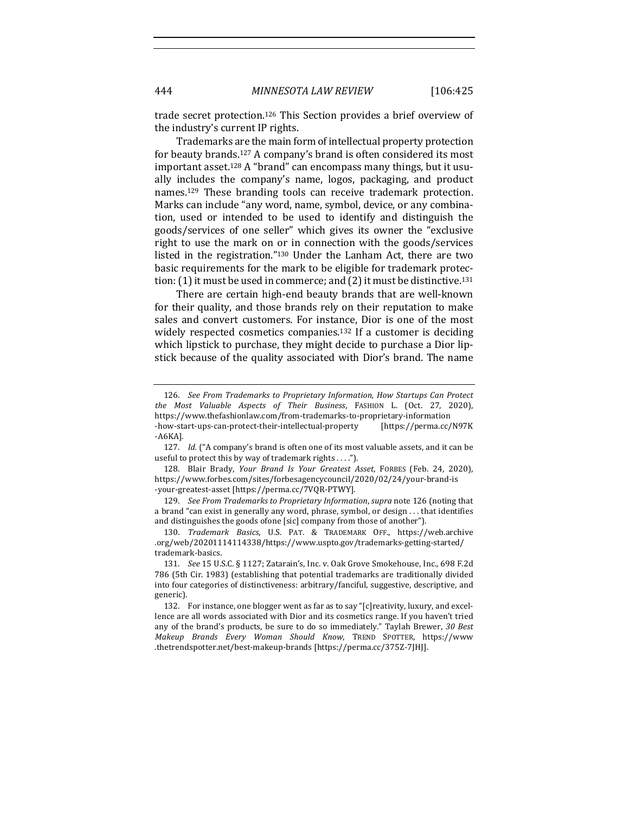trade secret protection.<sup>126</sup> This Section provides a brief overview of the industry's current IP rights.

Trademarks are the main form of intellectual property protection for beauty brands.<sup>127</sup> A company's brand is often considered its most important asset.<sup>128</sup> A "brand" can encompass many things, but it usually includes the company's name, logos, packaging, and product names.<sup>129</sup> These branding tools can receive trademark protection. Marks can include "any word, name, symbol, device, or any combination, used or intended to be used to identify and distinguish the goods/services of one seller" which gives its owner the "exclusive right to use the mark on or in connection with the goods/services listed in the registration." $130$  Under the Lanham Act, there are two basic requirements for the mark to be eligible for trademark protection:  $(1)$  it must be used in commerce; and  $(2)$  it must be distinctive.<sup>131</sup>

There are certain high-end beauty brands that are well-known for their quality, and those brands rely on their reputation to make sales and convert customers. For instance, Dior is one of the most widely respected cosmetics companies.<sup>132</sup> If a customer is deciding which lipstick to purchase, they might decide to purchase a Dior lipstick because of the quality associated with Dior's brand. The name

129. *See From Trademarks to Proprietary Information, supra* note 126 (noting that a brand "can exist in generally any word, phrase, symbol, or design  $\dots$  that identifies and distinguishes the goods ofone [sic] company from those of another").

130. *Trademark Basics*, U.S. PAT. & TRADEMARK OFF., https://web.archive .org/web/20201114114338/https://www.uspto.gov/trademarks-getting-started/ trademark-basics.

<sup>126.</sup> See From Trademarks to Proprietary Information, How Startups Can Protect *the Most Valuable Aspects of Their Business*, FASHION L. (Oct. 27, 2020), https://www.thefashionlaw.com/from-trademarks-to-proprietary-information -how-start-ups-can-protect-their-intellectual-property [https://perma.cc/N97K -A6KA].

<sup>127.</sup> *Id.* ("A company's brand is often one of its most valuable assets, and it can be useful to protect this by way of trademark rights  $\dots$ .").

<sup>128.</sup> Blair Brady, *Your Brand Is Your Greatest Asset*, FORBES (Feb. 24, 2020), https://www.forbes.com/sites/forbesagencycouncil/2020/02/24/your-brand-is -your-greatest-asset [https://perma.cc/7VQR-PTWY].

<sup>131.</sup> *See* 15 U.S.C. § 1127; Zatarain's, Inc. v. Oak Grove Smokehouse, Inc., 698 F.2d 786 (5th Cir. 1983) (establishing that potential trademarks are traditionally divided into four categories of distinctiveness: arbitrary/fanciful, suggestive, descriptive, and generic). 

<sup>132.</sup> For instance, one blogger went as far as to say "[c] reativity, luxury, and excellence are all words associated with Dior and its cosmetics range. If you haven't tried any of the brand's products, be sure to do so immediately." Taylah Brewer, 30 Best *Makeup Brands Every Woman Should Know*, TREND SPOTTER, https://www .thetrendspotter.net/best-makeup-brands [https://perma.cc/375Z-7JHJ].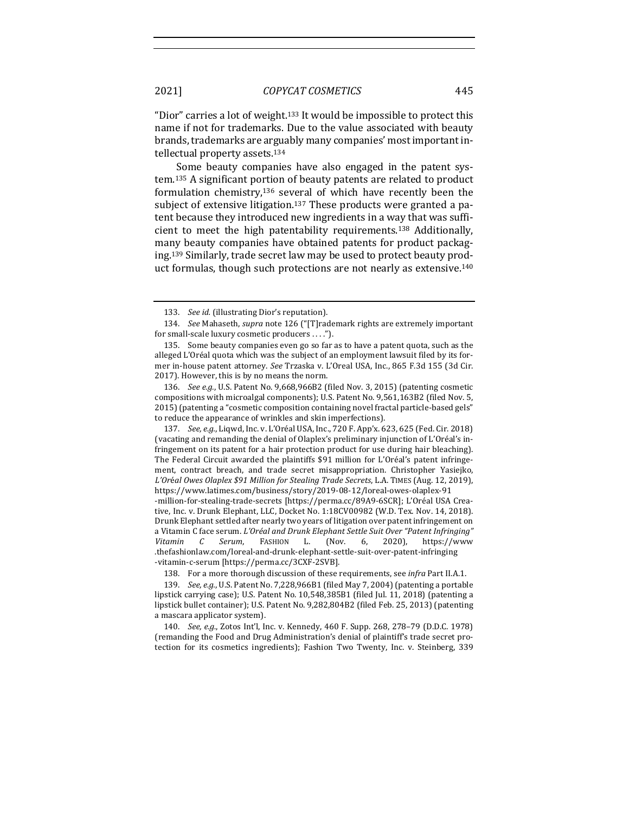"Dior" carries a lot of weight.<sup>133</sup> It would be impossible to protect this name if not for trademarks. Due to the value associated with beauty brands, trademarks are arguably many companies' most important intellectual property assets.<sup>134</sup>

Some beauty companies have also engaged in the patent system.<sup>135</sup> A significant portion of beauty patents are related to product formulation chemistry,<sup>136</sup> several of which have recently been the subject of extensive litigation.<sup>137</sup> These products were granted a patent because they introduced new ingredients in a way that was sufficient to meet the high patentability requirements.<sup>138</sup> Additionally, many beauty companies have obtained patents for product packaging.<sup>139</sup> Similarly, trade secret law may be used to protect beauty product formulas, though such protections are not nearly as extensive.<sup>140</sup>

137. *See, e.g.*, Liqwd, Inc. v. L'Oréal USA, Inc., 720 F. App'x. 623, 625 (Fed. Cir. 2018) (vacating and remanding the denial of Olaplex's preliminary injunction of L'Oréal's infringement on its patent for a hair protection product for use during hair bleaching). The Federal Circuit awarded the plaintiffs \$91 million for L'Oréal's patent infringement, contract breach, and trade secret misappropriation. Christopher Yasiejko, *L'Or*é*al Owes Olaplex \$91 Million for Stealing Trade Secrets*, L.A. TIMES (Aug. 12, 2019), https://www.latimes.com/business/story/2019-08-12/loreal-owes-olaplex-91 -million-for-stealing-trade-secrets [https://perma.cc/89A9-6SCR]; L'Oréal USA Creative, Inc. v. Drunk Elephant, LLC, Docket No. 1:18CV00982 (W.D. Tex. Nov. 14, 2018). Drunk Elephant settled after nearly two years of litigation over patent infringement on a Vitamin C face serum. L'Oréal and Drunk Elephant Settle Suit Over "Patent Infringing" Vitamin C Serum, FASHION L. (Nov. 6, 2020), https://www

.thefashionlaw.com/loreal-and-drunk-elephant-settle-suit-over-patent-infringing -vitamin-c-serum [https://perma.cc/3CXF-2SVB].

138. For a more thorough discussion of these requirements, see *infra* Part II.A.1.

139. *See, e.g.*, U.S. Patent No. 7,228,966B1 (filed May 7, 2004) (patenting a portable lipstick carrying case); U.S. Patent No. 10,548,385B1 (filed Jul. 11, 2018) (patenting a lipstick bullet container); U.S. Patent No. 9,282,804B2 (filed Feb. 25, 2013) (patenting a mascara applicator system).

140. *See, e.g.*, Zotos Int'l, Inc. v. Kennedy, 460 F. Supp. 268, 278-79 (D.D.C. 1978) (remanding the Food and Drug Administration's denial of plaintiff's trade secret protection for its cosmetics ingredients); Fashion Two Twenty, Inc. v. Steinberg, 339

<sup>133.</sup> See id. (illustrating Dior's reputation).

<sup>134.</sup> *See* Mahaseth, *supra* note 126 ("[T]rademark rights are extremely important for small-scale luxury cosmetic producers . . . .").

<sup>135.</sup> Some beauty companies even go so far as to have a patent quota, such as the alleged  $L'$ Oréal quota which was the subject of an employment lawsuit filed by its former in-house patent attorney. See Trzaska v. L'Oreal USA, Inc., 865 F.3d 155 (3d Cir. 2017). However, this is by no means the norm.

<sup>136.</sup> *See e.g.*, U.S. Patent No. 9,668,966B2 (filed Nov. 3, 2015) (patenting cosmetic compositions with microalgal components); U.S. Patent No. 9,561,163B2 (filed Nov. 5, 2015) (patenting a "cosmetic composition containing novel fractal particle-based gels" to reduce the appearance of wrinkles and skin imperfections).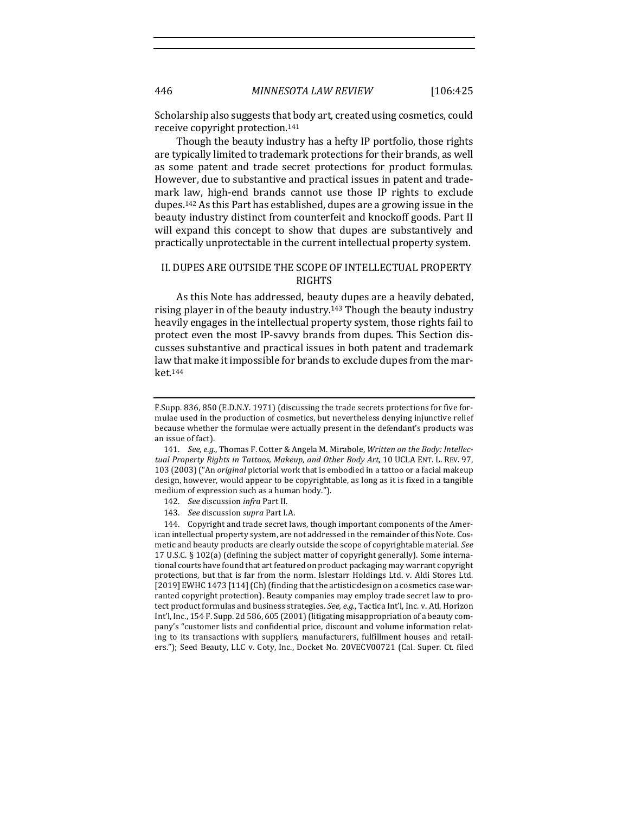Scholarship also suggests that body art, created using cosmetics, could receive copyright protection.<sup>141</sup>

Though the beauty industry has a hefty IP portfolio, those rights are typically limited to trademark protections for their brands, as well as some patent and trade secret protections for product formulas. However, due to substantive and practical issues in patent and trademark law, high-end brands cannot use those IP rights to exclude dupes.<sup>142</sup> As this Part has established, dupes are a growing issue in the beauty industry distinct from counterfeit and knockoff goods. Part II will expand this concept to show that dupes are substantively and practically unprotectable in the current intellectual property system.

## II. DUPES ARE OUTSIDE THE SCOPE OF INTELLECTUAL PROPERTY RIGHTS

As this Note has addressed, beauty dupes are a heavily debated, rising player in of the beauty industry.<sup>143</sup> Though the beauty industry heavily engages in the intellectual property system, those rights fail to protect even the most IP-savvy brands from dupes. This Section discusses substantive and practical issues in both patent and trademark law that make it impossible for brands to exclude dupes from the market.144

144. Copyright and trade secret laws, though important components of the American intellectual property system, are not addressed in the remainder of this Note. Cosmetic and beauty products are clearly outside the scope of copyrightable material. See 17 U.S.C.  $\S$  102(a) (defining the subject matter of copyright generally). Some international courts have found that art featured on product packaging may warrant copyright protections, but that is far from the norm. Islestarr Holdings Ltd. v. Aldi Stores Ltd.  $[2019]$  EWHC 1473  $[114]$  (Ch) (finding that the artistic design on a cosmetics case warranted copyright protection). Beauty companies may employ trade secret law to protect product formulas and business strategies. See, e.g., Tactica Int'l, Inc. v. Atl. Horizon Int'l, Inc., 154 F. Supp. 2d 586, 605 (2001) (litigating misappropriation of a beauty company's "customer lists and confidential price, discount and volume information relating to its transactions with suppliers, manufacturers, fulfillment houses and retailers."); Seed Beauty, LLC v. Coty, Inc., Docket No. 20VECV00721 (Cal. Super. Ct. filed

F.Supp. 836, 850 (E.D.N.Y. 1971) (discussing the trade secrets protections for five formulae used in the production of cosmetics, but nevertheless denying injunctive relief because whether the formulae were actually present in the defendant's products was an issue of fact).

<sup>141.</sup> See, e.g., Thomas F. Cotter & Angela M. Mirabole, Written on the Body: Intellec*tual Property Rights in Tattoos, Makeup, and Other Body Art, 10 UCLA ENT. L. REV. 97,* 103 (2003) ("An *original* pictorial work that is embodied in a tattoo or a facial makeup design, however, would appear to be copyrightable, as long as it is fixed in a tangible medium of expression such as a human body.").

<sup>142.</sup> *See* discussion *infra* Part II.

<sup>143.</sup> *See* discussion *supra* Part I.A.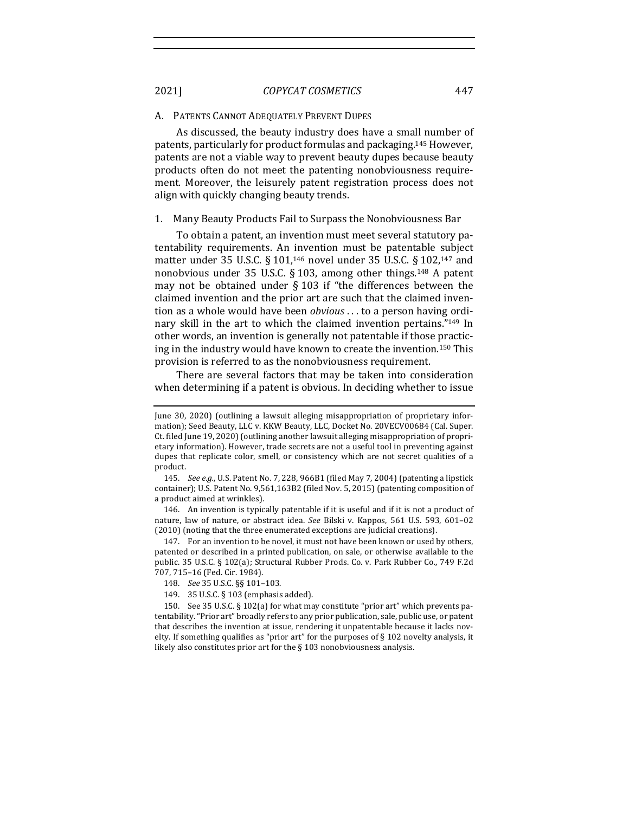#### A. PATENTS CANNOT ADEQUATELY PREVENT DUPES

As discussed, the beauty industry does have a small number of patents, particularly for product formulas and packaging.<sup>145</sup> However, patents are not a viable way to prevent beauty dupes because beauty products often do not meet the patenting nonobviousness requirement. Moreover, the leisurely patent registration process does not align with quickly changing beauty trends.

#### 1. Many Beauty Products Fail to Surpass the Nonobviousness Bar

To obtain a patent, an invention must meet several statutory patentability requirements. An invention must be patentable subject matter under 35 U.S.C. § 101,<sup>146</sup> novel under 35 U.S.C. § 102,<sup>147</sup> and nonobvious under  $35$  U.S.C. § 103, among other things.<sup>148</sup> A patent may not be obtained under  $\S$  103 if "the differences between the claimed invention and the prior art are such that the claimed invention as a whole would have been *obvious* ... to a person having ordinary skill in the art to which the claimed invention pertains."<sup>149</sup> In other words, an invention is generally not patentable if those practicing in the industry would have known to create the invention.<sup>150</sup> This provision is referred to as the nonobviousness requirement.

There are several factors that may be taken into consideration when determining if a patent is obvious. In deciding whether to issue

146. An invention is typically patentable if it is useful and if it is not a product of nature, law of nature, or abstract idea. See Bilski v. Kappos, 561 U.S. 593, 601-02 (2010) (noting that the three enumerated exceptions are judicial creations).

147. For an invention to be novel, it must not have been known or used by others, patented or described in a printed publication, on sale, or otherwise available to the public. 35 U.S.C. § 102(a); Structural Rubber Prods. Co. v. Park Rubber Co., 749 F.2d 707, 715-16 (Fed. Cir. 1984).

150. See 35 U.S.C. § 102(a) for what may constitute "prior art" which prevents patentability. "Prior art" broadly refers to any prior publication, sale, public use, or patent that describes the invention at issue, rendering it unpatentable because it lacks novelty. If something qualifies as "prior art" for the purposes of  $\S$  102 novelty analysis, it likely also constitutes prior art for the  $\S$  103 nonobviousness analysis.

June 30, 2020) (outlining a lawsuit alleging misappropriation of proprietary information); Seed Beauty, LLC v. KKW Beauty, LLC, Docket No. 20VECV00684 (Cal. Super. Ct. filed June 19, 2020) (outlining another lawsuit alleging misappropriation of proprietary information). However, trade secrets are not a useful tool in preventing against dupes that replicate color, smell, or consistency which are not secret qualities of a product.

<sup>145.</sup> *See e.g.*, U.S. Patent No. 7, 228, 966B1 (filed May 7, 2004) (patenting a lipstick container); U.S. Patent No. 9,561,163B2 (filed Nov. 5, 2015) (patenting composition of a product aimed at wrinkles).

<sup>148.</sup> *See* 35 U.S.C. §§ 101–103.

<sup>149. 35</sup> U.S.C. § 103 (emphasis added).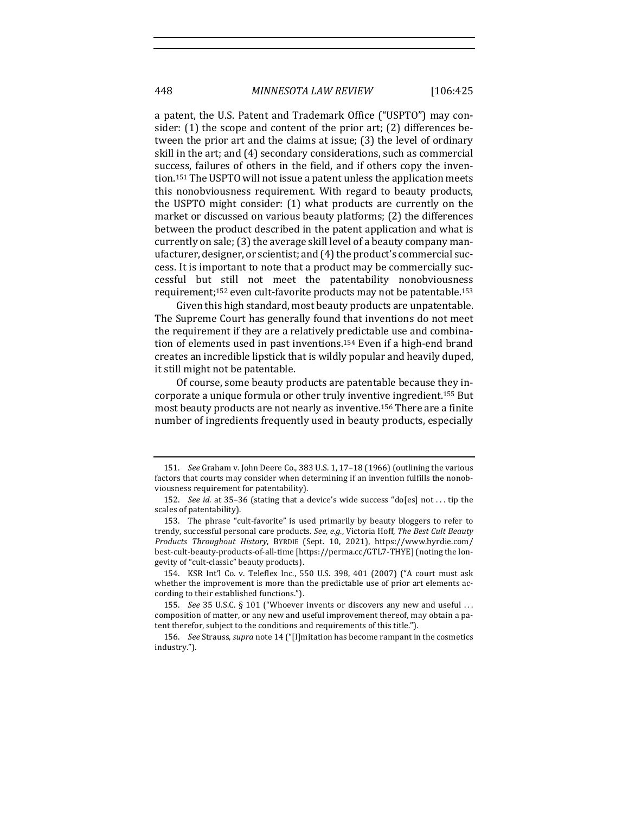a patent, the U.S. Patent and Trademark Office ("USPTO") may consider:  $(1)$  the scope and content of the prior art;  $(2)$  differences between the prior art and the claims at issue;  $(3)$  the level of ordinary skill in the art; and (4) secondary considerations, such as commercial success, failures of others in the field, and if others copy the invention.<sup>151</sup> The USPTO will not issue a patent unless the application meets this nonobviousness requirement. With regard to beauty products, the USPTO might consider: (1) what products are currently on the market or discussed on various beauty platforms; (2) the differences between the product described in the patent application and what is currently on sale; (3) the average skill level of a beauty company manufacturer, designer, or scientist; and (4) the product's commercial success. It is important to note that a product may be commercially successful but still not meet the patentability nonobviousness requirement;<sup>152</sup> even cult-favorite products may not be patentable.<sup>153</sup>

Given this high standard, most beauty products are unpatentable. The Supreme Court has generally found that inventions do not meet the requirement if they are a relatively predictable use and combination of elements used in past inventions.<sup>154</sup> Even if a high-end brand creates an incredible lipstick that is wildly popular and heavily duped, it still might not be patentable.

Of course, some beauty products are patentable because they incorporate a unique formula or other truly inventive ingredient.<sup>155</sup> But most beauty products are not nearly as inventive.<sup>156</sup> There are a finite number of ingredients frequently used in beauty products, especially

<sup>151.</sup> *See* Graham v. John Deere Co., 383 U.S. 1, 17-18 (1966) (outlining the various factors that courts may consider when determining if an invention fulfills the nonobviousness requirement for patentability).

<sup>152.</sup> *See id.* at 35-36 (stating that a device's wide success "do[es] not ... tip the scales of patentability).

<sup>153.</sup> The phrase "cult-favorite" is used primarily by beauty bloggers to refer to trendy, successful personal care products. See, e.g., Victoria Hoff, The Best Cult Beauty *Products Throughout History*, BYRDIE (Sept. 10, 2021), https://www.byrdie.com/ best-cult-beauty-products-of-all-time [https://perma.cc/GTL7-THYE] (noting the longevity of "cult-classic" beauty products).

<sup>154.</sup> KSR Int'l Co. v. Teleflex Inc., 550 U.S. 398, 401 (2007) ("A court must ask whether the improvement is more than the predictable use of prior art elements according to their established functions.").

<sup>155.</sup> *See* 35 U.S.C. § 101 ("Whoever invents or discovers any new and useful ... composition of matter, or any new and useful improvement thereof, may obtain a patent therefor, subject to the conditions and requirements of this title.").

<sup>156.</sup> *See* Strauss, *supra* note 14 ("[I]mitation has become rampant in the cosmetics industry.").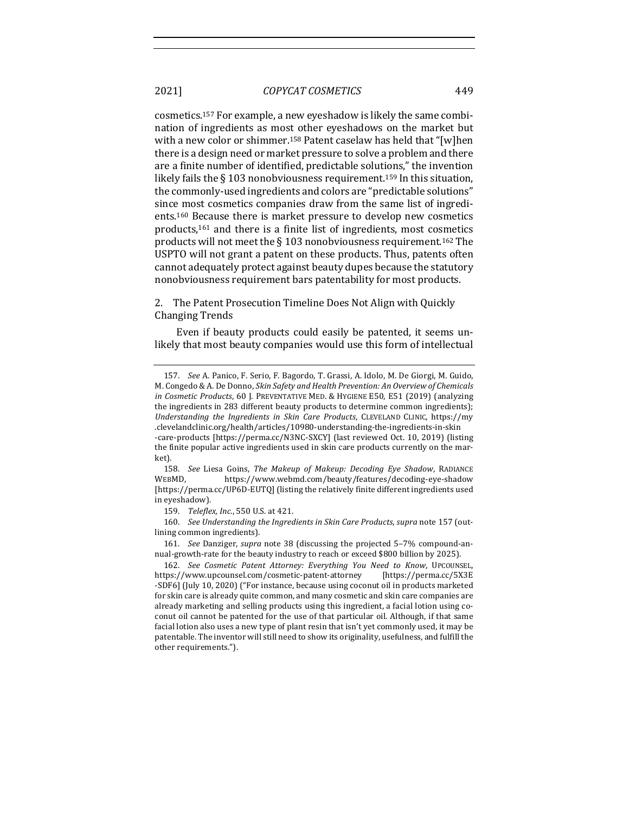cosmetics.<sup>157</sup> For example, a new eyeshadow is likely the same combination of ingredients as most other eyeshadows on the market but with a new color or shimmer.<sup>158</sup> Patent caselaw has held that "[w]hen there is a design need or market pressure to solve a problem and there are a finite number of identified, predictable solutions," the invention likely fails the  $\S$  103 nonobviousness requirement.<sup>159</sup> In this situation, the commonly-used ingredients and colors are "predictable solutions" since most cosmetics companies draw from the same list of ingredients.<sup>160</sup> Because there is market pressure to develop new cosmetics products, $161$  and there is a finite list of ingredients, most cosmetics products will not meet the  $\S 103$  nonobviousness requirement.<sup>162</sup> The USPTO will not grant a patent on these products. Thus, patents often cannot adequately protect against beauty dupes because the statutory nonobviousness requirement bars patentability for most products.

The Patent Prosecution Timeline Does Not Align with Quickly Changing Trends

Even if beauty products could easily be patented, it seems unlikely that most beauty companies would use this form of intellectual

<sup>157.</sup> *See* A. Panico, F. Serio, F. Bagordo, T. Grassi, A. Idolo, M. De Giorgi, M. Guido, M. Congedo & A. De Donno, *Skin Safety and Health Prevention: An Overview of Chemicals in Cosmetic Products*, 60 J. PREVENTATIVE MED. & HYGIENE E50, E51 (2019) (analyzing the ingredients in 283 different beauty products to determine common ingredients); Understanding the Ingredients in Skin Care Products, CLEVELAND CLINIC, https://my .clevelandclinic.org/health/articles/10980-understanding-the-ingredients-in-skin -care-products [https://perma.cc/N3NC-SXCY] (last reviewed Oct. 10, 2019) (listing the finite popular active ingredients used in skin care products currently on the market).

<sup>158.</sup> *See* Liesa Goins, *The Makeup of Makeup: Decoding Eye Shadow*, RADIANCE WEBMD, https://www.webmd.com/beauty/features/decoding-eye-shadow [https://perma.cc/UP6D-EUTQ] (listing the relatively finite different ingredients used in eyeshadow).

<sup>159.</sup> *Teleflex, Inc.*, 550 U.S. at 421.

<sup>160.</sup> *See Understanding the Ingredients in Skin Care Products, supra note* 157 (outlining common ingredients).

<sup>161.</sup> *See* Danziger, *supra* note 38 (discussing the projected 5-7% compound-annual-growth-rate for the beauty industry to reach or exceed \$800 billion by 2025).

<sup>162.</sup> See Cosmetic Patent Attorney: Everything You Need to Know, UPCOUNSEL, https://www.upcounsel.com/cosmetic-patent-attorney [https://perma.cc/5X3E -SDF6] (July 10, 2020) ("For instance, because using coconut oil in products marketed for skin care is already quite common, and many cosmetic and skin care companies are already marketing and selling products using this ingredient, a facial lotion using coconut oil cannot be patented for the use of that particular oil. Although, if that same facial lotion also uses a new type of plant resin that isn't yet commonly used, it may be patentable. The inventor will still need to show its originality, usefulness, and fulfill the other requirements.").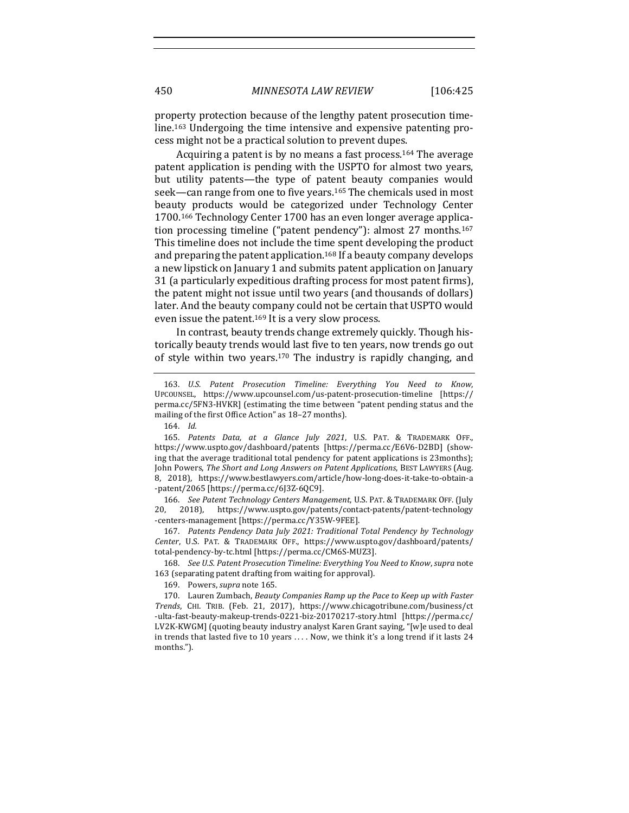property protection because of the lengthy patent prosecution timeline.<sup>163</sup> Undergoing the time intensive and expensive patenting process might not be a practical solution to prevent dupes.

Acquiring a patent is by no means a fast process.<sup>164</sup> The average patent application is pending with the USPTO for almost two years, but utility patents—the type of patent beauty companies would seek—can range from one to five years.<sup>165</sup> The chemicals used in most beauty products would be categorized under Technology Center 1700.<sup>166</sup> Technology Center 1700 has an even longer average application processing timeline ("patent pendency"): almost  $27$  months.<sup>167</sup> This timeline does not include the time spent developing the product and preparing the patent application.<sup>168</sup> If a beauty company develops a new lipstick on January 1 and submits patent application on January 31 (a particularly expeditious drafting process for most patent firms), the patent might not issue until two years (and thousands of dollars) later. And the beauty company could not be certain that USPTO would even issue the patent.<sup>169</sup> It is a very slow process.

In contrast, beauty trends change extremely quickly. Though historically beauty trends would last five to ten years, now trends go out of style within two years.<sup>170</sup> The industry is rapidly changing, and

166. *See Patent Technology Centers Management*, U.S. PAT. & TRADEMARK OFF. (July 20, 2018), https://www.uspto.gov/patents/contact-patents/patent-technology -centers-management [https://perma.cc/Y35W-9FEE].

167. Patents Pendency Data July 2021: Traditional Total Pendency by Technology *Center*, U.S. PAT. & TRADEMARK OFF., https://www.uspto.gov/dashboard/patents/ total-pendency-by-tc.html [https://perma.cc/CM6S-MUZ3].

168. *See U.S. Patent Prosecution Timeline: Everything You Need to Know, supra* note 163 (separating patent drafting from waiting for approval).

169. Powers, *supra* note 165.

170. Lauren Zumbach, *Beauty Companies Ramp up the Pace to Keep up with Faster Trends*, CHI. TRIB. (Feb. 21, 2017), https://www.chicagotribune.com/business/ct -ulta-fast-beauty-makeup-trends-0221-biz-20170217-story.html [https://perma.cc/ LV2K-KWGM] (quoting beauty industry analyst Karen Grant saying, "[w]e used to deal in trends that lasted five to 10 years .... Now, we think it's a long trend if it lasts 24 months.").

<sup>163.</sup> U.S. Patent Prosecution Timeline: Everything You Need to Know, UPCOUNSEL, https://www.upcounsel.com/us-patent-prosecution-timeline [https:// perma.cc/5FN3-HVKR] (estimating the time between "patent pending status and the mailing of the first Office Action" as 18-27 months).

<sup>164.</sup> *Id.* 

<sup>165.</sup> Patents Data, at a Glance July 2021, U.S. PAT. & TRADEMARK OFF., https://www.uspto.gov/dashboard/patents [https://perma.cc/E6V6-D2BD] (showing that the average traditional total pendency for patent applications is 23months); John Powers, The Short and Long Answers on Patent Applications, BEST LAWYERS (Aug. 8, 2018), https://www.bestlawyers.com/article/how-long-does-it-take-to-obtain-a -patent/2065 [https://perma.cc/6J3Z-6QC9].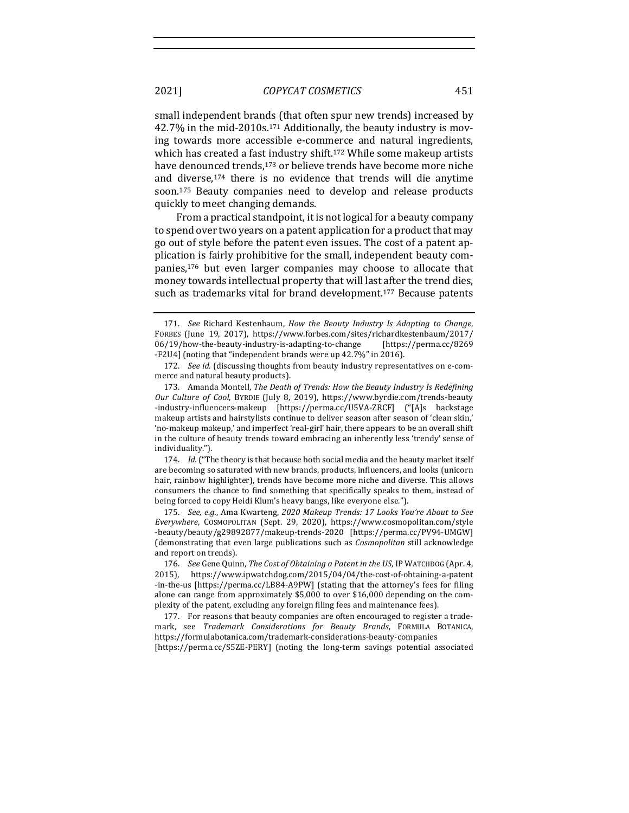small independent brands (that often spur new trends) increased by 42.7% in the mid-2010s.<sup>171</sup> Additionally, the beauty industry is moving towards more accessible e-commerce and natural ingredients, which has created a fast industry shift.<sup>172</sup> While some makeup artists have denounced trends,<sup>173</sup> or believe trends have become more niche and diverse,<sup>174</sup> there is no evidence that trends will die anytime soon.<sup>175</sup> Beauty companies need to develop and release products quickly to meet changing demands.

From a practical standpoint, it is not logical for a beauty company to spend over two years on a patent application for a product that may go out of style before the patent even issues. The cost of a patent application is fairly prohibitive for the small, independent beauty companies,<sup>176</sup> but even larger companies may choose to allocate that money towards intellectual property that will last after the trend dies, such as trademarks vital for brand development.<sup>177</sup> Because patents

174. *Id.* ("The theory is that because both social media and the beauty market itself are becoming so saturated with new brands, products, influencers, and looks (unicorn hair, rainbow highlighter), trends have become more niche and diverse. This allows consumers the chance to find something that specifically speaks to them, instead of being forced to copy Heidi Klum's heavy bangs, like everyone else.").

175. *See, e.g.*, Ama Kwarteng, 2020 Makeup Trends: 17 Looks You're About to See *Everywhere*, COSMOPOLITAN (Sept. 29, 2020), https://www.cosmopolitan.com/style -beauty/beauty/g29892877/makeup-trends-2020 [https://perma.cc/PV94-UMGW] (demonstrating that even large publications such as *Cosmopolitan* still acknowledge and report on trends).

<sup>171.</sup> *See* Richard Kestenbaum, *How the Beauty Industry Is Adapting to Change*, FORBES (June 19, 2017), https://www.forbes.com/sites/richardkestenbaum/2017/ 06/19/how-the-beauty-industry-is-adapting-to-change [https://perma.cc/8269 -F2U4] (noting that "independent brands were up 42.7%" in 2016).

<sup>172.</sup> *See id.* (discussing thoughts from beauty industry representatives on e-commerce and natural beauty products).

<sup>173.</sup> Amanda Montell, *The Death of Trends: How the Beauty Industry Is Redefining Our* Culture of Cool, BYRDIE (July 8, 2019), https://www.byrdie.com/trends-beauty -industry-influencers-makeup [https://perma.cc/U5VA-ZRCF] ("[A]s backstage makeup artists and hairstylists continue to deliver season after season of 'clean skin,' 'no-makeup makeup,' and imperfect 'real-girl' hair, there appears to be an overall shift in the culture of beauty trends toward embracing an inherently less 'trendy' sense of individuality.").

<sup>176.</sup> *See* Gene Quinn, *The Cost of Obtaining a Patent in the US*, IP WATCHDOG (Apr. 4, 2015), https://www.ipwatchdog.com/2015/04/04/the-cost-of-obtaining-a-patent -in-the-us [https://perma.cc/LB84-A9PW] (stating that the attorney's fees for filing alone can range from approximately  $$5,000$  to over  $$16,000$  depending on the complexity of the patent, excluding any foreign filing fees and maintenance fees).

<sup>177.</sup> For reasons that beauty companies are often encouraged to register a trademark, see *Trademark Considerations for Beauty Brands*, FORMULA BOTANICA, https://formulabotanica.com/trademark-considerations-beauty-companies [https://perma.cc/S5ZE-PERY] (noting the long-term savings potential associated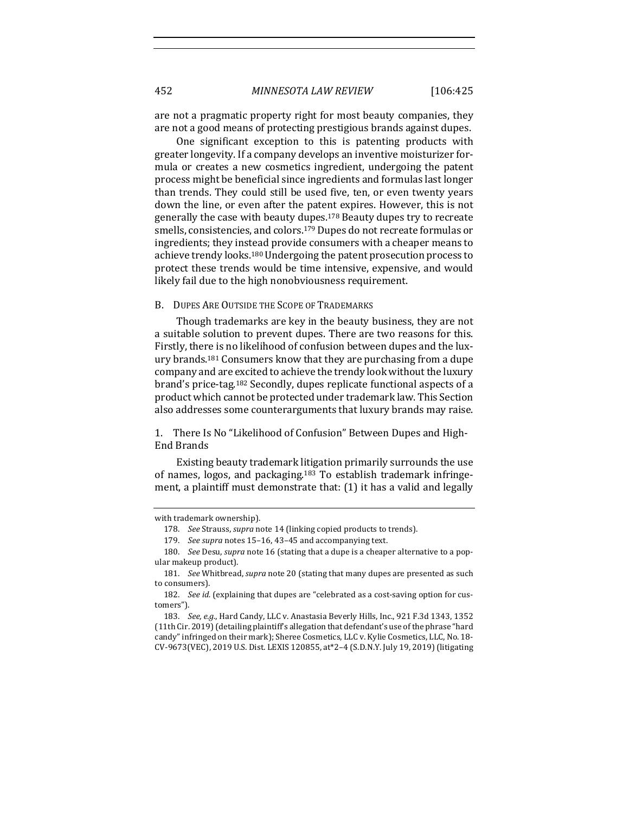are not a pragmatic property right for most beauty companies, they are not a good means of protecting prestigious brands against dupes.

One significant exception to this is patenting products with greater longevity. If a company develops an inventive moisturizer formula or creates a new cosmetics ingredient, undergoing the patent process might be beneficial since ingredients and formulas last longer than trends. They could still be used five, ten, or even twenty years down the line, or even after the patent expires. However, this is not generally the case with beauty dupes.<sup>178</sup> Beauty dupes try to recreate smells, consistencies, and colors.<sup>179</sup> Dupes do not recreate formulas or ingredients; they instead provide consumers with a cheaper means to achieve trendy looks.<sup>180</sup> Undergoing the patent prosecution process to protect these trends would be time intensive, expensive, and would likely fail due to the high nonobviousness requirement.

## B. DUPES ARE OUTSIDE THE SCOPE OF TRADEMARKS

Though trademarks are key in the beauty business, they are not a suitable solution to prevent dupes. There are two reasons for this. Firstly, there is no likelihood of confusion between dupes and the luxury brands.<sup>181</sup> Consumers know that they are purchasing from a dupe company and are excited to achieve the trendy look without the luxury brand's price-tag.<sup>182</sup> Secondly, dupes replicate functional aspects of a product which cannot be protected under trademark law. This Section also addresses some counterarguments that luxury brands may raise.

1. There Is No "Likelihood of Confusion" Between Dupes and High-End Brands

Existing beauty trademark litigation primarily surrounds the use of names, logos, and packaging.<sup>183</sup> To establish trademark infringement, a plaintiff must demonstrate that:  $(1)$  it has a valid and legally

with trademark ownership).

<sup>178.</sup> *See* Strauss, *supra* note 14 (linking copied products to trends).

<sup>179.</sup> See supra notes 15-16, 43-45 and accompanying text.

<sup>180.</sup> *See* Desu, *supra* note 16 (stating that a dupe is a cheaper alternative to a popular makeup product).

<sup>181.</sup> *See* Whitbread, *supra* note 20 (stating that many dupes are presented as such to consumers).

<sup>182.</sup> *See id.* (explaining that dupes are "celebrated as a cost-saving option for customers").

<sup>183.</sup> *See, e.g.*, Hard Candy, LLC v. Anastasia Beverly Hills, Inc., 921 F.3d 1343, 1352 (11th Cir. 2019) (detailing plaintiff's allegation that defendant's use of the phrase "hard candy" infringed on their mark); Sheree Cosmetics, LLC v. Kylie Cosmetics, LLC, No. 18-CV-9673(VEC), 2019 U.S. Dist. LEXIS 120855, at\*2-4 (S.D.N.Y. July 19, 2019) (litigating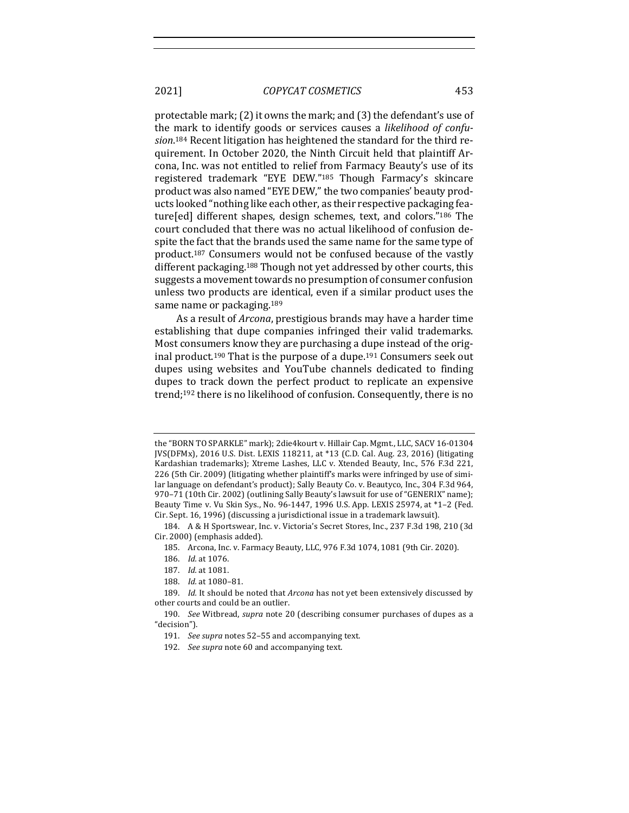protectable mark;  $(2)$  it owns the mark; and  $(3)$  the defendant's use of the mark to identify goods or services causes a *likelihood of confu*sion.<sup>184</sup> Recent litigation has heightened the standard for the third requirement. In October 2020, the Ninth Circuit held that plaintiff Arcona, Inc. was not entitled to relief from Farmacy Beauty's use of its registered trademark "EYE DEW."185 Though Farmacy's skincare product was also named "EYE DEW," the two companies' beauty products looked "nothing like each other, as their respective packaging feature[ed] different shapes, design schemes, text, and colors."<sup>186</sup> The court concluded that there was no actual likelihood of confusion despite the fact that the brands used the same name for the same type of product.<sup>187</sup> Consumers would not be confused because of the vastly different packaging.<sup>188</sup> Though not yet addressed by other courts, this suggests a movement towards no presumption of consumer confusion unless two products are identical, even if a similar product uses the same name or packaging.<sup>189</sup>

As a result of *Arcona*, prestigious brands may have a harder time establishing that dupe companies infringed their valid trademarks. Most consumers know they are purchasing a dupe instead of the original product.<sup>190</sup> That is the purpose of a dupe.<sup>191</sup> Consumers seek out dupes using websites and YouTube channels dedicated to finding dupes to track down the perfect product to replicate an expensive trend;<sup>192</sup> there is no likelihood of confusion. Consequently, there is no

188. *Id.* at 1080-81.

the "BORN TO SPARKLE" mark); 2die4kourt v. Hillair Cap. Mgmt., LLC, SACV 16-01304 JVS(DFMx), 2016 U.S. Dist. LEXIS 118211, at \*13 (C.D. Cal. Aug. 23, 2016) (litigating Kardashian trademarks); Xtreme Lashes, LLC v. Xtended Beauty, Inc., 576 F.3d 221, 226 (5th Cir. 2009) (litigating whether plaintiff's marks were infringed by use of similar language on defendant's product); Sally Beauty Co. v. Beautyco, Inc., 304 F.3d 964, 970-71 (10th Cir. 2002) (outlining Sally Beauty's lawsuit for use of "GENERIX" name); Beauty Time v. Vu Skin Sys., No. 96-1447, 1996 U.S. App. LEXIS 25974, at \*1-2 (Fed. Cir. Sept. 16, 1996) (discussing a jurisdictional issue in a trademark lawsuit).

<sup>184.</sup> A & H Sportswear, Inc. v. Victoria's Secret Stores, Inc., 237 F.3d 198, 210 (3d Cir. 2000) (emphasis added).

<sup>185.</sup> Arcona, Inc. v. Farmacy Beauty, LLC, 976 F.3d 1074, 1081 (9th Cir. 2020).

<sup>186.</sup> *Id.* at 1076.

<sup>187.</sup> *Id.* at 1081.

<sup>189.</sup> *Id.* It should be noted that Arcona has not yet been extensively discussed by other courts and could be an outlier.

<sup>190.</sup> *See* Witbread, *supra* note 20 (describing consumer purchases of dupes as a "decision"). 

<sup>191.</sup> *See supra* notes 52-55 and accompanying text.

<sup>192.</sup> See supra note 60 and accompanying text.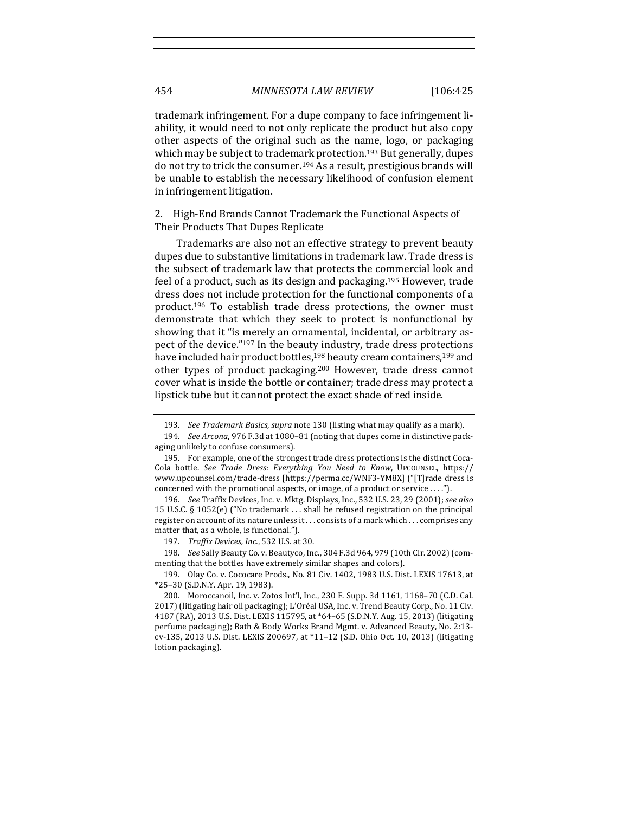trademark infringement. For a dupe company to face infringement liability, it would need to not only replicate the product but also copy other aspects of the original such as the name, logo, or packaging which may be subject to trademark protection.<sup>193</sup> But generally, dupes do not try to trick the consumer.<sup>194</sup> As a result, prestigious brands will be unable to establish the necessary likelihood of confusion element in infringement litigation.

2. High-End Brands Cannot Trademark the Functional Aspects of Their Products That Dupes Replicate

Trademarks are also not an effective strategy to prevent beauty dupes due to substantive limitations in trademark law. Trade dress is the subsect of trademark law that protects the commercial look and feel of a product, such as its design and packaging.<sup>195</sup> However, trade dress does not include protection for the functional components of a product.<sup>196</sup> To establish trade dress protections, the owner must demonstrate that which they seek to protect is nonfunctional by showing that it "is merely an ornamental, incidental, or arbitrary aspect of the device."<sup>197</sup> In the beauty industry, trade dress protections have included hair product bottles,<sup>198</sup> beauty cream containers,<sup>199</sup> and other types of product packaging.<sup>200</sup> However, trade dress cannot cover what is inside the bottle or container; trade dress may protect a lipstick tube but it cannot protect the exact shade of red inside.

<sup>193.</sup> *See Trademark Basics, supra* note 130 (listing what may qualify as a mark).

<sup>194.</sup> *See Arcona*, 976 F.3d at 1080-81 (noting that dupes come in distinctive packaging unlikely to confuse consumers).

<sup>195.</sup> For example, one of the strongest trade dress protections is the distinct Coca-Cola bottle. See Trade Dress: Everything You Need to Know, UPCOUNSEL, https:// www.upcounsel.com/trade-dress [https://perma.cc/WNF3-YM8X] ("[T]rade dress is concerned with the promotional aspects, or image, of a product or service  $\dots$ .").

<sup>196.</sup> *See* Traffix Devices, Inc. v. Mktg. Displays, Inc., 532 U.S. 23, 29 (2001); *see also* 15 U.S.C. § 1052(e) ("No trademark  $\ldots$  shall be refused registration on the principal register on account of its nature unless it ... consists of a mark which ... comprises any matter that, as a whole, is functional.").

<sup>197.</sup> *Traffix Devices, Inc.*, 532 U.S. at 30.

<sup>198.</sup> *See* Sally Beauty Co. v. Beautyco, Inc., 304 F.3d 964, 979 (10th Cir. 2002) (commenting that the bottles have extremely similar shapes and colors).

<sup>199.</sup> Olay Co. v. Cococare Prods., No. 81 Civ. 1402, 1983 U.S. Dist. LEXIS 17613, at \*25–30 (S.D.N.Y. Apr. 19, 1983). 

<sup>200.</sup> Moroccanoil, Inc. v. Zotos Int'l, Inc., 230 F. Supp. 3d 1161, 1168–70 (C.D. Cal. 2017) (litigating hair oil packaging); L'Oréal USA, Inc. v. Trend Beauty Corp., No. 11 Civ. 4187 (RA), 2013 U.S. Dist. LEXIS 115795, at \*64-65 (S.D.N.Y. Aug. 15, 2013) (litigating perfume packaging); Bath & Body Works Brand Mgmt. v. Advanced Beauty, No. 2:13cv-135, 2013 U.S. Dist. LEXIS 200697, at \*11-12 (S.D. Ohio Oct. 10, 2013) (litigating lotion packaging).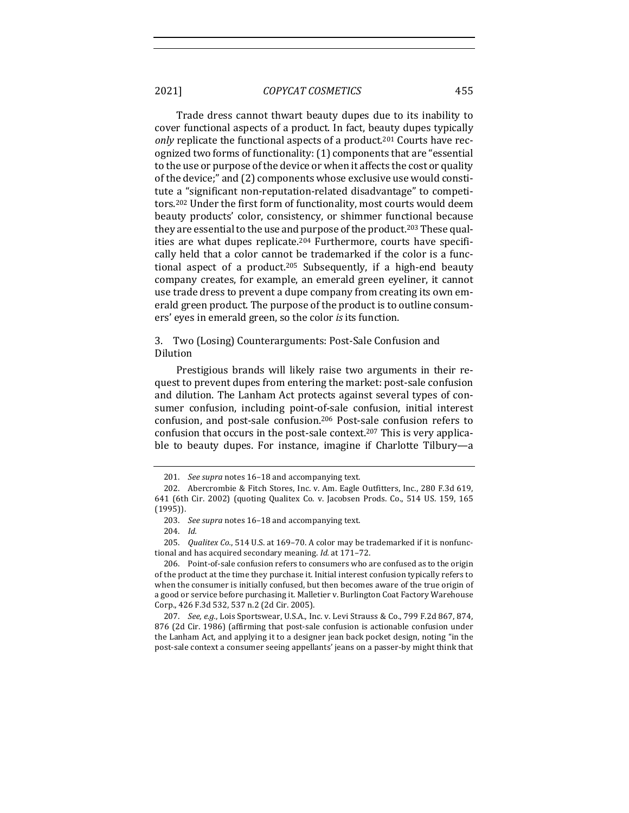Trade dress cannot thwart beauty dupes due to its inability to cover functional aspects of a product. In fact, beauty dupes typically *only* replicate the functional aspects of a product.<sup>201</sup> Courts have recognized two forms of functionality: (1) components that are "essential to the use or purpose of the device or when it affects the cost or quality of the device;" and (2) components whose exclusive use would constitute a "significant non-reputation-related disadvantage" to competitors.<sup>202</sup> Under the first form of functionality, most courts would deem beauty products' color, consistency, or shimmer functional because they are essential to the use and purpose of the product.<sup>203</sup> These qualities are what dupes replicate.<sup>204</sup> Furthermore, courts have specifically held that a color cannot be trademarked if the color is a functional aspect of a product.<sup>205</sup> Subsequently, if a high-end beauty company creates, for example, an emerald green eyeliner, it cannot use trade dress to prevent a dupe company from creating its own emerald green product. The purpose of the product is to outline consumers' eyes in emerald green, so the color *is* its function.

## 3. Two (Losing) Counterarguments: Post-Sale Confusion and Dilution

Prestigious brands will likely raise two arguments in their request to prevent dupes from entering the market: post-sale confusion and dilution. The Lanham Act protects against several types of consumer confusion, including point-of-sale confusion, initial interest confusion, and post-sale confusion.<sup>206</sup> Post-sale confusion refers to confusion that occurs in the post-sale context.<sup>207</sup> This is very applicable to beauty dupes. For instance, imagine if Charlotte Tilbury—a

<sup>201.</sup> *See supra* notes 16–18 and accompanying text.

<sup>202.</sup> Abercrombie & Fitch Stores, Inc. v. Am. Eagle Outfitters, Inc., 280 F.3d 619, 641 (6th Cir. 2002) (quoting Qualitex Co. v. Jacobsen Prods. Co., 514 US. 159, 165 (1995)). 

<sup>203.</sup> *See supra* notes 16-18 and accompanying text.

<sup>204.</sup> *Id.*

<sup>205.</sup> *Qualitex Co.*, 514 U.S. at 169-70. A color may be trademarked if it is nonfunctional and has acquired secondary meaning. *Id.* at 171-72.

<sup>206.</sup> Point-of-sale confusion refers to consumers who are confused as to the origin of the product at the time they purchase it. Initial interest confusion typically refers to when the consumer is initially confused, but then becomes aware of the true origin of a good or service before purchasing it. Malletier v. Burlington Coat Factory Warehouse Corp., 426 F.3d 532, 537 n.2 (2d Cir. 2005).

<sup>207.</sup> *See, e.g.*, Lois Sportswear, U.S.A., Inc. v. Levi Strauss & Co., 799 F.2d 867, 874, 876 (2d Cir. 1986) (affirming that post-sale confusion is actionable confusion under the Lanham Act, and applying it to a designer jean back pocket design, noting "in the post-sale context a consumer seeing appellants' jeans on a passer-by might think that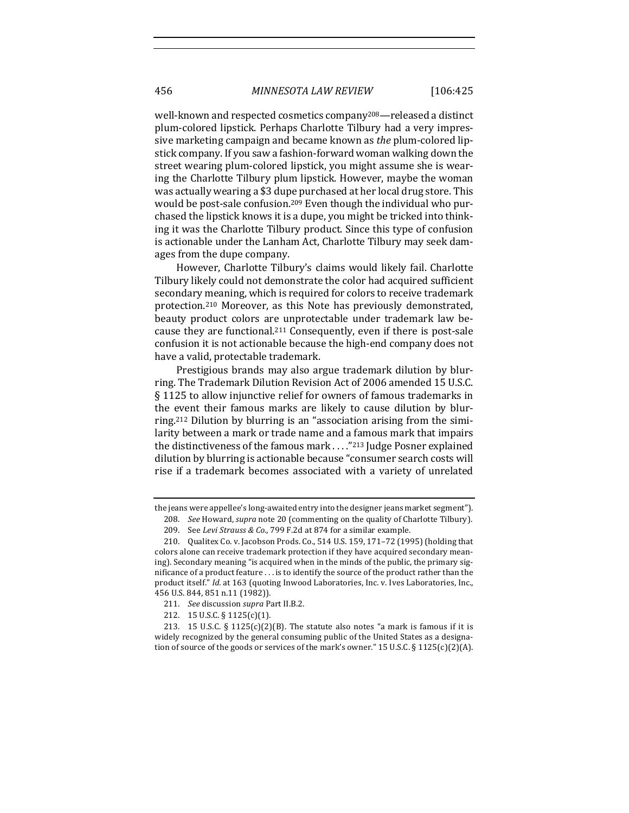well-known and respected cosmetics company<sup>208</sup>—released a distinct plum-colored lipstick. Perhaps Charlotte Tilbury had a very impressive marketing campaign and became known as *the* plum-colored lipstick company. If you saw a fashion-forward woman walking down the street wearing plum-colored lipstick, you might assume she is wearing the Charlotte Tilbury plum lipstick. However, maybe the woman was actually wearing a \$3 dupe purchased at her local drug store. This would be post-sale confusion.<sup>209</sup> Even though the individual who purchased the lipstick knows it is a dupe, you might be tricked into thinking it was the Charlotte Tilbury product. Since this type of confusion is actionable under the Lanham Act, Charlotte Tilbury may seek damages from the dupe company.

However, Charlotte Tilbury's claims would likely fail. Charlotte Tilbury likely could not demonstrate the color had acquired sufficient secondary meaning, which is required for colors to receive trademark protection.<sup>210</sup> Moreover, as this Note has previously demonstrated, beauty product colors are unprotectable under trademark law because they are functional.<sup>211</sup> Consequently, even if there is post-sale confusion it is not actionable because the high-end company does not have a valid, protectable trademark.

Prestigious brands may also argue trademark dilution by blurring. The Trademark Dilution Revision Act of 2006 amended 15 U.S.C. § 1125 to allow injunctive relief for owners of famous trademarks in the event their famous marks are likely to cause dilution by blurring.<sup>212</sup> Dilution by blurring is an "association arising from the similarity between a mark or trade name and a famous mark that impairs the distinctiveness of the famous mark  $\dots$ "213 Judge Posner explained dilution by blurring is actionable because "consumer search costs will rise if a trademark becomes associated with a variety of unrelated

the jeans were appellee's long-awaited entry into the designer jeans market segment").

<sup>208.</sup> *See* Howard, *supra* note 20 (commenting on the quality of Charlotte Tilbury). 209. See Levi Strauss & Co., 799 F.2d at 874 for a similar example.

<sup>210.</sup> Qualitex Co. v. Jacobson Prods. Co., 514 U.S. 159, 171-72 (1995) (holding that

colors alone can receive trademark protection if they have acquired secondary meaning). Secondary meaning "is acquired when in the minds of the public, the primary significance of a product feature  $\dots$  is to identify the source of the product rather than the product itself." *Id.* at 163 (quoting Inwood Laboratories, Inc. v. Ives Laboratories, Inc., 456 U.S. 844, 851 n.11 (1982)).

<sup>211.</sup> *See* discussion *supra* Part II.B.2.

<sup>212. 15</sup> U.S.C. § 1125(c)(1).

<sup>213. 15</sup> U.S.C. §  $1125(c)(2)(B)$ . The statute also notes "a mark is famous if it is widely recognized by the general consuming public of the United States as a designation of source of the goods or services of the mark's owner." 15 U.S.C.  $\S 1125(c)(2)(A)$ .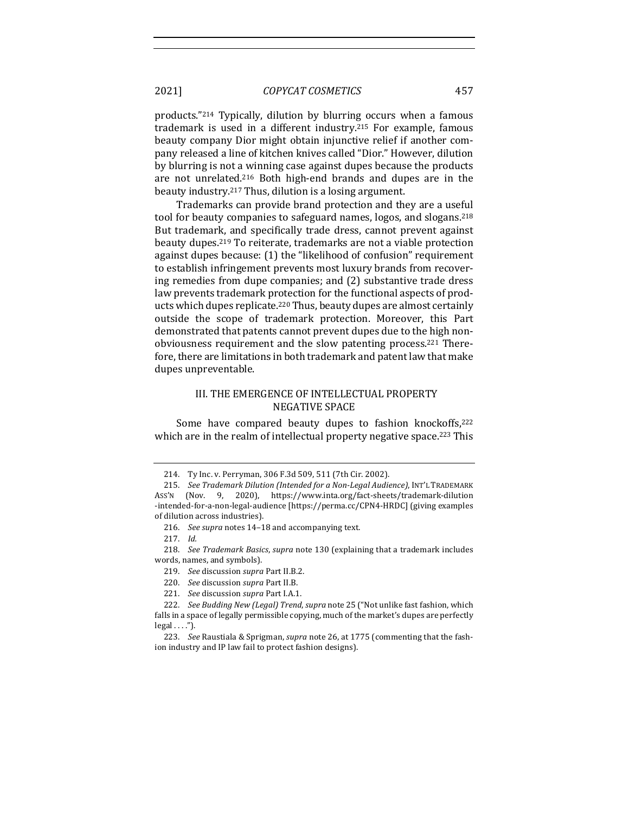products."<sup>214</sup> Typically, dilution by blurring occurs when a famous trademark is used in a different industry.<sup>215</sup> For example, famous beauty company Dior might obtain injunctive relief if another company released a line of kitchen knives called "Dior." However, dilution by blurring is not a winning case against dupes because the products are not unrelated.<sup>216</sup> Both high-end brands and dupes are in the beauty industry.<sup>217</sup> Thus, dilution is a losing argument.

Trademarks can provide brand protection and they are a useful tool for beauty companies to safeguard names, logos, and slogans.<sup>218</sup> But trademark, and specifically trade dress, cannot prevent against beauty dupes.<sup>219</sup> To reiterate, trademarks are not a viable protection against dupes because: (1) the "likelihood of confusion" requirement to establish infringement prevents most luxury brands from recovering remedies from dupe companies; and (2) substantive trade dress law prevents trademark protection for the functional aspects of products which dupes replicate.<sup>220</sup> Thus, beauty dupes are almost certainly outside the scope of trademark protection. Moreover, this Part demonstrated that patents cannot prevent dupes due to the high nonobviousness requirement and the slow patenting process.<sup>221</sup> Therefore, there are limitations in both trademark and patent law that make dupes unpreventable.

## III. THE EMERGENCE OF INTELLECTUAL PROPERTY **NEGATIVE SPACE**

Some have compared beauty dupes to fashion knockoffs,<sup>222</sup> which are in the realm of intellectual property negative space.<sup>223</sup> This

- 219. *See* discussion *supra* Part II.B.2.
- 220. *See* discussion *supra* Part II.B.
- 221. *See* discussion *supra* Part I.A.1.

<sup>214.</sup> Ty Inc. v. Perryman, 306 F.3d 509, 511 (7th Cir. 2002).

<sup>215.</sup> *See Trademark Dilution (Intended for a Non-Legal Audience)*, INT'L TRADEMARK Ass'N (Nov. 9, 2020), https://www.inta.org/fact-sheets/trademark-dilution -intended-for-a-non-legal-audience [https://perma.cc/CPN4-HRDC] (giving examples of dilution across industries).

<sup>216.</sup> *See supra* notes 14-18 and accompanying text.

<sup>217.</sup> *Id.* 

<sup>218.</sup> *See Trademark Basics, supra* note 130 (explaining that a trademark includes words, names, and symbols).

<sup>222.</sup> *See Budding New (Legal) Trend, supra* note 25 ("Not unlike fast fashion, which falls in a space of legally permissible copying, much of the market's dupes are perfectly  $\text{legal} \dots$ .").

<sup>223.</sup> *See* Raustiala & Sprigman, *supra* note 26, at 1775 (commenting that the fashion industry and IP law fail to protect fashion designs).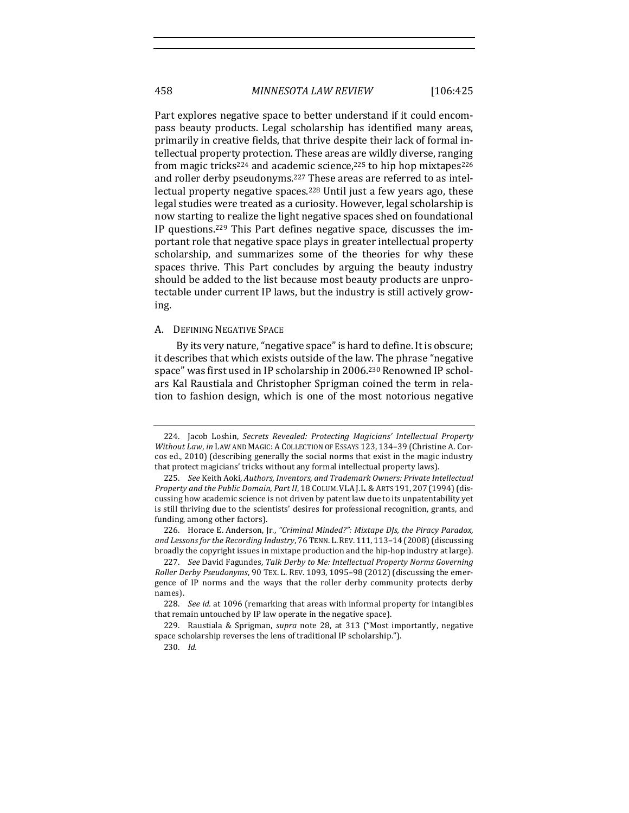458 *MINNESOTA LAW REVIEW* [106:425

Part explores negative space to better understand if it could encompass beauty products. Legal scholarship has identified many areas, primarily in creative fields, that thrive despite their lack of formal intellectual property protection. These areas are wildly diverse, ranging from magic tricks<sup>224</sup> and academic science,<sup>225</sup> to hip hop mixtapes<sup>226</sup> and roller derby pseudonyms.<sup>227</sup> These areas are referred to as intellectual property negative spaces.<sup>228</sup> Until just a few years ago, these legal studies were treated as a curiosity. However, legal scholarship is now starting to realize the light negative spaces shed on foundational IP questions.<sup>229</sup> This Part defines negative space, discusses the important role that negative space plays in greater intellectual property scholarship, and summarizes some of the theories for why these spaces thrive. This Part concludes by arguing the beauty industry should be added to the list because most beauty products are unprotectable under current IP laws, but the industry is still actively growing. 

## A. DEFINING NEGATIVE SPACE

By its very nature, "negative space" is hard to define. It is obscure; it describes that which exists outside of the law. The phrase "negative space" was first used in IP scholarship in 2006.<sup>230</sup> Renowned IP scholars Kal Raustiala and Christopher Sprigman coined the term in relation to fashion design, which is one of the most notorious negative

226. Horace E. Anderson, Jr., "Criminal Minded?": Mixtape DJs, the Piracy Paradox, and Lessons for the Recording Industry, 76 TENN. L. REV. 111, 113-14 (2008) (discussing broadly the copyright issues in mixtape production and the hip-hop industry at large).

<sup>224.</sup> Jacob Loshin, *Secrets Revealed: Protecting Magicians' Intellectual Property Without Law, in LAW AND MAGIC: A COLLECTION OF ESSAYS 123, 134-39 (Christine A. Cor*cos ed., 2010) (describing generally the social norms that exist in the magic industry that protect magicians' tricks without any formal intellectual property laws).

<sup>225.</sup> See Keith Aoki, Authors, Inventors, and Trademark Owners: Private Intellectual Property and the Public Domain, Part II, 18 COLUM. VLA J.L. & ARTS 191, 207 (1994) (discussing how academic science is not driven by patent law due to its unpatentability yet is still thriving due to the scientists' desires for professional recognition, grants, and funding, among other factors).

<sup>227.</sup> See David Fagundes, Talk Derby to Me: Intellectual Property Norms Governing *Roller Derby Pseudonyms*, 90 TEX. L. REV. 1093, 1095-98 (2012) (discussing the emergence of IP norms and the ways that the roller derby community protects derby names). 

<sup>228.</sup> *See id.* at 1096 (remarking that areas with informal property for intangibles that remain untouched by IP law operate in the negative space).

<sup>229.</sup> Raustiala & Sprigman, *supra* note 28, at 313 ("Most importantly, negative space scholarship reverses the lens of traditional IP scholarship.").

<sup>230.</sup> *Id.*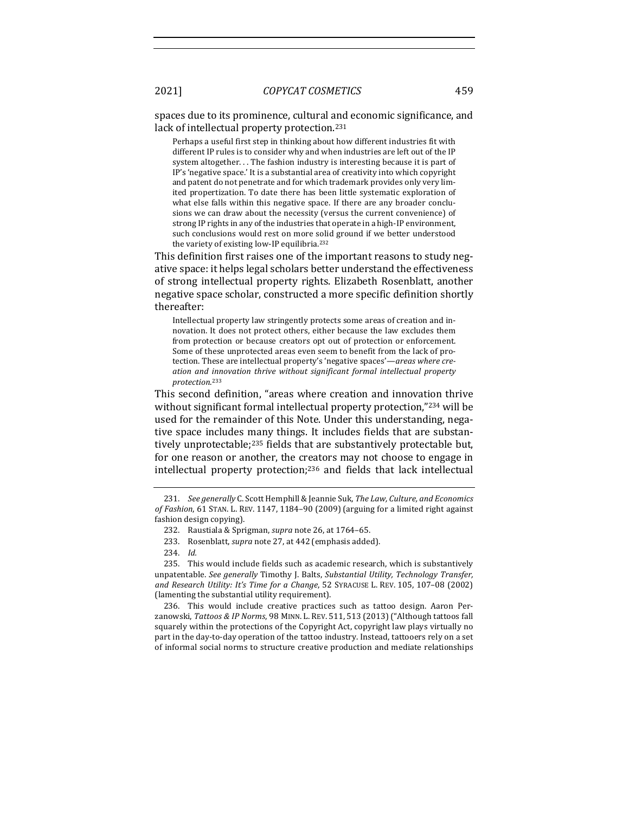spaces due to its prominence, cultural and economic significance, and lack of intellectual property protection.<sup>231</sup>

Perhaps a useful first step in thinking about how different industries fit with different IP rules is to consider why and when industries are left out of the IP system altogether... The fashion industry is interesting because it is part of IP's 'negative space.' It is a substantial area of creativity into which copyright and patent do not penetrate and for which trademark provides only very limited propertization. To date there has been little systematic exploration of what else falls within this negative space. If there are any broader conclusions we can draw about the necessity (versus the current convenience) of strong IP rights in any of the industries that operate in a high-IP environment, such conclusions would rest on more solid ground if we better understood the variety of existing low-IP equilibria.<sup>232</sup>

This definition first raises one of the important reasons to study negative space: it helps legal scholars better understand the effectiveness of strong intellectual property rights. Elizabeth Rosenblatt, another negative space scholar, constructed a more specific definition shortly thereafter:

Intellectual property law stringently protects some areas of creation and innovation. It does not protect others, either because the law excludes them from protection or because creators opt out of protection or enforcement. Some of these unprotected areas even seem to benefit from the lack of protection. These are intellectual property's 'negative spaces'—areas where creation and innovation thrive without significant formal intellectual property *protection*. 233

This second definition, "areas where creation and innovation thrive without significant formal intellectual property protection,"234 will be used for the remainder of this Note. Under this understanding, negative space includes many things. It includes fields that are substantively unprotectable;<sup>235</sup> fields that are substantively protectable but, for one reason or another, the creators may not choose to engage in intellectual property protection;<sup>236</sup> and fields that lack intellectual

236. This would include creative practices such as tattoo design. Aaron Perzanowski, Tattoos & IP Norms, 98 MINN. L. REV. 511, 513 (2013) ("Although tattoos fall squarely within the protections of the Copyright Act, copyright law plays virtually no part in the day-to-day operation of the tattoo industry. Instead, tattooers rely on a set of informal social norms to structure creative production and mediate relationships

<sup>231.</sup> *See generally* C. Scott Hemphill & Jeannie Suk, *The Law, Culture, and Economics* of Fashion, 61 STAN. L. REV. 1147, 1184-90 (2009) (arguing for a limited right against fashion design copying).

<sup>232.</sup> Raustiala & Sprigman, *supra* note 26, at 1764-65.

<sup>233.</sup> Rosenblatt, *supra* note 27, at 442 (emphasis added).

<sup>234.</sup> *Id.* 

<sup>235.</sup> This would include fields such as academic research, which is substantively unpatentable. See generally Timothy J. Balts, Substantial Utility, Technology Transfer, and Research Utility: It's Time for a Change, 52 SYRACUSE L. REV. 105, 107-08 (2002) (lamenting the substantial utility requirement).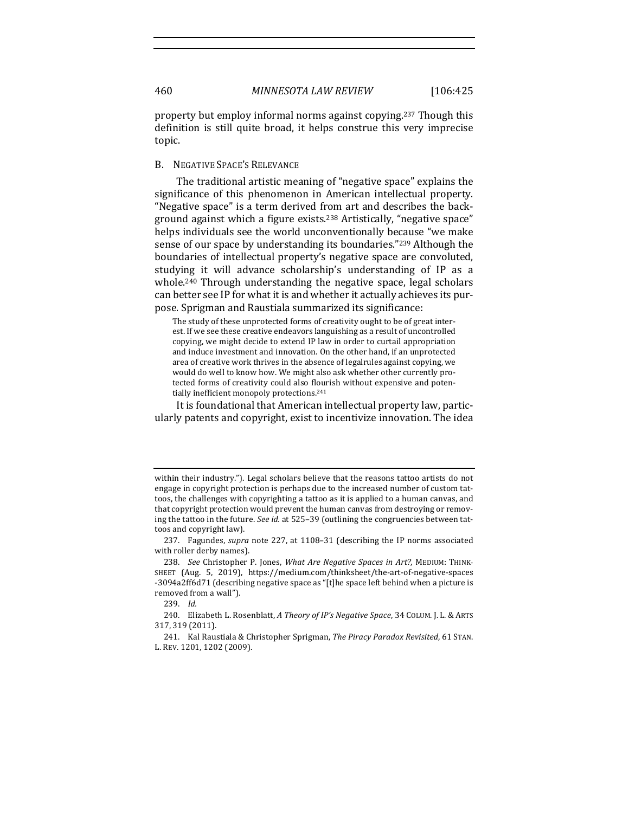property but employ informal norms against copying.<sup>237</sup> Though this definition is still quite broad, it helps construe this very imprecise topic.

## B. NEGATIVE SPACE'S RELEVANCE

The traditional artistic meaning of "negative space" explains the significance of this phenomenon in American intellectual property. "Negative space" is a term derived from art and describes the background against which a figure exists.<sup>238</sup> Artistically, "negative space" helps individuals see the world unconventionally because "we make sense of our space by understanding its boundaries."<sup>239</sup> Although the boundaries of intellectual property's negative space are convoluted, studying it will advance scholarship's understanding of IP as a whole.<sup>240</sup> Through understanding the negative space, legal scholars can better see IP for what it is and whether it actually achieves its purpose. Sprigman and Raustiala summarized its significance:

The study of these unprotected forms of creativity ought to be of great interest. If we see these creative endeavors languishing as a result of uncontrolled copying, we might decide to extend IP law in order to curtail appropriation and induce investment and innovation. On the other hand, if an unprotected area of creative work thrives in the absence of legalrules against copying, we would do well to know how. We might also ask whether other currently protected forms of creativity could also flourish without expensive and potentially inefficient monopoly protections.<sup>241</sup>

It is foundational that American intellectual property law, particularly patents and copyright, exist to incentivize innovation. The idea

within their industry."). Legal scholars believe that the reasons tattoo artists do not engage in copyright protection is perhaps due to the increased number of custom tattoos, the challenges with copyrighting a tattoo as it is applied to a human canvas, and that copyright protection would prevent the human canvas from destroying or removing the tattoo in the future. See id. at 525-39 (outlining the congruencies between tattoos and copyright law).

<sup>237.</sup> Fagundes, *supra* note 227, at 1108-31 (describing the IP norms associated with roller derby names).

<sup>238.</sup> See Christopher P. Jones, What Are Negative Spaces in Art?, MEDIUM: THINK-SHEET (Aug. 5, 2019), https://medium.com/thinksheet/the-art-of-negative-spaces -3094a2ff6d71 (describing negative space as "[t]he space left behind when a picture is removed from a wall").

<sup>239.</sup> *Id.* 

<sup>240.</sup> Elizabeth L. Rosenblatt, A Theory of IP's Negative Space, 34 COLUM. J. L. & ARTS 317, 319 (2011). 

<sup>241.</sup> Kal Raustiala & Christopher Sprigman, *The Piracy Paradox Revisited*, 61 STAN. L. REV. 1201, 1202 (2009).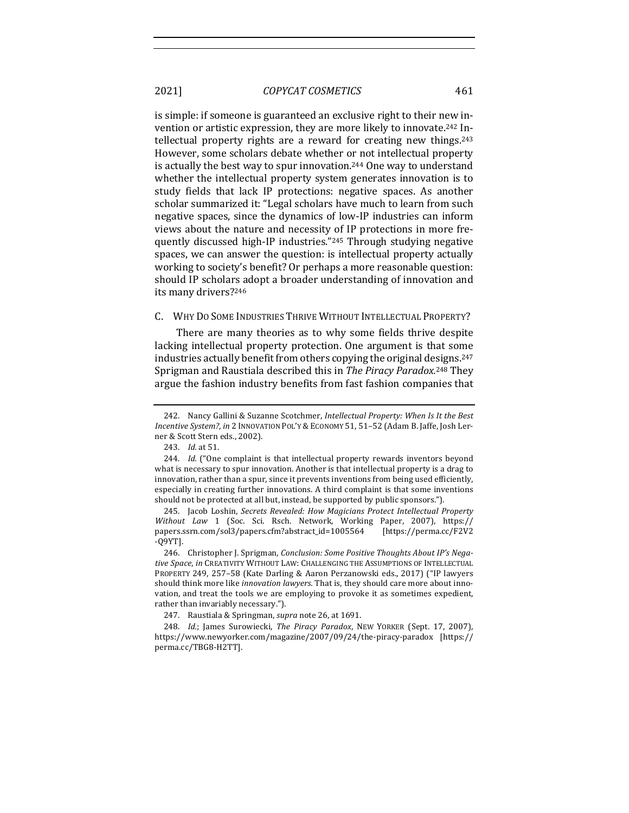is simple: if someone is guaranteed an exclusive right to their new invention or artistic expression, they are more likely to innovate.<sup>242</sup> Intellectual property rights are a reward for creating new things. $243$ However, some scholars debate whether or not intellectual property is actually the best way to spur innovation.<sup>244</sup> One way to understand whether the intellectual property system generates innovation is to study fields that lack IP protections: negative spaces. As another scholar summarized it: "Legal scholars have much to learn from such negative spaces, since the dynamics of low-IP industries can inform views about the nature and necessity of IP protections in more frequently discussed high-IP industries."<sup>245</sup> Through studying negative spaces, we can answer the question: is intellectual property actually working to society's benefit? Or perhaps a more reasonable question: should IP scholars adopt a broader understanding of innovation and its many drivers?<sup>246</sup>

#### C. WHY DO SOME INDUSTRIES THRIVE WITHOUT INTELLECTUAL PROPERTY?

There are many theories as to why some fields thrive despite lacking intellectual property protection. One argument is that some industries actually benefit from others copying the original designs.<sup>247</sup> Sprigman and Raustiala described this in *The Piracy Paradox.*<sup>248</sup> They argue the fashion industry benefits from fast fashion companies that

<sup>242.</sup> Nancy Gallini & Suzanne Scotchmer, *Intellectual Property: When Is It the Best Incentive System?*, *in* 2 INNOVATION POL'Y & ECONOMY 51, 51-52 (Adam B. Jaffe, Josh Lerner & Scott Stern eds., 2002).

<sup>243.</sup> *Id.* at 51.

<sup>244.</sup> *Id.* ("One complaint is that intellectual property rewards inventors beyond what is necessary to spur innovation. Another is that intellectual property is a drag to innovation, rather than a spur, since it prevents inventions from being used efficiently, especially in creating further innovations. A third complaint is that some inventions should not be protected at all but, instead, be supported by public sponsors.").

<sup>245.</sup> Jacob Loshin, Secrets Revealed: How Magicians Protect Intellectual Property Without Law 1 (Soc. Sci. Rsch. Network, Working Paper, 2007), https:// papers.ssrn.com/sol3/papers.cfm?abstract\_id=1005564 [https://perma.cc/F2V2 -Q9YT].

<sup>246.</sup> Christopher J. Sprigman, *Conclusion: Some Positive Thoughts About IP's Nega*tive Space, in CREATIVITY WITHOUT LAW: CHALLENGING THE ASSUMPTIONS OF INTELLECTUAL PROPERTY 249, 257-58 (Kate Darling & Aaron Perzanowski eds., 2017) ("IP lawyers should think more like *innovation lawyers*. That is, they should care more about innovation, and treat the tools we are employing to provoke it as sometimes expedient, rather than invariably necessary.").

<sup>247.</sup> Raustiala & Springman, *supra* note 26, at 1691.

<sup>248.</sup> *Id.*; James Surowiecki, *The Piracy Paradox*, NEW YORKER (Sept. 17, 2007), https://www.newyorker.com/magazine/2007/09/24/the-piracy-paradox [https:// perma.cc/TBG8-H2TT].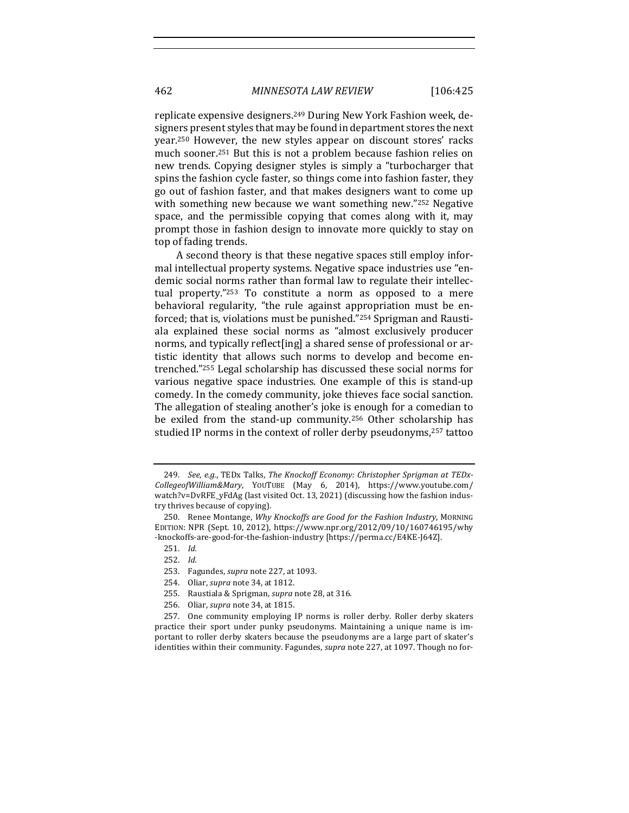replicate expensive designers.<sup>249</sup> During New York Fashion week, designers present styles that may be found in department stores the next year.<sup>250</sup> However, the new styles appear on discount stores' racks much sooner.<sup>251</sup> But this is not a problem because fashion relies on new trends. Copying designer styles is simply a "turbocharger that spins the fashion cycle faster, so things come into fashion faster, they go out of fashion faster, and that makes designers want to come up with something new because we want something new."252 Negative space, and the permissible copving that comes along with it, may prompt those in fashion design to innovate more quickly to stay on top of fading trends.

A second theory is that these negative spaces still employ informal intellectual property systems. Negative space industries use "endemic social norms rather than formal law to regulate their intellectual property."253 To constitute a norm as opposed to a mere behavioral regularity, "the rule against appropriation must be enforced; that is, violations must be punished."<sup>254</sup> Sprigman and Raustiala explained these social norms as "almost exclusively producer norms, and typically reflect[ing] a shared sense of professional or artistic identity that allows such norms to develop and become entrenched."255 Legal scholarship has discussed these social norms for various negative space industries. One example of this is stand-up comedy. In the comedy community, joke thieves face social sanction. The allegation of stealing another's joke is enough for a comedian to be exiled from the stand-up community.<sup>256</sup> Other scholarship has studied IP norms in the context of roller derby pseudonyms,<sup>257</sup> tattoo

- 255. Raustiala & Sprigman, *supra* note 28, at 316.
- 256. Oliar, *supra* note 34, at 1815.

257. One community employing IP norms is roller derby. Roller derby skaters practice their sport under punky pseudonyms. Maintaining a unique name is important to roller derby skaters because the pseudonyms are a large part of skater's identities within their community. Fagundes, *supra* note 227, at 1097. Though no for-

<sup>249.</sup> See, e.g., TEDx Talks, The Knockoff Economy: Christopher Sprigman at TEDx-*CollegeofWilliam&Mary*, YOUTUBE (May 6, 2014), https://www.youtube.com/ watch?v=DvRFE\_yFdAg (last visited Oct. 13, 2021) (discussing how the fashion industry thrives because of copying).

<sup>250.</sup> Renee Montange, *Why Knockoffs are Good for the Fashion Industry*, MORNING EDITION: NPR (Sept. 10, 2012), https://www.npr.org/2012/09/10/160746195/why -knockoffs-are-good-for-the-fashion-industry [https://perma.cc/E4KE-J64Z].

<sup>251.</sup> *Id.*

<sup>252.</sup> *Id.* 

<sup>253.</sup> Fagundes, *supra* note 227, at 1093.

<sup>254.</sup> Oliar, *supra* note 34, at 1812.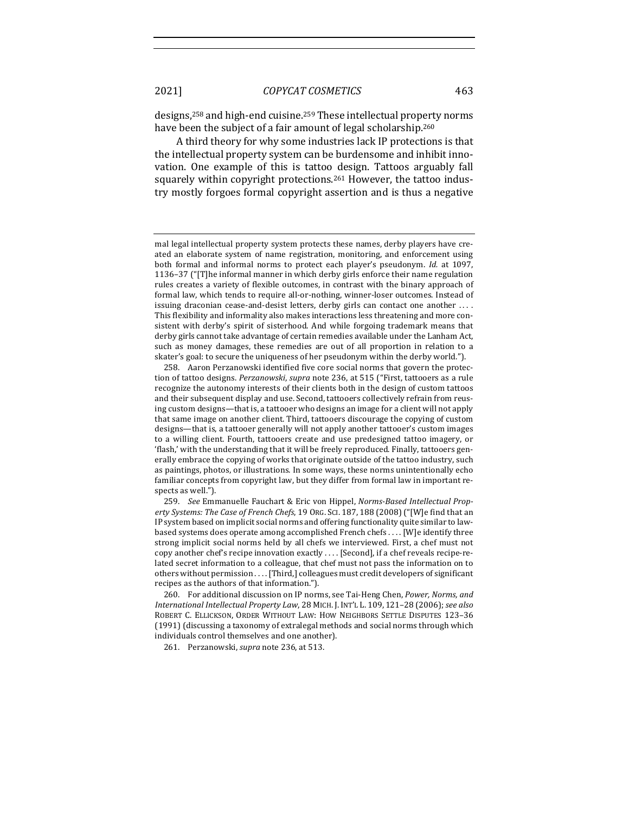designs,<sup>258</sup> and high-end cuisine.<sup>259</sup> These intellectual property norms have been the subject of a fair amount of legal scholarship.<sup>260</sup>

A third theory for why some industries lack IP protections is that the intellectual property system can be burdensome and inhibit innovation. One example of this is tattoo design. Tattoos arguably fall squarely within copyright protections.<sup>261</sup> However, the tattoo industry mostly forgoes formal copyright assertion and is thus a negative

259. *See* Emmanuelle Fauchart & Eric von Hippel, *Norms-Based Intellectual Property Systems: The Case of French Chefs*, 19 ORG. SCI. 187, 188 (2008) ("[W]e find that an IP system based on implicit social norms and offering functionality quite similar to lawbased systems does operate among accomplished French chefs . . . . [W]e identify three strong implicit social norms held by all chefs we interviewed. First, a chef must not copy another chef's recipe innovation exactly . . . . [Second], if a chef reveals recipe-related secret information to a colleague, that chef must not pass the information on to others without permission . . . . [Third,] colleagues must credit developers of significant recipes as the authors of that information.").

260. For additional discussion on IP norms, see Tai-Heng Chen, Power, Norms, and *International Intellectual Property Law,* 28 MICH. J. INT'L L. 109, 121-28 (2006); see also ROBERT C. ELLICKSON, ORDER WITHOUT LAW: HOW NEIGHBORS SETTLE DISPUTES 123-36 (1991) (discussing a taxonomy of extralegal methods and social norms through which individuals control themselves and one another).

261. Perzanowski, *supra* note 236, at 513.

mal legal intellectual property system protects these names, derby players have created an elaborate system of name registration, monitoring, and enforcement using both formal and informal norms to protect each player's pseudonym. *Id.* at 1097, 1136-37 ("[T]he informal manner in which derby girls enforce their name regulation rules creates a variety of flexible outcomes, in contrast with the binary approach of formal law, which tends to require all-or-nothing, winner-loser outcomes. Instead of issuing draconian cease-and-desist letters, derby girls can contact one another .... This flexibility and informality also makes interactions less threatening and more consistent with derby's spirit of sisterhood. And while forgoing trademark means that derby girls cannot take advantage of certain remedies available under the Lanham Act, such as money damages, these remedies are out of all proportion in relation to a skater's goal: to secure the uniqueness of her pseudonym within the derby world.").

<sup>258.</sup> Aaron Perzanowski identified five core social norms that govern the protection of tattoo designs. Perzanowski, supra note 236, at 515 ("First, tattooers as a rule recognize the autonomy interests of their clients both in the design of custom tattoos and their subsequent display and use. Second, tattooers collectively refrain from reusing custom designs—that is, a tattooer who designs an image for a client will not apply that same image on another client. Third, tattooers discourage the copying of custom designs-that is, a tattooer generally will not apply another tattooer's custom images to a willing client. Fourth, tattooers create and use predesigned tattoo imagery, or 'flash,' with the understanding that it will be freely reproduced. Finally, tattooers generally embrace the copying of works that originate outside of the tattoo industry, such as paintings, photos, or illustrations. In some ways, these norms unintentionally echo familiar concepts from copyright law, but they differ from formal law in important respects as well.").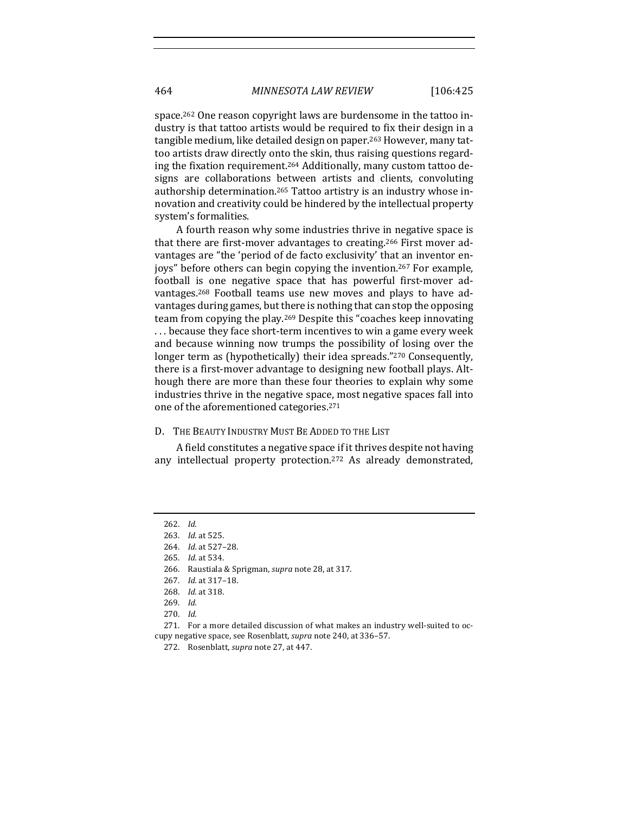space.<sup>262</sup> One reason copyright laws are burdensome in the tattoo industry is that tattoo artists would be required to fix their design in a tangible medium, like detailed design on paper.<sup>263</sup> However, many tattoo artists draw directly onto the skin, thus raising questions regarding the fixation requirement.<sup>264</sup> Additionally, many custom tattoo designs are collaborations between artists and clients, convoluting authorship determination.<sup>265</sup> Tattoo artistry is an industry whose innovation and creativity could be hindered by the intellectual property system's formalities.

A fourth reason why some industries thrive in negative space is that there are first-mover advantages to creating.<sup>266</sup> First mover advantages are "the 'period of de facto exclusivity' that an inventor enjoys" before others can begin copying the invention.<sup>267</sup> For example, football is one negative space that has powerful first-mover advantages.<sup>268</sup> Football teams use new moves and plays to have advantages during games, but there is nothing that can stop the opposing team from copying the play.<sup>269</sup> Despite this "coaches keep innovating ... because they face short-term incentives to win a game every week and because winning now trumps the possibility of losing over the longer term as (hypothetically) their idea spreads."<sup>270</sup> Consequently, there is a first-mover advantage to designing new football plays. Although there are more than these four theories to explain why some industries thrive in the negative space, most negative spaces fall into one of the aforementioned categories.<sup>271</sup>

## D. THE BEAUTY INDUSTRY MUST BE ADDED TO THE LIST

A field constitutes a negative space if it thrives despite not having any intellectual property protection.<sup>272</sup> As already demonstrated,

<sup>262.</sup> *Id.* 

<sup>263.</sup> *Id.* at 525.

<sup>264.</sup> *Id.* at 527-28.

<sup>265.</sup> *Id.* at 534.

<sup>266.</sup> Raustiala & Sprigman, *supra* note 28, at 317.

<sup>267.</sup> *Id.* at 317–18.

<sup>268.</sup> *Id.* at 318.

<sup>269.</sup> *Id.*

<sup>270.</sup> *Id.*

<sup>271.</sup> For a more detailed discussion of what makes an industry well-suited to occupy negative space, see Rosenblatt, *supra* note 240, at 336-57.

<sup>272.</sup> Rosenblatt, *supra* note 27, at 447.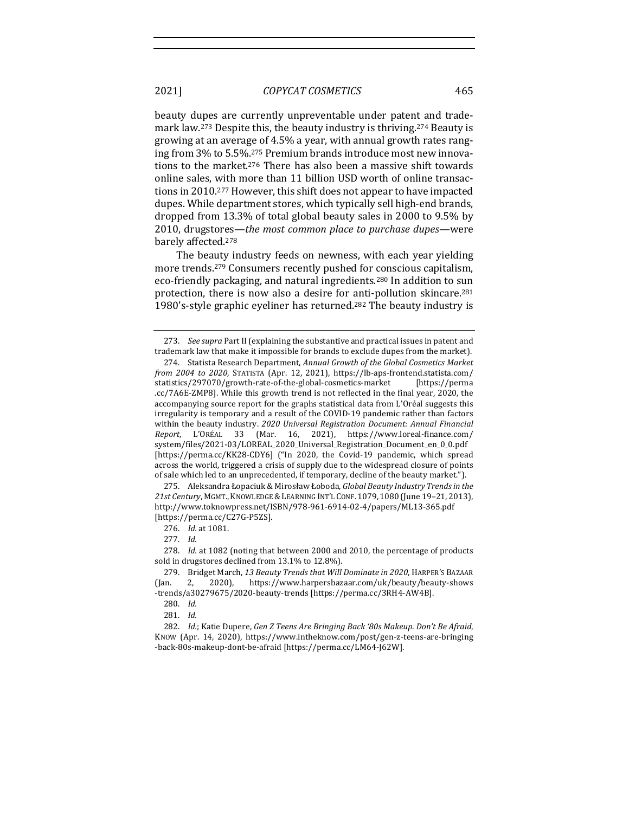beauty dupes are currently unpreventable under patent and trademark law.<sup>273</sup> Despite this, the beauty industry is thriving.<sup>274</sup> Beauty is growing at an average of 4.5% a year, with annual growth rates ranging from 3% to 5.5%.<sup>275</sup> Premium brands introduce most new innovations to the market.<sup>276</sup> There has also been a massive shift towards online sales, with more than 11 billion USD worth of online transactions in 2010.<sup>277</sup> However, this shift does not appear to have impacted dupes. While department stores, which typically sell high-end brands, dropped from 13.3% of total global beauty sales in 2000 to 9.5% by 2010, drugstores—the most common place to purchase dupes—were barely affected.<sup>278</sup>

The beauty industry feeds on newness, with each year yielding more trends.<sup>279</sup> Consumers recently pushed for conscious capitalism, eco-friendly packaging, and natural ingredients.<sup>280</sup> In addition to sun protection, there is now also a desire for anti-pollution skincare.<sup>281</sup> 1980's-style graphic eyeliner has returned.<sup>282</sup> The beauty industry is

276. *Id.* at 1081.

277. *Id.* 

278. *Id.* at 1082 (noting that between 2000 and 2010, the percentage of products sold in drugstores declined from  $13.1\%$  to  $12.8\%$ ).

280. Id.

281. *Id.* 

282. *Id.*; Katie Dupere, Gen Z Teens Are Bringing Back '80s Makeup. Don't Be Afraid, KNOW (Apr. 14, 2020), https://www.intheknow.com/post/gen-z-teens-are-bringing -back-80s-makeup-dont-be-afraid [https://perma.cc/LM64-J62W].

<sup>273.</sup> *See supra* Part II (explaining the substantive and practical issues in patent and trademark law that make it impossible for brands to exclude dupes from the market).

<sup>274.</sup> Statista Research Department, *Annual Growth of the Global Cosmetics Market from* 2004 to 2020, STATISTA (Apr. 12, 2021), https://lb-aps-frontend.statista.com/ statistics/297070/growth-rate-of-the-global-cosmetics-market [https://perma .cc/7A6E-ZMP8]. While this growth trend is not reflected in the final year, 2020, the accompanying source report for the graphs statistical data from L'Oréal suggests this irregularity is temporary and a result of the COVID-19 pandemic rather than factors within the beauty industry. 2020 Universal Registration Document: Annual Financial *Report*, L'ORÉAL 33 (Mar. 16, 2021), https://www.loreal-finance.com/ system/files/2021-03/LOREAL\_2020\_Universal\_Registration\_Document\_en\_0\_0.pdf [https://perma.cc/KK28-CDY6] ("In 2020, the Covid-19 pandemic, which spread across the world, triggered a crisis of supply due to the widespread closure of points of sale which led to an unprecedented, if temporary, decline of the beauty market.").

<sup>275.</sup> Aleksandra Łopaciuk & Mirosław Łoboda, Global Beauty Industry Trends in the *21st Century*, MGMT.,KNOWLEDGE &LEARNING INT'L CONF. 1079, 1080 (June 19–21, 2013), http://www.toknowpress.net/ISBN/978-961-6914-02-4/papers/ML13-365.pdf [https://perma.cc/C27G-P5ZS]. 

<sup>279.</sup> Bridget March, 13 Beauty Trends that Will Dominate in 2020, HARPER'S BAZAAR (Jan. 2, 2020), https://www.harpersbazaar.com/uk/beauty/beauty-shows -trends/a30279675/2020-beauty-trends [https://perma.cc/3RH4-AW4B].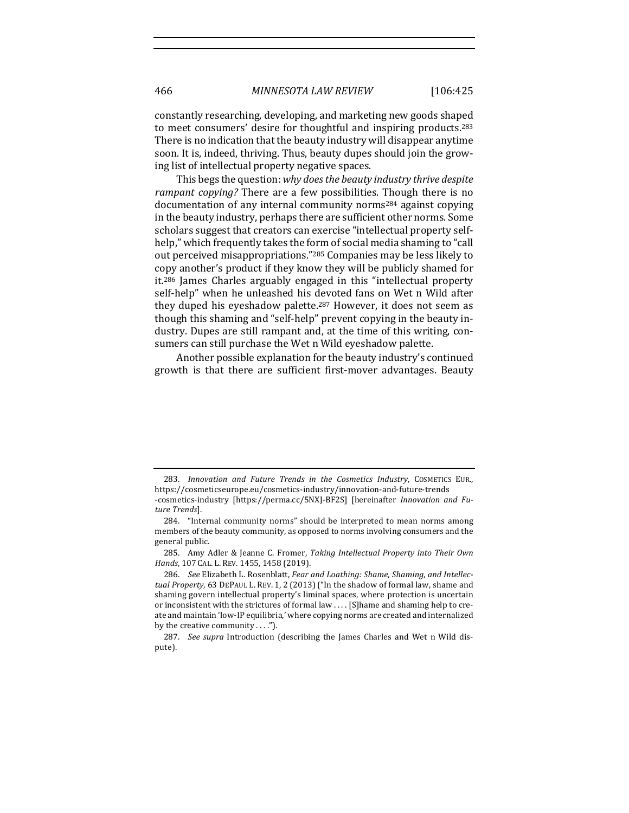constantly researching, developing, and marketing new goods shaped to meet consumers' desire for thoughtful and inspiring products.<sup>283</sup> There is no indication that the beauty industry will disappear anytime soon. It is, indeed, thriving. Thus, beauty dupes should join the growing list of intellectual property negative spaces.

This begs the question: why does the beauty industry thrive despite *rampant copying?* There are a few possibilities. Though there is no documentation of any internal community norms<sup>284</sup> against copying in the beauty industry, perhaps there are sufficient other norms. Some scholars suggest that creators can exercise "intellectual property selfhelp," which frequently takes the form of social media shaming to "call out perceived misappropriations."<sup>285</sup> Companies may be less likely to copy another's product if they know they will be publicly shamed for it.<sup>286</sup> James Charles arguably engaged in this "intellectual property self-help" when he unleashed his devoted fans on Wet n Wild after they duped his eyeshadow palette.<sup>287</sup> However, it does not seem as though this shaming and "self-help" prevent copying in the beauty industry. Dupes are still rampant and, at the time of this writing, consumers can still purchase the Wet n Wild eyeshadow palette.

Another possible explanation for the beauty industry's continued growth is that there are sufficient first-mover advantages. Beauty

<sup>283.</sup> Innovation and Future Trends in the Cosmetics Industry, COSMETICS EUR., https://cosmeticseurope.eu/cosmetics-industry/innovation-and-future-trends -cosmetics-industry [https://perma.cc/5NXJ-BF2S] [hereinafter *Innovation and Future Trends*].

<sup>284. &</sup>quot;Internal community norms" should be interpreted to mean norms among members of the beauty community, as opposed to norms involving consumers and the general public.

<sup>285.</sup> Amy Adler & Jeanne C. Fromer, *Taking Intellectual Property into Their Own* Hands, 107 CAL. L. REV. 1455, 1458 (2019).

<sup>286.</sup> See Elizabeth L. Rosenblatt, *Fear and Loathing: Shame, Shaming, and Intellectual Property*, 63 DEPAUL L. REV. 1, 2 (2013) ("In the shadow of formal law, shame and shaming govern intellectual property's liminal spaces, where protection is uncertain or inconsistent with the strictures of formal law . . . . [S]hame and shaming help to create and maintain 'low-IP equilibria,' where copying norms are created and internalized by the creative community  $\dots$ .").

<sup>287.</sup> *See supra* Introduction (describing the James Charles and Wet n Wild dispute).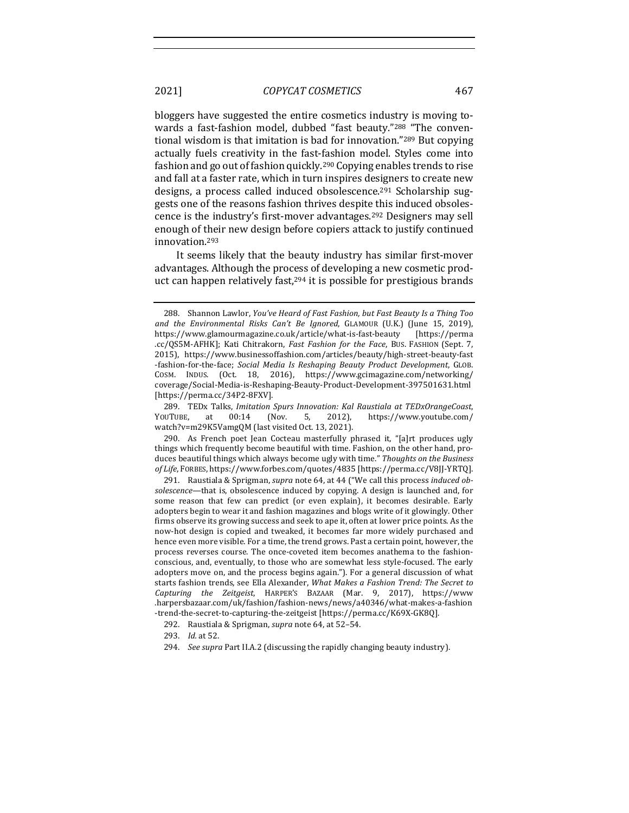bloggers have suggested the entire cosmetics industry is moving towards a fast-fashion model, dubbed "fast beauty."<sup>288</sup> "The conventional wisdom is that imitation is bad for innovation."<sup>289</sup> But copying actually fuels creativity in the fast-fashion model. Styles come into fashion and go out of fashion quickly.<sup>290</sup> Copying enables trends to rise and fall at a faster rate, which in turn inspires designers to create new

designs, a process called induced obsolescence.<sup>291</sup> Scholarship suggests one of the reasons fashion thrives despite this induced obsolescence is the industry's first-mover advantages.<sup>292</sup> Designers may sell enough of their new design before copiers attack to justify continued innovation.293

It seems likely that the beauty industry has similar first-mover advantages. Although the process of developing a new cosmetic product can happen relatively fast, $294$  it is possible for prestigious brands

289. TEDx Talks, *Imitation Spurs Innovation: Kal Raustiala at TEDxOrangeCoast*, YOUTUBE, at 00:14 (Nov. 5, 2012), https://www.youtube.com/ watch?v=m29K5VamgQM (last visited Oct. 13, 2021).

290. As French poet Jean Cocteau masterfully phrased it, "[a]rt produces ugly things which frequently become beautiful with time. Fashion, on the other hand, produces beautiful things which always become ugly with time." Thoughts on the Business *of Life*, FORBES, https://www.forbes.com/quotes/4835 [https://perma.cc/V8JJ-YRTQ]. 

291. Raustiala & Sprigman, *supra* note 64, at 44 ("We call this process induced obsolescence—that is, obsolescence induced by copying. A design is launched and, for some reason that few can predict (or even explain), it becomes desirable. Early adopters begin to wear it and fashion magazines and blogs write of it glowingly. Other firms observe its growing success and seek to ape it, often at lower price points. As the now-hot design is copied and tweaked, it becomes far more widely purchased and hence even more visible. For a time, the trend grows. Past a certain point, however, the process reverses course. The once-coveted item becomes anathema to the fashionconscious, and, eventually, to those who are somewhat less style-focused. The early adopters move on, and the process begins again."). For a general discussion of what starts fashion trends, see Ella Alexander, *What Makes a Fashion Trend: The Secret to Capturing the Zeitgeist*, HARPER'S BAZAAR (Mar. 9, 2017), https://www .harpersbazaar.com/uk/fashion/fashion-news/news/a40346/what-makes-a-fashion -trend-the-secret-to-capturing-the-zeitgeist [https://perma.cc/K69X-GK8Q].

292. Raustiala & Sprigman, *supra* note 64, at 52-54.

293. *Id.* at 52.

<sup>288.</sup> Shannon Lawlor, *You've Heard of Fast Fashion, but Fast Beauty Is a Thing Too* and the Environmental Risks Can't Be Ignored, GLAMOUR (U.K.) (June 15, 2019), https://www.glamourmagazine.co.uk/article/what-is-fast-beauty [https://perma .cc/QS5M-AFHK]; Kati Chitrakorn, *Fast Fashion for the Face*, Bus. FASHION (Sept. 7, 2015), https://www.businessoffashion.com/articles/beauty/high-street-beauty-fast -fashion-for-the-face; *Social Media Is Reshaping Beauty Product Development*, GLOB. COSM. INDUS. (Oct. 18, 2016), https://www.gcimagazine.com/networking/ coverage/Social-Media-is-Reshaping-Beauty-Product-Development-397501631.html [https://perma.cc/34P2-8FXV]. 

<sup>294.</sup> *See supra Part II.A.2* (discussing the rapidly changing beauty industry).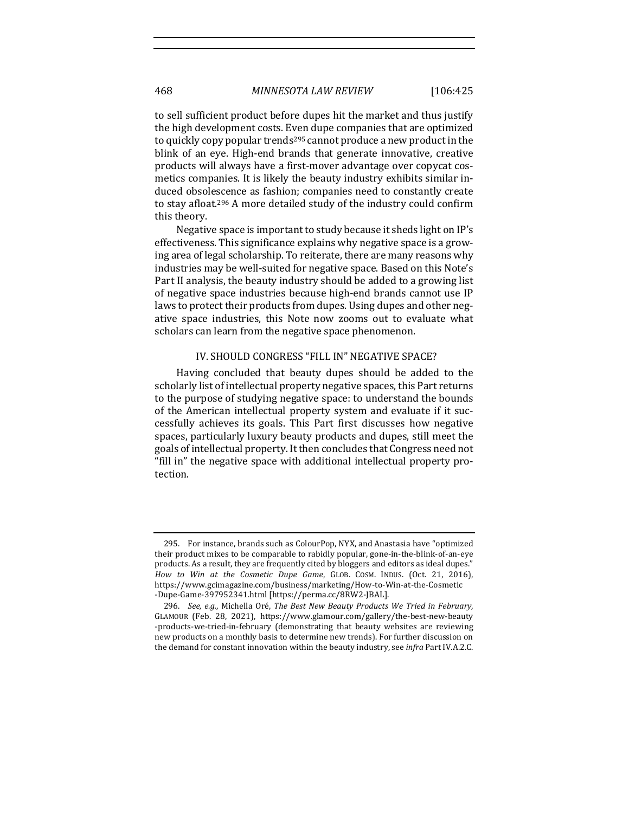to sell sufficient product before dupes hit the market and thus justify the high development costs. Even dupe companies that are optimized to quickly copy popular trends<sup>295</sup> cannot produce a new product in the blink of an eye. High-end brands that generate innovative, creative products will always have a first-mover advantage over copycat cosmetics companies. It is likely the beauty industry exhibits similar induced obsolescence as fashion; companies need to constantly create to stay afloat.<sup>296</sup> A more detailed study of the industry could confirm this theory.

Negative space is important to study because it sheds light on IP's effectiveness. This significance explains why negative space is a growing area of legal scholarship. To reiterate, there are many reasons why industries may be well-suited for negative space. Based on this Note's Part II analysis, the beauty industry should be added to a growing list of negative space industries because high-end brands cannot use IP laws to protect their products from dupes. Using dupes and other negative space industries, this Note now zooms out to evaluate what scholars can learn from the negative space phenomenon.

## IV. SHOULD CONGRESS "FILL IN" NEGATIVE SPACE?

Having concluded that beauty dupes should be added to the scholarly list of intellectual property negative spaces, this Part returns to the purpose of studying negative space: to understand the bounds of the American intellectual property system and evaluate if it successfully achieves its goals. This Part first discusses how negative spaces, particularly luxury beauty products and dupes, still meet the goals of intellectual property. It then concludes that Congress need not "fill in" the negative space with additional intellectual property protection.

<sup>295.</sup> For instance, brands such as ColourPop, NYX, and Anastasia have "optimized their product mixes to be comparable to rabidly popular, gone-in-the-blink-of-an-eye products. As a result, they are frequently cited by bloggers and editors as ideal dupes." *How to Win at the Cosmetic Dupe Game*, GLOB. COSM. INDUS. (Oct. 21, 2016), https://www.gcimagazine.com/business/marketing/How-to-Win-at-the-Cosmetic -Dupe-Game-397952341.html [https://perma.cc/8RW2-JBAL].

<sup>296.</sup> *See, e.g.*, Michella Oré, *The Best New Beauty Products We Tried in February*, GLAMOUR (Feb. 28, 2021), https://www.glamour.com/gallery/the-best-new-beauty -products-we-tried-in-february (demonstrating that beauty websites are reviewing new products on a monthly basis to determine new trends). For further discussion on the demand for constant innovation within the beauty industry, see *infra* Part IV.A.2.C.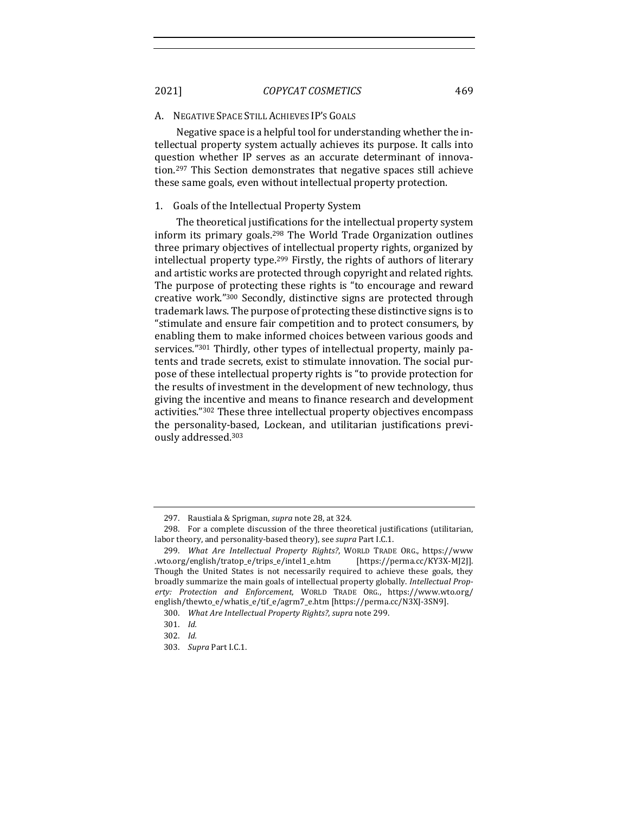#### A. NEGATIVE SPACE STILL ACHIEVES IP'S GOALS

Negative space is a helpful tool for understanding whether the intellectual property system actually achieves its purpose. It calls into question whether IP serves as an accurate determinant of innovation.<sup>297</sup> This Section demonstrates that negative spaces still achieve these same goals, even without intellectual property protection.

## 1. Goals of the Intellectual Property System

The theoretical justifications for the intellectual property system inform its primary goals.<sup>298</sup> The World Trade Organization outlines three primary objectives of intellectual property rights, organized by intellectual property type.<sup>299</sup> Firstly, the rights of authors of literary and artistic works are protected through copyright and related rights. The purpose of protecting these rights is "to encourage and reward creative work."<sup>300</sup> Secondly, distinctive signs are protected through trademark laws. The purpose of protecting these distinctive signs is to "stimulate and ensure fair competition and to protect consumers, by enabling them to make informed choices between various goods and services."<sup>301</sup> Thirdly, other types of intellectual property, mainly patents and trade secrets, exist to stimulate innovation. The social purpose of these intellectual property rights is "to provide protection for the results of investment in the development of new technology, thus giving the incentive and means to finance research and development activities."<sup>302</sup> These three intellectual property objectives encompass the personality-based, Lockean, and utilitarian justifications previously addressed.303

<sup>297.</sup> Raustiala & Sprigman, *supra* note 28, at 324.

<sup>298.</sup> For a complete discussion of the three theoretical justifications (utilitarian, labor theory, and personality-based theory), see *supra* Part I.C.1.

<sup>299.</sup> *What Are Intellectual Property Rights?*, WORLD TRADE ORG., https://www. .wto.org/english/tratop\_e/trips\_e/intel1\_e.htm [https://perma.cc/KY3X-MJ2J]. Though the United States is not necessarily required to achieve these goals, they broadly summarize the main goals of intellectual property globally. Intellectual Prop*erty: Protection and Enforcement*, WORLD TRADE ORG., https://www.wto.org/ english/thewto\_e/whatis\_e/tif\_e/agrm7\_e.htm [https://perma.cc/N3XJ-3SN9].

<sup>300.</sup> *What Are Intellectual Property Rights?*, *supra* note 299.

<sup>301.</sup> *Id.* 

<sup>302.</sup> *Id.*

<sup>303.</sup> *Supra* Part I.C.1.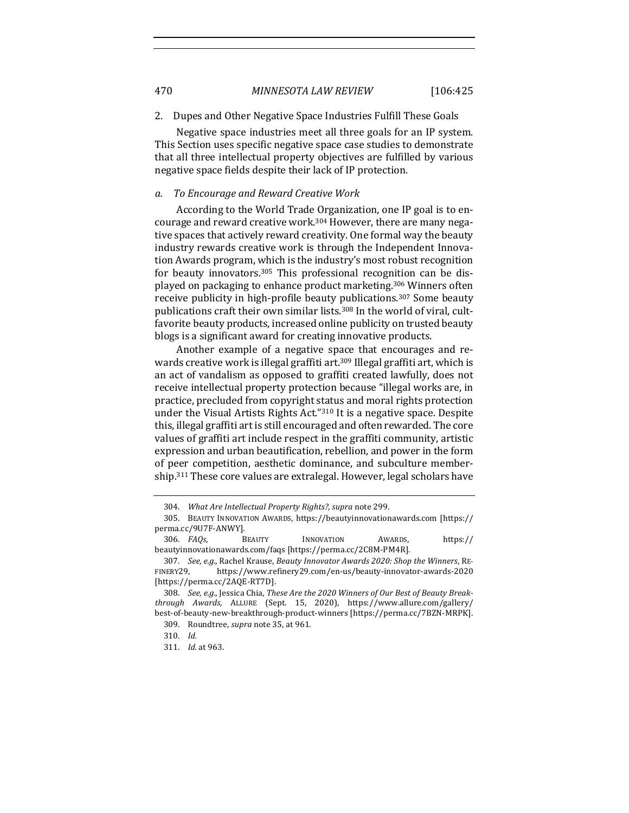470 *MINNESOTA LAW REVIEW* [106:425

## 2. Dupes and Other Negative Space Industries Fulfill These Goals

Negative space industries meet all three goals for an IP system. This Section uses specific negative space case studies to demonstrate that all three intellectual property objectives are fulfilled by various negative space fields despite their lack of IP protection.

## *a. To Encourage and Reward Creative Work*

According to the World Trade Organization, one IP goal is to encourage and reward creative work.<sup>304</sup> However, there are many negative spaces that actively reward creativity. One formal way the beauty industry rewards creative work is through the Independent Innovation Awards program, which is the industry's most robust recognition for beauty innovators.<sup>305</sup> This professional recognition can be displayed on packaging to enhance product marketing.<sup>306</sup> Winners often receive publicity in high-profile beauty publications.<sup>307</sup> Some beauty publications craft their own similar lists.<sup>308</sup> In the world of viral, cultfavorite beauty products, increased online publicity on trusted beauty blogs is a significant award for creating innovative products.

Another example of a negative space that encourages and rewards creative work is illegal graffiti art.<sup>309</sup> Illegal graffiti art, which is an act of vandalism as opposed to graffiti created lawfully, does not receive intellectual property protection because "illegal works are, in practice, precluded from copyright status and moral rights protection under the Visual Artists Rights Act."<sup>310</sup> It is a negative space. Despite this, illegal graffiti art is still encouraged and often rewarded. The core values of graffiti art include respect in the graffiti community, artistic expression and urban beautification, rebellion, and power in the form of peer competition, aesthetic dominance, and subculture membership.<sup>311</sup> These core values are extralegal. However, legal scholars have

<sup>304.</sup> *What Are Intellectual Property Rights?, supra* note 299.

<sup>305.</sup> BEAUTY INNOVATION AWARDS, https://beautyinnovationawards.com [https:// perma.cc/9U7F-ANWY]. 

<sup>306.</sup> *FAQs*, **BEAUTY** INNOVATION AWARDS, https:// beautyinnovationawards.com/faqs [https://perma.cc/2C8M-PM4R].

<sup>307.</sup> *See, e.g.*, Rachel Krause, *Beauty Innovator Awards 2020: Shop the Winners*, RE-FINERY29, https://www.refinery29.com/en-us/beauty-innovator-awards-2020 [https://perma.cc/2AQE-RT7D]. 

<sup>308.</sup> See, e.g., Jessica Chia, These Are the 2020 Winners of Our Best of Beauty Break*through Awards*, ALLURE (Sept. 15, 2020), https://www.allure.com/gallery/ best-of-beauty-new-breakthrough-product-winners [https://perma.cc/7BZN-MRPK]. 

<sup>309.</sup> Roundtree, *supra* note 35, at 961.

<sup>310.</sup> *Id.*

<sup>311.</sup> *Id.* at 963.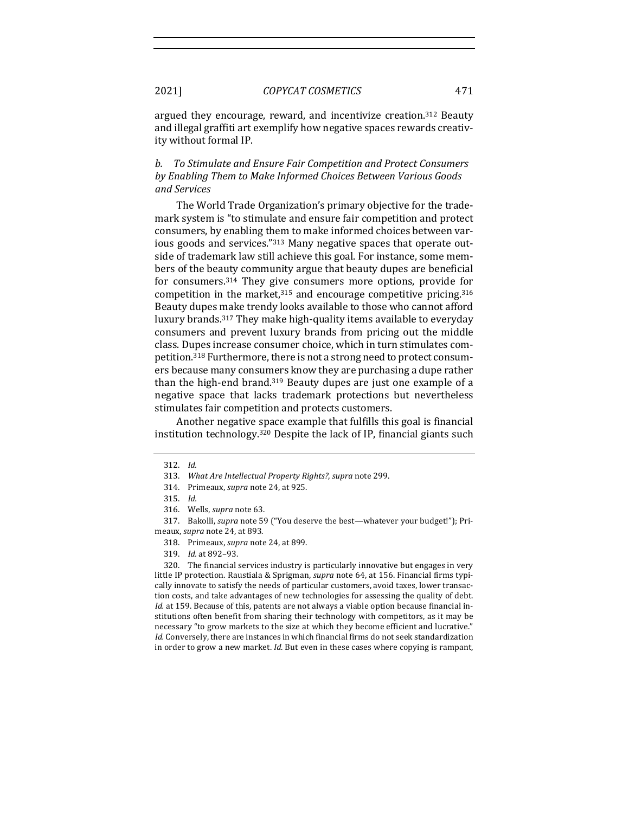argued they encourage, reward, and incentivize creation.<sup>312</sup> Beauty and illegal graffiti art exemplify how negative spaces rewards creativity without formal IP.

*b. To Stimulate and Ensure Fair Competition and Protect Consumers* by Enabling Them to Make Informed Choices Between Various Goods *and Services* 

The World Trade Organization's primary objective for the trademark system is "to stimulate and ensure fair competition and protect consumers, by enabling them to make informed choices between various goods and services."<sup>313</sup> Many negative spaces that operate outside of trademark law still achieve this goal. For instance, some members of the beauty community argue that beauty dupes are beneficial for consumers.<sup>314</sup> They give consumers more options, provide for competition in the market, $315$  and encourage competitive pricing. $316$ Beauty dupes make trendy looks available to those who cannot afford luxury brands.<sup>317</sup> They make high-quality items available to everyday consumers and prevent luxury brands from pricing out the middle class. Dupes increase consumer choice, which in turn stimulates competition.<sup>318</sup> Furthermore, there is not a strong need to protect consumers because many consumers know they are purchasing a dupe rather than the high-end brand.<sup>319</sup> Beauty dupes are just one example of a negative space that lacks trademark protections but nevertheless stimulates fair competition and protects customers.

Another negative space example that fulfills this goal is financial institution technology. $320$  Despite the lack of IP, financial giants such

317. Bakolli, *supra* note 59 ("You deserve the best—whatever your budget!"); Primeaux, *supra* note 24, at 893.

- 318. Primeaux, *supra* note 24, at 899.
- 319. *Id.* at 892-93.

320. The financial services industry is particularly innovative but engages in very little IP protection. Raustiala & Sprigman, *supra* note 64, at 156. Financial firms typically innovate to satisfy the needs of particular customers, avoid taxes, lower transaction costs, and take advantages of new technologies for assessing the quality of debt. *Id.* at 159. Because of this, patents are not always a viable option because financial institutions often benefit from sharing their technology with competitors, as it may be necessary "to grow markets to the size at which they become efficient and lucrative." *Id.* Conversely, there are instances in which financial firms do not seek standardization in order to grow a new market. *Id.* But even in these cases where copying is rampant,

<sup>312.</sup> *Id.* 

<sup>313.</sup> *What Are Intellectual Property Rights?, supra* note 299.

<sup>314.</sup> Primeaux, *supra* note 24, at 925.

<sup>315.</sup> *Id.*

<sup>316.</sup> Wells, *supra* note 63.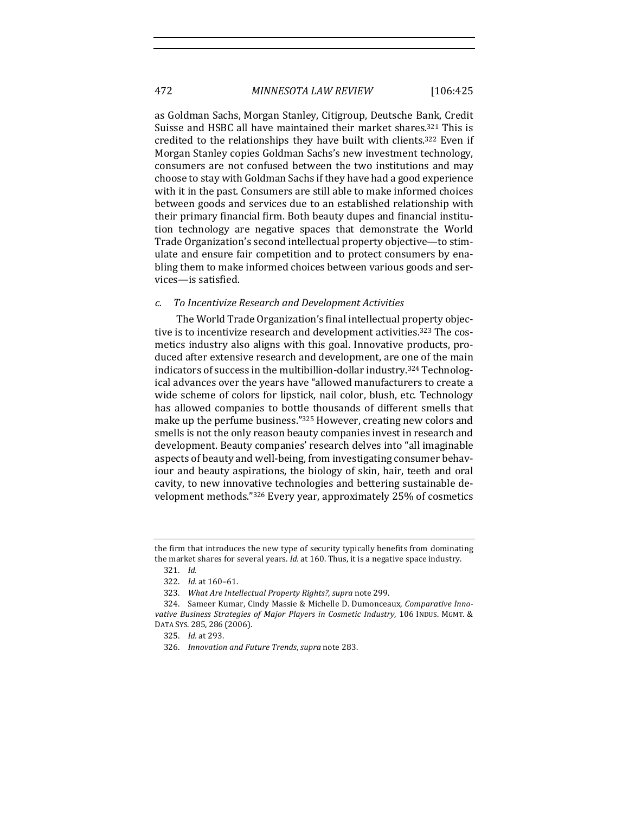as Goldman Sachs, Morgan Stanley, Citigroup, Deutsche Bank, Credit Suisse and HSBC all have maintained their market shares.<sup>321</sup> This is credited to the relationships they have built with clients.<sup>322</sup> Even if Morgan Stanley copies Goldman Sachs's new investment technology, consumers are not confused between the two institutions and may choose to stay with Goldman Sachs if they have had a good experience with it in the past. Consumers are still able to make informed choices between goods and services due to an established relationship with their primary financial firm. Both beauty dupes and financial institution technology are negative spaces that demonstrate the World Trade Organization's second intellectual property objective—to stimulate and ensure fair competition and to protect consumers by enabling them to make informed choices between various goods and services—is satisfied.

#### *c. To Incentivize Research and Development Activities*

The World Trade Organization's final intellectual property objective is to incentivize research and development activities.<sup>323</sup> The cosmetics industry also aligns with this goal. Innovative products, produced after extensive research and development, are one of the main indicators of success in the multibillion-dollar industry.<sup>324</sup> Technological advances over the years have "allowed manufacturers to create a wide scheme of colors for lipstick, nail color, blush, etc. Technology has allowed companies to bottle thousands of different smells that make up the perfume business."<sup>325</sup> However, creating new colors and smells is not the only reason beauty companies invest in research and development. Beauty companies' research delves into "all imaginable aspects of beauty and well-being, from investigating consumer behaviour and beauty aspirations, the biology of skin, hair, teeth and oral cavity, to new innovative technologies and bettering sustainable development methods."<sup>326</sup> Every year, approximately 25% of cosmetics

the firm that introduces the new type of security typically benefits from dominating the market shares for several years. Id. at 160. Thus, it is a negative space industry.

<sup>321.</sup> *Id.* 

<sup>322.</sup> *Id.* at 160-61.

<sup>323.</sup> What Are Intellectual Property Rights?, supra note 299.

<sup>324.</sup> Sameer Kumar, Cindy Massie & Michelle D. Dumonceaux, Comparative Innovative Business Strategies of Major Players in Cosmetic Industry, 106 INDUS. MGMT. & DATA SYS. 285, 286 (2006).

<sup>325.</sup> *Id.* at 293.

<sup>326.</sup> *Innovation and Future Trends, supra note 283.*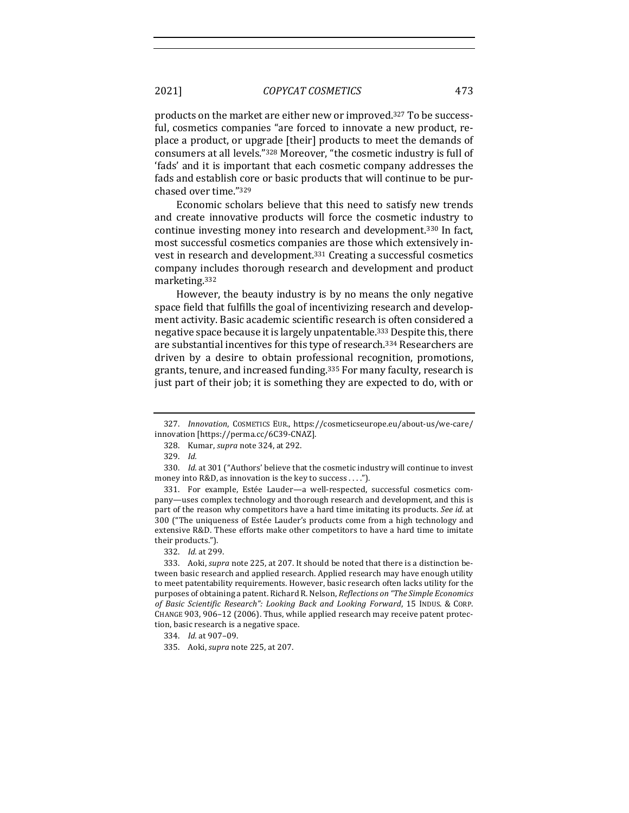products on the market are either new or improved.<sup>327</sup> To be successful, cosmetics companies "are forced to innovate a new product, replace a product, or upgrade [their] products to meet the demands of consumers at all levels."<sup>328</sup> Moreover, "the cosmetic industry is full of 'fads' and it is important that each cosmetic company addresses the fads and establish core or basic products that will continue to be purchased over time."329

Economic scholars believe that this need to satisfy new trends and create innovative products will force the cosmetic industry to continue investing money into research and development.<sup>330</sup> In fact, most successful cosmetics companies are those which extensively invest in research and development.<sup>331</sup> Creating a successful cosmetics company includes thorough research and development and product marketing.332

However, the beauty industry is by no means the only negative space field that fulfills the goal of incentivizing research and development activity. Basic academic scientific research is often considered a negative space because it is largely unpatentable.<sup>333</sup> Despite this, there are substantial incentives for this type of research.<sup>334</sup> Researchers are driven by a desire to obtain professional recognition, promotions, grants, tenure, and increased funding.<sup>335</sup> For many faculty, research is just part of their job; it is something they are expected to do, with or

<sup>327.</sup> *Innovation*, COSMETICS EUR., https://cosmeticseurope.eu/about-us/we-care/ innovation [https://perma.cc/6C39-CNAZ].

<sup>328.</sup> Kumar, *supra* note 324, at 292.

<sup>329.</sup> *Id.* 

<sup>330.</sup> *Id.* at 301 ("Authors' believe that the cosmetic industry will continue to invest money into  $R&D$ , as innovation is the key to success . . . .").

<sup>331.</sup> For example, Estée Lauder-a well-respected, successful cosmetics company—uses complex technology and thorough research and development, and this is part of the reason why competitors have a hard time imitating its products. *See id.* at 300 ("The uniqueness of Estée Lauder's products come from a high technology and extensive R&D. These efforts make other competitors to have a hard time to imitate their products.").

<sup>332.</sup> *Id.* at 299.

<sup>333.</sup> Aoki, *supra* note 225, at 207. It should be noted that there is a distinction between basic research and applied research. Applied research may have enough utility to meet patentability requirements. However, basic research often lacks utility for the purposes of obtaining a patent. Richard R. Nelson, *Reflections on "The Simple Economics* of Basic Scientific Research": Looking Back and Looking Forward, 15 INDUS. & CORP. CHANGE 903, 906-12 (2006). Thus, while applied research may receive patent protection, basic research is a negative space.

<sup>334.</sup> *Id.* at 907-09.

<sup>335.</sup> Aoki, *supra* note 225, at 207.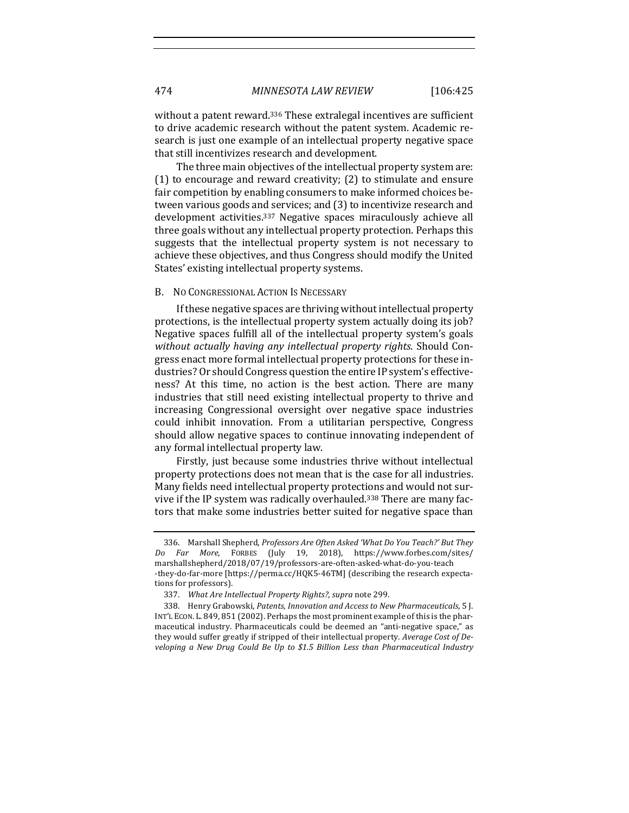without a patent reward.<sup>336</sup> These extralegal incentives are sufficient to drive academic research without the patent system. Academic research is just one example of an intellectual property negative space that still incentivizes research and development.

The three main objectives of the intellectual property system are:  $(1)$  to encourage and reward creativity;  $(2)$  to stimulate and ensure fair competition by enabling consumers to make informed choices between various goods and services; and (3) to incentivize research and development activities.<sup>337</sup> Negative spaces miraculously achieve all three goals without any intellectual property protection. Perhaps this suggests that the intellectual property system is not necessary to achieve these objectives, and thus Congress should modify the United States' existing intellectual property systems.

#### B. NO CONGRESSIONAL ACTION IS NECESSARY

If these negative spaces are thriving without intellectual property protections, is the intellectual property system actually doing its job? Negative spaces fulfill all of the intellectual property system's goals *without actually having any intellectual property rights.* Should Congress enact more formal intellectual property protections for these industries? Or should Congress question the entire IP system's effectiveness? At this time, no action is the best action. There are many industries that still need existing intellectual property to thrive and increasing Congressional oversight over negative space industries could inhibit innovation. From a utilitarian perspective, Congress should allow negative spaces to continue innovating independent of any formal intellectual property law.

Firstly, just because some industries thrive without intellectual property protections does not mean that is the case for all industries. Many fields need intellectual property protections and would not survive if the IP system was radically overhauled.<sup>338</sup> There are many factors that make some industries better suited for negative space than

<sup>336.</sup> Marshall Shepherd, *Professors Are Often Asked 'What Do You Teach?' But They Do Far More*, FORBES (July 19, 2018), https://www.forbes.com/sites/ marshallshepherd/2018/07/19/professors-are-often-asked-what-do-you-teach -they-do-far-more [https://perma.cc/HQK5-46TM] (describing the research expectations for professors).

<sup>337.</sup> *What Are Intellectual Property Rights?, supra* note 299.

<sup>338.</sup> Henry Grabowski, Patents, Innovation and Access to New Pharmaceuticals, 5 [. INT'L ECON. L. 849, 851 (2002). Perhaps the most prominent example of this is the pharmaceutical industry. Pharmaceuticals could be deemed an "anti-negative space," as they would suffer greatly if stripped of their intellectual property. *Average Cost of Developing a New Drug Could Be Up to \$1.5 Billion Less than Pharmaceutical Industry*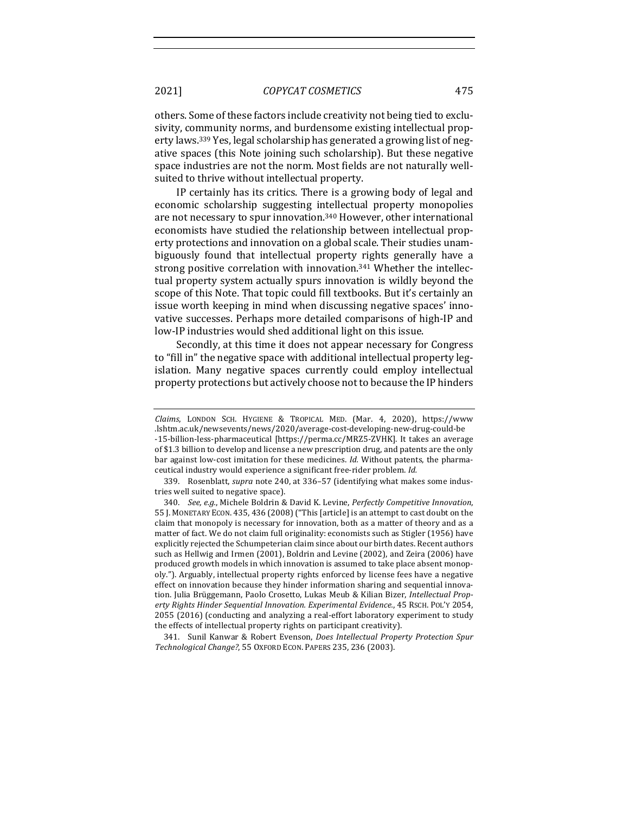others. Some of these factors include creativity not being tied to exclusivity, community norms, and burdensome existing intellectual property laws.<sup>339</sup> Yes, legal scholarship has generated a growing list of negative spaces (this Note joining such scholarship). But these negative space industries are not the norm. Most fields are not naturally wellsuited to thrive without intellectual property.

IP certainly has its critics. There is a growing body of legal and economic scholarship suggesting intellectual property monopolies are not necessary to spur innovation.<sup>340</sup> However, other international economists have studied the relationship between intellectual property protections and innovation on a global scale. Their studies unambiguously found that intellectual property rights generally have a strong positive correlation with innovation.<sup>341</sup> Whether the intellectual property system actually spurs innovation is wildly beyond the scope of this Note. That topic could fill textbooks. But it's certainly an issue worth keeping in mind when discussing negative spaces' innovative successes. Perhaps more detailed comparisons of high-IP and low-IP industries would shed additional light on this issue.

Secondly, at this time it does not appear necessary for Congress to "fill in" the negative space with additional intellectual property legislation. Many negative spaces currently could employ intellectual property protections but actively choose not to because the IP hinders

341. Sunil Kanwar & Robert Evenson, *Does Intellectual Property Protection Spur Technological Change?*, 55 OXFORD ECON. PAPERS 235, 236 (2003). 

*Claims*, LONDON SCH. HYGIENE & TROPICAL MED. (Mar. 4, 2020), https://www .lshtm.ac.uk/newsevents/news/2020/average-cost-developing-new-drug-could-be -15-billion-less-pharmaceutical [https://perma.cc/MRZ5-ZVHK]. It takes an average of \$1.3 billion to develop and license a new prescription drug, and patents are the only bar against low-cost imitation for these medicines. *Id.* Without patents, the pharmaceutical industry would experience a significant free-rider problem. *Id.* 

<sup>339.</sup> Rosenblatt, *supra* note 240, at 336-57 (identifying what makes some industries well suited to negative space).

<sup>340.</sup> *See, e.g.*, Michele Boldrin & David K. Levine, *Perfectly Competitive Innovation*, 55 J. MONETARY ECON. 435, 436 (2008) ("This [article] is an attempt to cast doubt on the claim that monopoly is necessary for innovation, both as a matter of theory and as a matter of fact. We do not claim full originality: economists such as Stigler (1956) have explicitly rejected the Schumpeterian claim since about our birth dates. Recent authors such as Hellwig and Irmen (2001), Boldrin and Levine (2002), and Zeira (2006) have produced growth models in which innovation is assumed to take place absent monopoly."). Arguably, intellectual property rights enforced by license fees have a negative effect on innovation because they hinder information sharing and sequential innovation. Julia Brüggemann, Paolo Crosetto, Lukas Meub & Kilian Bizer, *Intellectual Prop*erty Rights Hinder Sequential Innovation. Experimental Evidence., 45 RSCH. POL'Y 2054, 2055 (2016) (conducting and analyzing a real-effort laboratory experiment to study the effects of intellectual property rights on participant creativity).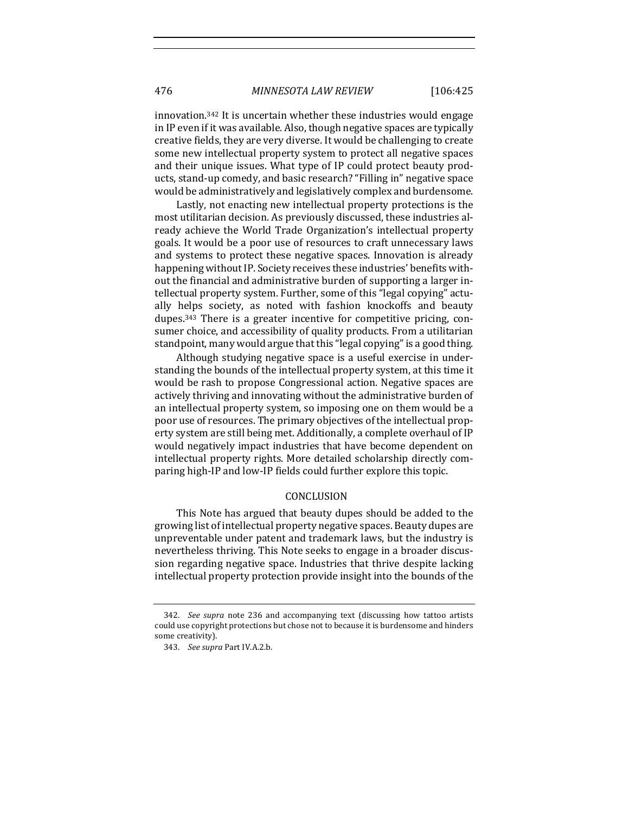innovation.<sup>342</sup> It is uncertain whether these industries would engage in IP even if it was available. Also, though negative spaces are typically creative fields, they are very diverse. It would be challenging to create some new intellectual property system to protect all negative spaces and their unique issues. What type of IP could protect beauty products, stand-up comedy, and basic research? "Filling in" negative space would be administratively and legislatively complex and burdensome.

Lastly, not enacting new intellectual property protections is the most utilitarian decision. As previously discussed, these industries already achieve the World Trade Organization's intellectual property goals. It would be a poor use of resources to craft unnecessary laws and systems to protect these negative spaces. Innovation is already happening without IP. Society receives these industries' benefits without the financial and administrative burden of supporting a larger intellectual property system. Further, some of this "legal copying" actually helps society, as noted with fashion knockoffs and beauty dupes.<sup>343</sup> There is a greater incentive for competitive pricing, consumer choice, and accessibility of quality products. From a utilitarian standpoint, many would argue that this "legal copying" is a good thing.

Although studying negative space is a useful exercise in understanding the bounds of the intellectual property system, at this time it would be rash to propose Congressional action. Negative spaces are actively thriving and innovating without the administrative burden of an intellectual property system, so imposing one on them would be a poor use of resources. The primary objectives of the intellectual property system are still being met. Additionally, a complete overhaul of IP would negatively impact industries that have become dependent on intellectual property rights. More detailed scholarship directly comparing high-IP and low-IP fields could further explore this topic.

## CONCLUSION

This Note has argued that beauty dupes should be added to the growing list of intellectual property negative spaces. Beauty dupes are unpreventable under patent and trademark laws, but the industry is nevertheless thriving. This Note seeks to engage in a broader discussion regarding negative space. Industries that thrive despite lacking intellectual property protection provide insight into the bounds of the

<sup>342.</sup> *See supra* note 236 and accompanying text (discussing how tattoo artists could use copyright protections but chose not to because it is burdensome and hinders some creativity).

<sup>343.</sup> See supra Part IV.A.2.b.